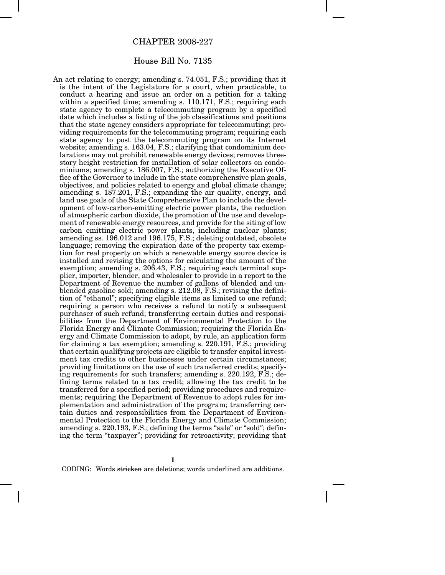## CHAPTER 2008-227

## House Bill No. 7135

An act relating to energy; amending s. 74.051, F.S.; providing that it is the intent of the Legislature for a court, when practicable, to conduct a hearing and issue an order on a petition for a taking within a specified time; amending s. 110.171, F.S.; requiring each state agency to complete a telecommuting program by a specified date which includes a listing of the job classifications and positions that the state agency considers appropriate for telecommuting; providing requirements for the telecommuting program; requiring each state agency to post the telecommuting program on its Internet website; amending s. 163.04, F.S.; clarifying that condominium declarations may not prohibit renewable energy devices; removes threestory height restriction for installation of solar collectors on condominiums; amending s. 186.007, F.S.; authorizing the Executive Office of the Governor to include in the state comprehensive plan goals, objectives, and policies related to energy and global climate change; amending s. 187.201, F.S.; expanding the air quality, energy, and land use goals of the State Comprehensive Plan to include the development of low-carbon-emitting electric power plants, the reduction of atmospheric carbon dioxide, the promotion of the use and development of renewable energy resources, and provide for the siting of low carbon emitting electric power plants, including nuclear plants; amending ss. 196.012 and 196.175, F.S.; deleting outdated, obsolete language; removing the expiration date of the property tax exemption for real property on which a renewable energy source device is installed and revising the options for calculating the amount of the exemption; amending s. 206.43, F.S.; requiring each terminal supplier, importer, blender, and wholesaler to provide in a report to the Department of Revenue the number of gallons of blended and unblended gasoline sold; amending s. 212.08, F.S.; revising the definition of "ethanol"; specifying eligible items as limited to one refund; requiring a person who receives a refund to notify a subsequent purchaser of such refund; transferring certain duties and responsibilities from the Department of Environmental Protection to the Florida Energy and Climate Commission; requiring the Florida Energy and Climate Commission to adopt, by rule, an application form for claiming a tax exemption; amending s. 220.191, F.S.; providing that certain qualifying projects are eligible to transfer capital investment tax credits to other businesses under certain circumstances; providing limitations on the use of such transferred credits; specifying requirements for such transfers; amending s. 220.192, F.S.; defining terms related to a tax credit; allowing the tax credit to be transferred for a specified period; providing procedures and requirements; requiring the Department of Revenue to adopt rules for implementation and administration of the program; transferring certain duties and responsibilities from the Department of Environmental Protection to the Florida Energy and Climate Commission; amending s. 220.193, F.S.; defining the terms "sale" or "sold"; defining the term "taxpayer"; providing for retroactivity; providing that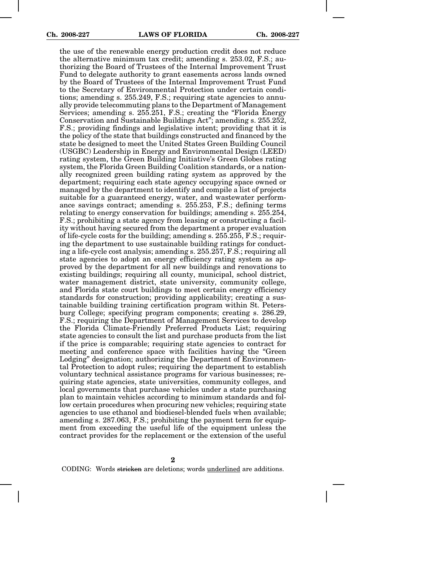the use of the renewable energy production credit does not reduce the alternative minimum tax credit; amending s. 253.02, F.S.; authorizing the Board of Trustees of the Internal Improvement Trust Fund to delegate authority to grant easements across lands owned by the Board of Trustees of the Internal Improvement Trust Fund to the Secretary of Environmental Protection under certain conditions; amending s. 255.249, F.S.; requiring state agencies to annually provide telecommuting plans to the Department of Management Services; amending s. 255.251, F.S.; creating the "Florida Energy Conservation and Sustainable Buildings Act"; amending s. 255.252, F.S.; providing findings and legislative intent; providing that it is the policy of the state that buildings constructed and financed by the state be designed to meet the United States Green Building Council (USGBC) Leadership in Energy and Environmental Design (LEED) rating system, the Green Building Initiative's Green Globes rating system, the Florida Green Building Coalition standards, or a nationally recognized green building rating system as approved by the department; requiring each state agency occupying space owned or managed by the department to identify and compile a list of projects suitable for a guaranteed energy, water, and wastewater performance savings contract; amending s. 255.253, F.S.; defining terms relating to energy conservation for buildings; amending s. 255.254, F.S.; prohibiting a state agency from leasing or constructing a facility without having secured from the department a proper evaluation of life-cycle costs for the building; amending s. 255.255, F.S.; requiring the department to use sustainable building ratings for conducting a life-cycle cost analysis; amending s. 255.257, F.S.; requiring all state agencies to adopt an energy efficiency rating system as approved by the department for all new buildings and renovations to existing buildings; requiring all county, municipal, school district, water management district, state university, community college, and Florida state court buildings to meet certain energy efficiency standards for construction; providing applicability; creating a sustainable building training certification program within St. Petersburg College; specifying program components; creating s. 286.29, F.S.; requiring the Department of Management Services to develop the Florida Climate-Friendly Preferred Products List; requiring state agencies to consult the list and purchase products from the list if the price is comparable; requiring state agencies to contract for meeting and conference space with facilities having the "Green Lodging" designation; authorizing the Department of Environmental Protection to adopt rules; requiring the department to establish voluntary technical assistance programs for various businesses; requiring state agencies, state universities, community colleges, and local governments that purchase vehicles under a state purchasing plan to maintain vehicles according to minimum standards and follow certain procedures when procuring new vehicles; requiring state agencies to use ethanol and biodiesel-blended fuels when available; amending s. 287.063, F.S.; prohibiting the payment term for equipment from exceeding the useful life of the equipment unless the contract provides for the replacement or the extension of the useful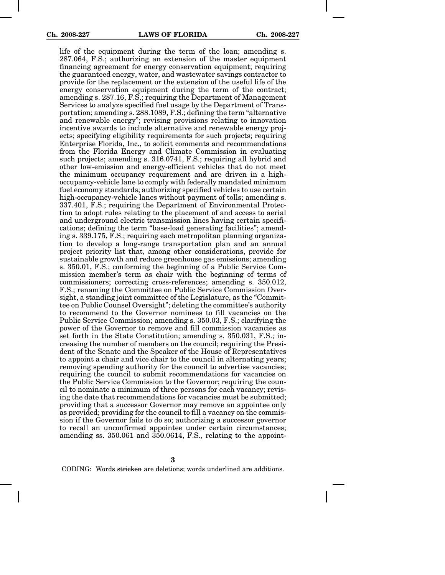life of the equipment during the term of the loan; amending s. 287.064, F.S.; authorizing an extension of the master equipment financing agreement for energy conservation equipment; requiring the guaranteed energy, water, and wastewater savings contractor to provide for the replacement or the extension of the useful life of the energy conservation equipment during the term of the contract; amending s. 287.16, F.S.; requiring the Department of Management Services to analyze specified fuel usage by the Department of Transportation; amending s. 288.1089, F.S.; defining the term "alternative and renewable energy"; revising provisions relating to innovation incentive awards to include alternative and renewable energy projects; specifying eligibility requirements for such projects; requiring Enterprise Florida, Inc., to solicit comments and recommendations from the Florida Energy and Climate Commission in evaluating such projects; amending s. 316.0741, F.S.; requiring all hybrid and other low-emission and energy-efficient vehicles that do not meet the minimum occupancy requirement and are driven in a highoccupancy-vehicle lane to comply with federally mandated minimum fuel economy standards; authorizing specified vehicles to use certain high-occupancy-vehicle lanes without payment of tolls; amending s. 337.401, F.S.; requiring the Department of Environmental Protection to adopt rules relating to the placement of and access to aerial and underground electric transmission lines having certain specifications; defining the term "base-load generating facilities"; amending s. 339.175, F.S.; requiring each metropolitan planning organization to develop a long-range transportation plan and an annual project priority list that, among other considerations, provide for sustainable growth and reduce greenhouse gas emissions; amending s. 350.01, F.S.; conforming the beginning of a Public Service Commission member's term as chair with the beginning of terms of commissioners; correcting cross-references; amending s. 350.012, F.S.; renaming the Committee on Public Service Commission Oversight, a standing joint committee of the Legislature, as the "Committee on Public Counsel Oversight"; deleting the committee's authority to recommend to the Governor nominees to fill vacancies on the Public Service Commission; amending s. 350.03, F.S.; clarifying the power of the Governor to remove and fill commission vacancies as set forth in the State Constitution; amending s. 350.031, F.S.; increasing the number of members on the council; requiring the President of the Senate and the Speaker of the House of Representatives to appoint a chair and vice chair to the council in alternating years; removing spending authority for the council to advertise vacancies; requiring the council to submit recommendations for vacancies on the Public Service Commission to the Governor; requiring the council to nominate a minimum of three persons for each vacancy; revising the date that recommendations for vacancies must be submitted; providing that a successor Governor may remove an appointee only as provided; providing for the council to fill a vacancy on the commission if the Governor fails to do so; authorizing a successor governor to recall an unconfirmed appointee under certain circumstances; amending ss. 350.061 and 350.0614, F.S., relating to the appoint-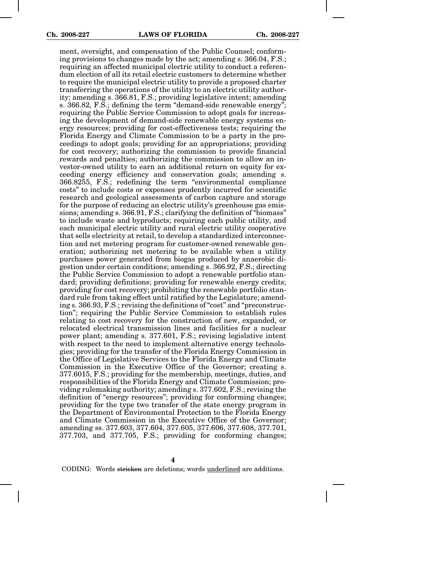ment, oversight, and compensation of the Public Counsel; conforming provisions to changes made by the act; amending s. 366.04, F.S.; requiring an affected municipal electric utility to conduct a referendum election of all its retail electric customers to determine whether to require the municipal electric utility to provide a proposed charter transferring the operations of the utility to an electric utility authority; amending s. 366.81, F.S.; providing legislative intent; amending s. 366.82, F.S.; defining the term "demand-side renewable energy"; requiring the Public Service Commission to adopt goals for increasing the development of demand-side renewable energy systems energy resources; providing for cost-effectiveness tests; requiring the Florida Energy and Climate Commission to be a party in the proceedings to adopt goals; providing for an appropriations; providing for cost recovery; authorizing the commission to provide financial rewards and penalties; authorizing the commission to allow an investor-owned utility to earn an additional return on equity for exceeding energy efficiency and conservation goals; amending s. 366.8255, F.S.; redefining the term "environmental compliance costs" to include costs or expenses prudently incurred for scientific research and geological assessments of carbon capture and storage for the purpose of reducing an electric utility's greenhouse gas emissions; amending s. 366.91, F.S.; clarifying the definition of "biomass" to include waste and byproducts; requiring each public utility, and each municipal electric utility and rural electric utility cooperative that sells electricity at retail, to develop a standardized interconnection and net metering program for customer-owned renewable generation; authorizing net metering to be available when a utility purchases power generated from biogas produced by anaerobic digestion under certain conditions; amending s. 366.92, F.S.; directing the Public Service Commission to adopt a renewable portfolio standard; providing definitions; providing for renewable energy credits; providing for cost recovery; prohibiting the renewable portfolio standard rule from taking effect until ratified by the Legislature; amending s. 366.93, F.S.; revising the definitions of "cost" and "preconstruction"; requiring the Public Service Commission to establish rules relating to cost recovery for the construction of new, expanded, or relocated electrical transmission lines and facilities for a nuclear power plant; amending s. 377.601, F.S.; revising legislative intent with respect to the need to implement alternative energy technologies; providing for the transfer of the Florida Energy Commission in the Office of Legislative Services to the Florida Energy and Climate Commission in the Executive Office of the Governor; creating s. 377.6015, F.S.; providing for the membership, meetings, duties, and responsibilities of the Florida Energy and Climate Commission; providing rulemaking authority; amending s. 377.602, F.S.; revising the definition of "energy resources"; providing for conforming changes; providing for the type two transfer of the state energy program in the Department of Environmental Protection to the Florida Energy and Climate Commission in the Executive Office of the Governor; amending ss. 377.603, 377.604, 377.605, 377.606, 377.608, 377.701, 377.703, and 377.705, F.S.; providing for conforming changes;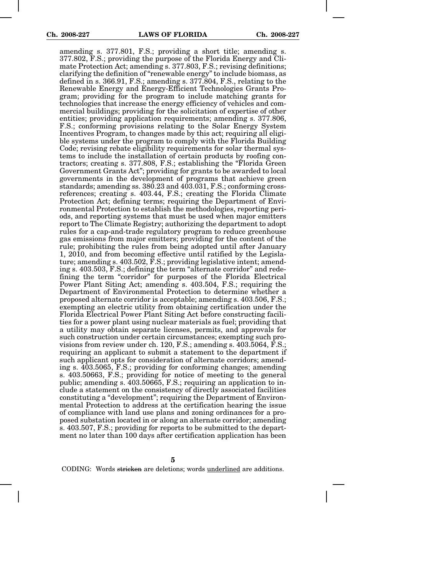amending s. 377.801, F.S.; providing a short title; amending s. 377.802, F.S.; providing the purpose of the Florida Energy and Climate Protection Act; amending s. 377.803, F.S.; revising definitions; clarifying the definition of "renewable energy" to include biomass, as defined in s. 366.91, F.S.; amending s. 377.804, F.S., relating to the Renewable Energy and Energy-Efficient Technologies Grants Program; providing for the program to include matching grants for technologies that increase the energy efficiency of vehicles and commercial buildings; providing for the solicitation of expertise of other entities; providing application requirements; amending s. 377.806, F.S.; conforming provisions relating to the Solar Energy System Incentives Program, to changes made by this act; requiring all eligible systems under the program to comply with the Florida Building Code; revising rebate eligibility requirements for solar thermal systems to include the installation of certain products by roofing contractors; creating s. 377.808, F.S.; establishing the "Florida Green Government Grants Act"; providing for grants to be awarded to local governments in the development of programs that achieve green standards; amending ss. 380.23 and 403.031, F.S.; conforming crossreferences; creating s. 403.44, F.S.; creating the Florida Climate Protection Act; defining terms; requiring the Department of Environmental Protection to establish the methodologies, reporting periods, and reporting systems that must be used when major emitters report to The Climate Registry; authorizing the department to adopt rules for a cap-and-trade regulatory program to reduce greenhouse gas emissions from major emitters; providing for the content of the rule; prohibiting the rules from being adopted until after January 1, 2010, and from becoming effective until ratified by the Legislature; amending s. 403.502, F.S.; providing legislative intent; amending s. 403.503, F.S.; defining the term "alternate corridor" and redefining the term "corridor" for purposes of the Florida Electrical Power Plant Siting Act; amending s. 403.504, F.S.; requiring the Department of Environmental Protection to determine whether a proposed alternate corridor is acceptable; amending s. 403.506, F.S.; exempting an electric utility from obtaining certification under the Florida Electrical Power Plant Siting Act before constructing facilities for a power plant using nuclear materials as fuel; providing that a utility may obtain separate licenses, permits, and approvals for such construction under certain circumstances; exempting such provisions from review under ch. 120, F.S.; amending s. 403.5064, F.S.; requiring an applicant to submit a statement to the department if such applicant opts for consideration of alternate corridors; amending s. 403.5065, F.S.; providing for conforming changes; amending s. 403.50663, F.S.; providing for notice of meeting to the general public; amending s. 403.50665, F.S.; requiring an application to include a statement on the consistency of directly associated facilities constituting a "development"; requiring the Department of Environmental Protection to address at the certification hearing the issue of compliance with land use plans and zoning ordinances for a proposed substation located in or along an alternate corridor; amending s. 403.507, F.S.; providing for reports to be submitted to the department no later than 100 days after certification application has been

**5**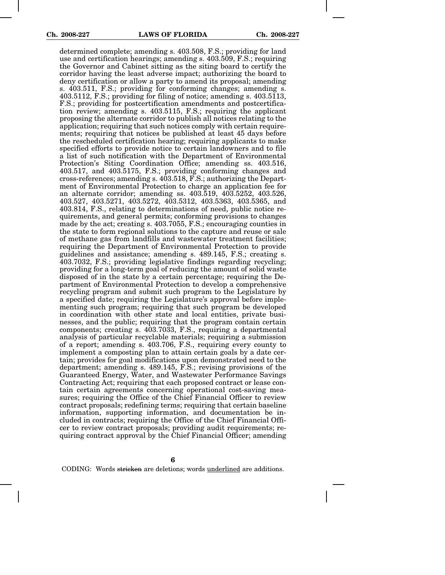determined complete; amending s. 403.508, F.S.; providing for land use and certification hearings; amending s. 403.509, F.S.; requiring the Governor and Cabinet sitting as the siting board to certify the corridor having the least adverse impact; authorizing the board to deny certification or allow a party to amend its proposal; amending s. 403.511, F.S.; providing for conforming changes; amending s. 403.5112, F.S.; providing for filing of notice; amending s. 403.5113, F.S.; providing for postcertification amendments and postcertification review; amending s. 403.5115, F.S.; requiring the applicant proposing the alternate corridor to publish all notices relating to the application; requiring that such notices comply with certain requirements; requiring that notices be published at least 45 days before the rescheduled certification hearing; requiring applicants to make specified efforts to provide notice to certain landowners and to file a list of such notification with the Department of Environmental Protection's Siting Coordination Office; amending ss. 403.516, 403.517, and 403.5175, F.S.; providing conforming changes and cross-references; amending s. 403.518, F.S.; authorizing the Department of Environmental Protection to charge an application fee for an alternate corridor; amending ss. 403.519, 403.5252, 403.526, 403.527, 403.5271, 403.5272, 403.5312, 403.5363, 403.5365, and 403.814, F.S., relating to determinations of need, public notice requirements, and general permits; conforming provisions to changes made by the act; creating s. 403.7055, F.S.; encouraging counties in the state to form regional solutions to the capture and reuse or sale of methane gas from landfills and wastewater treatment facilities; requiring the Department of Environmental Protection to provide guidelines and assistance; amending s. 489.145, F.S.; creating s. 403.7032, F.S.; providing legislative findings regarding recycling; providing for a long-term goal of reducing the amount of solid waste disposed of in the state by a certain percentage; requiring the Department of Environmental Protection to develop a comprehensive recycling program and submit such program to the Legislature by a specified date; requiring the Legislature's approval before implementing such program; requiring that such program be developed in coordination with other state and local entities, private businesses, and the public; requiring that the program contain certain components; creating s. 403.7033, F.S., requiring a departmental analysis of particular recyclable materials; requiring a submission of a report; amending s. 403.706, F.S., requiring every county to implement a composting plan to attain certain goals by a date certain; provides for goal modifications upon demonstrated need to the department; amending s. 489.145, F.S.; revising provisions of the Guaranteed Energy, Water, and Wastewater Performance Savings Contracting Act; requiring that each proposed contract or lease contain certain agreements concerning operational cost-saving measures; requiring the Office of the Chief Financial Officer to review contract proposals; redefining terms; requiring that certain baseline information, supporting information, and documentation be included in contracts; requiring the Office of the Chief Financial Officer to review contract proposals; providing audit requirements; requiring contract approval by the Chief Financial Officer; amending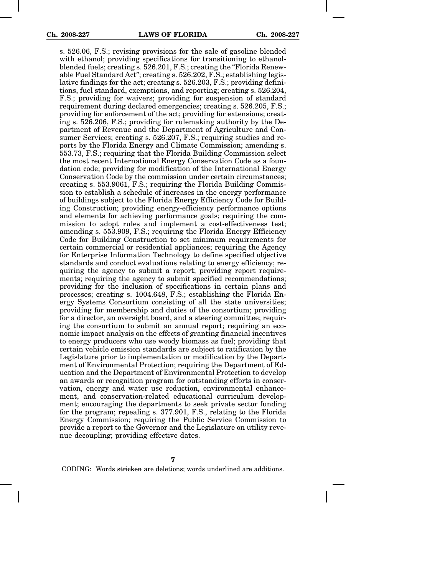s. 526.06, F.S.; revising provisions for the sale of gasoline blended with ethanol; providing specifications for transitioning to ethanolblended fuels; creating s. 526.201, F.S.; creating the "Florida Renewable Fuel Standard Act"; creating s. 526.202, F.S.; establishing legislative findings for the act; creating s. 526.203, F.S.; providing definitions, fuel standard, exemptions, and reporting; creating s. 526.204, F.S.; providing for waivers; providing for suspension of standard requirement during declared emergencies; creating s. 526.205, F.S.; providing for enforcement of the act; providing for extensions; creating s. 526.206, F.S.; providing for rulemaking authority by the Department of Revenue and the Department of Agriculture and Consumer Services; creating s. 526.207, F.S.; requiring studies and reports by the Florida Energy and Climate Commission; amending s. 553.73, F.S.; requiring that the Florida Building Commission select the most recent International Energy Conservation Code as a foundation code; providing for modification of the International Energy Conservation Code by the commission under certain circumstances; creating s. 553.9061, F.S.; requiring the Florida Building Commission to establish a schedule of increases in the energy performance of buildings subject to the Florida Energy Efficiency Code for Building Construction; providing energy-efficiency performance options and elements for achieving performance goals; requiring the commission to adopt rules and implement a cost-effectiveness test; amending s. 553.909, F.S.; requiring the Florida Energy Efficiency Code for Building Construction to set minimum requirements for certain commercial or residential appliances; requiring the Agency for Enterprise Information Technology to define specified objective standards and conduct evaluations relating to energy efficiency; requiring the agency to submit a report; providing report requirements; requiring the agency to submit specified recommendations; providing for the inclusion of specifications in certain plans and processes; creating s. 1004.648, F.S.; establishing the Florida Energy Systems Consortium consisting of all the state universities; providing for membership and duties of the consortium; providing for a director, an oversight board, and a steering committee; requiring the consortium to submit an annual report; requiring an economic impact analysis on the effects of granting financial incentives to energy producers who use woody biomass as fuel; providing that certain vehicle emission standards are subject to ratification by the Legislature prior to implementation or modification by the Department of Environmental Protection; requiring the Department of Education and the Department of Environmental Protection to develop an awards or recognition program for outstanding efforts in conservation, energy and water use reduction, environmental enhancement, and conservation-related educational curriculum development; encouraging the departments to seek private sector funding for the program; repealing s. 377.901, F.S., relating to the Florida Energy Commission; requiring the Public Service Commission to provide a report to the Governor and the Legislature on utility revenue decoupling; providing effective dates.

**7**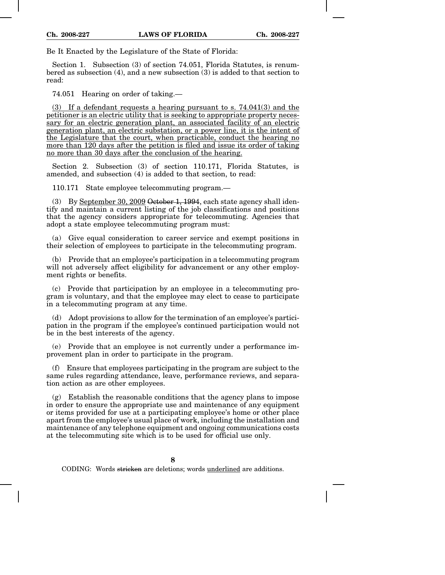Be It Enacted by the Legislature of the State of Florida:

Section 1. Subsection (3) of section 74.051, Florida Statutes, is renumbered as subsection (4), and a new subsection (3) is added to that section to read:

74.051 Hearing on order of taking.—

(3) If a defendant requests a hearing pursuant to s. 74.041(3) and the petitioner is an electric utility that is seeking to appropriate property necessary for an electric generation plant, an associated facility of an electric generation plant, an electric substation, or a power line, it is the intent of the Legislature that the court, when practicable, conduct the hearing no more than 120 days after the petition is filed and issue its order of taking no more than 30 days after the conclusion of the hearing.

Section 2. Subsection (3) of section 110.171, Florida Statutes, is amended, and subsection (4) is added to that section, to read:

110.171 State employee telecommuting program.—

(3) By September 30, 2009 October 1, 1994, each state agency shall identify and maintain a current listing of the job classifications and positions that the agency considers appropriate for telecommuting. Agencies that adopt a state employee telecommuting program must:

(a) Give equal consideration to career service and exempt positions in their selection of employees to participate in the telecommuting program.

(b) Provide that an employee's participation in a telecommuting program will not adversely affect eligibility for advancement or any other employment rights or benefits.

(c) Provide that participation by an employee in a telecommuting program is voluntary, and that the employee may elect to cease to participate in a telecommuting program at any time.

(d) Adopt provisions to allow for the termination of an employee's participation in the program if the employee's continued participation would not be in the best interests of the agency.

(e) Provide that an employee is not currently under a performance improvement plan in order to participate in the program.

(f) Ensure that employees participating in the program are subject to the same rules regarding attendance, leave, performance reviews, and separation action as are other employees.

(g) Establish the reasonable conditions that the agency plans to impose in order to ensure the appropriate use and maintenance of any equipment or items provided for use at a participating employee's home or other place apart from the employee's usual place of work, including the installation and maintenance of any telephone equipment and ongoing communications costs at the telecommuting site which is to be used for official use only.

**8**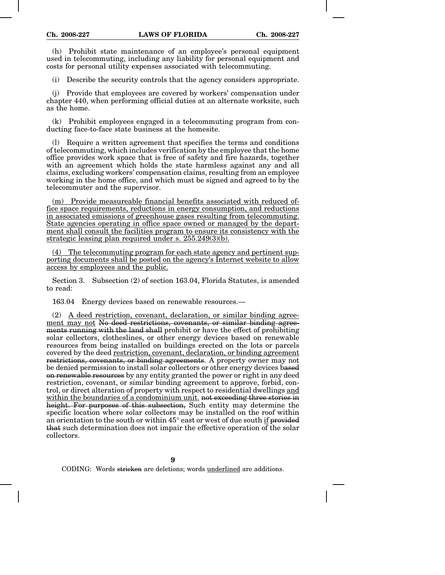(h) Prohibit state maintenance of an employee's personal equipment used in telecommuting, including any liability for personal equipment and costs for personal utility expenses associated with telecommuting.

(i) Describe the security controls that the agency considers appropriate.

(j) Provide that employees are covered by workers' compensation under chapter 440, when performing official duties at an alternate worksite, such as the home.

(k) Prohibit employees engaged in a telecommuting program from conducting face-to-face state business at the homesite.

(l) Require a written agreement that specifies the terms and conditions of telecommuting, which includes verification by the employee that the home office provides work space that is free of safety and fire hazards, together with an agreement which holds the state harmless against any and all claims, excluding workers' compensation claims, resulting from an employee working in the home office, and which must be signed and agreed to by the telecommuter and the supervisor.

(m) Provide measureable financial benefits associated with reduced office space requirements, reductions in energy consumption, and reductions in associated emissions of greenhouse gases resulting from telecommuting. State agencies operating in office space owned or managed by the department shall consult the facilities program to ensure its consistency with the strategic leasing plan required under s. 255.249(3)(b).

(4) The telecommuting program for each state agency and pertinent supporting documents shall be posted on the agency's Internet website to allow access by employees and the public.

Section 3. Subsection (2) of section 163.04, Florida Statutes, is amended to read:

163.04 Energy devices based on renewable resources.—

(2) A deed restriction, covenant, declaration, or similar binding agreement may not No deed restrictions, covenants, or similar binding agreements running with the land shall prohibit or have the effect of prohibiting solar collectors, clotheslines, or other energy devices based on renewable resources from being installed on buildings erected on the lots or parcels covered by the deed restriction, covenant, declaration, or binding agreement restrictions, covenants, or binding agreements. A property owner may not be denied permission to install solar collectors or other energy devices based on renewable resources by any entity granted the power or right in any deed restriction, covenant, or similar binding agreement to approve, forbid, control, or direct alteration of property with respect to residential dwellings and within the boundaries of a condominium unit. not exceeding three stories in height. For purposes of this subsection, Such entity may determine the specific location where solar collectors may be installed on the roof within an orientation to the south or within 45° east or west of due south if provided that such determination does not impair the effective operation of the solar collectors.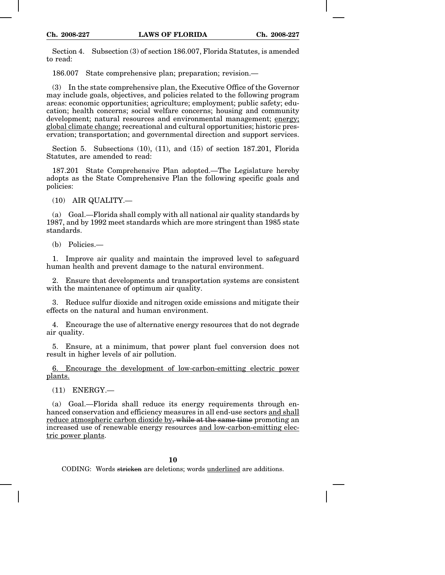Section 4. Subsection (3) of section 186.007, Florida Statutes, is amended to read:

186.007 State comprehensive plan; preparation; revision.—

(3) In the state comprehensive plan, the Executive Office of the Governor may include goals, objectives, and policies related to the following program areas: economic opportunities; agriculture; employment; public safety; education; health concerns; social welfare concerns; housing and community development; natural resources and environmental management; energy; global climate change; recreational and cultural opportunities; historic preservation; transportation; and governmental direction and support services.

Section 5. Subsections (10), (11), and (15) of section 187.201, Florida Statutes, are amended to read:

187.201 State Comprehensive Plan adopted.—The Legislature hereby adopts as the State Comprehensive Plan the following specific goals and policies:

(10) AIR QUALITY.—

(a) Goal.—Florida shall comply with all national air quality standards by 1987, and by 1992 meet standards which are more stringent than 1985 state standards.

(b) Policies.—

1. Improve air quality and maintain the improved level to safeguard human health and prevent damage to the natural environment.

2. Ensure that developments and transportation systems are consistent with the maintenance of optimum air quality.

3. Reduce sulfur dioxide and nitrogen oxide emissions and mitigate their effects on the natural and human environment.

4. Encourage the use of alternative energy resources that do not degrade air quality.

5. Ensure, at a minimum, that power plant fuel conversion does not result in higher levels of air pollution.

6. Encourage the development of low-carbon-emitting electric power plants.

 $(11)$  ENERGY —

(a) Goal.—Florida shall reduce its energy requirements through enhanced conservation and efficiency measures in all end-use sectors and shall reduce atmospheric carbon dioxide by, while at the same time promoting an increased use of renewable energy resources and low-carbon-emitting electric power plants.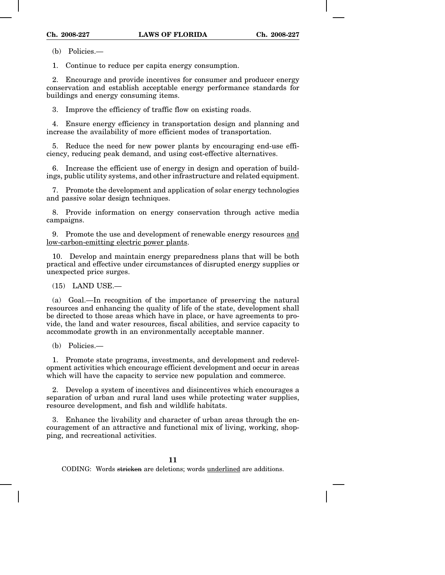(b) Policies.—

1. Continue to reduce per capita energy consumption.

2. Encourage and provide incentives for consumer and producer energy conservation and establish acceptable energy performance standards for buildings and energy consuming items.

3. Improve the efficiency of traffic flow on existing roads.

4. Ensure energy efficiency in transportation design and planning and increase the availability of more efficient modes of transportation.

5. Reduce the need for new power plants by encouraging end-use efficiency, reducing peak demand, and using cost-effective alternatives.

6. Increase the efficient use of energy in design and operation of buildings, public utility systems, and other infrastructure and related equipment.

7. Promote the development and application of solar energy technologies and passive solar design techniques.

8. Provide information on energy conservation through active media campaigns.

9. Promote the use and development of renewable energy resources and low-carbon-emitting electric power plants.

10. Develop and maintain energy preparedness plans that will be both practical and effective under circumstances of disrupted energy supplies or unexpected price surges.

(15) LAND USE.—

(a) Goal.—In recognition of the importance of preserving the natural resources and enhancing the quality of life of the state, development shall be directed to those areas which have in place, or have agreements to provide, the land and water resources, fiscal abilities, and service capacity to accommodate growth in an environmentally acceptable manner.

(b) Policies.—

1. Promote state programs, investments, and development and redevelopment activities which encourage efficient development and occur in areas which will have the capacity to service new population and commerce.

2. Develop a system of incentives and disincentives which encourages a separation of urban and rural land uses while protecting water supplies, resource development, and fish and wildlife habitats.

3. Enhance the livability and character of urban areas through the encouragement of an attractive and functional mix of living, working, shopping, and recreational activities.

**11**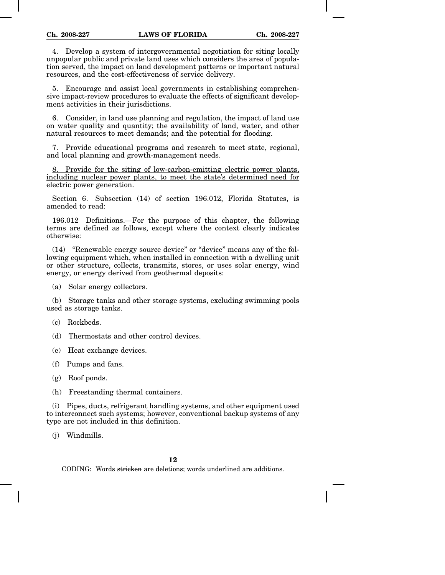4. Develop a system of intergovernmental negotiation for siting locally unpopular public and private land uses which considers the area of population served, the impact on land development patterns or important natural resources, and the cost-effectiveness of service delivery.

5. Encourage and assist local governments in establishing comprehensive impact-review procedures to evaluate the effects of significant development activities in their jurisdictions.

6. Consider, in land use planning and regulation, the impact of land use on water quality and quantity; the availability of land, water, and other natural resources to meet demands; and the potential for flooding.

7. Provide educational programs and research to meet state, regional, and local planning and growth-management needs.

8. Provide for the siting of low-carbon-emitting electric power plants, including nuclear power plants, to meet the state's determined need for electric power generation.

Section 6. Subsection (14) of section 196.012, Florida Statutes, is amended to read:

196.012 Definitions.—For the purpose of this chapter, the following terms are defined as follows, except where the context clearly indicates otherwise:

(14) "Renewable energy source device" or "device" means any of the following equipment which, when installed in connection with a dwelling unit or other structure, collects, transmits, stores, or uses solar energy, wind energy, or energy derived from geothermal deposits:

(a) Solar energy collectors.

(b) Storage tanks and other storage systems, excluding swimming pools used as storage tanks.

(c) Rockbeds.

(d) Thermostats and other control devices.

(e) Heat exchange devices.

(f) Pumps and fans.

(g) Roof ponds.

(h) Freestanding thermal containers.

(i) Pipes, ducts, refrigerant handling systems, and other equipment used to interconnect such systems; however, conventional backup systems of any type are not included in this definition.

(j) Windmills.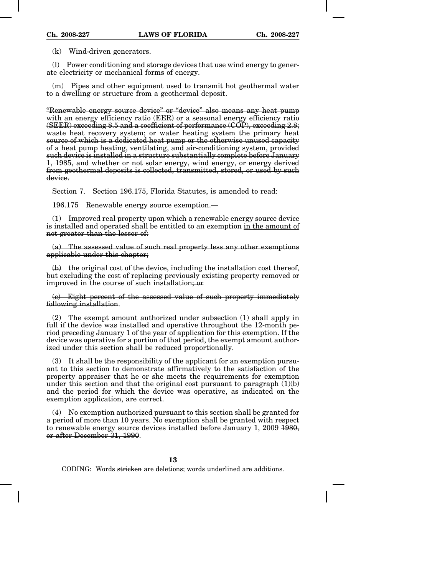(k) Wind-driven generators.

(l) Power conditioning and storage devices that use wind energy to generate electricity or mechanical forms of energy.

(m) Pipes and other equipment used to transmit hot geothermal water to a dwelling or structure from a geothermal deposit.

"Renewable energy source device" or "device" also means any heat pump with an energy efficiency ratio (EER) or a seasonal energy efficiency ratio  $(SEER)$  exceeding 8.5 and a coefficient of performance  $(COP)$ , exceeding 2.8; waste heat recovery system; or water heating system the primary heat source of which is a dedicated heat pump or the otherwise unused capacity of a heat pump heating, ventilating, and air-conditioning system, provided such device is installed in a structure substantially complete before January 1, 1985, and whether or not solar energy, wind energy, or energy derived from geothermal deposits is collected, transmitted, stored, or used by such device.

Section 7. Section 196.175, Florida Statutes, is amended to read:

196.175 Renewable energy source exemption.—

(1) Improved real property upon which a renewable energy source device is installed and operated shall be entitled to an exemption in the amount of not greater than the lesser of:

(a) The assessed value of such real property less any other exemptions applicable under this chapter;

 $(b)$  the original cost of the device, including the installation cost thereof, but excluding the cost of replacing previously existing property removed or improved in the course of such installation; or

(c) Eight percent of the assessed value of such property immediately following installation.

(2) The exempt amount authorized under subsection (1) shall apply in full if the device was installed and operative throughout the 12-month period preceding January 1 of the year of application for this exemption. If the device was operative for a portion of that period, the exempt amount authorized under this section shall be reduced proportionally.

(3) It shall be the responsibility of the applicant for an exemption pursuant to this section to demonstrate affirmatively to the satisfaction of the property appraiser that he or she meets the requirements for exemption under this section and that the original cost pursuant to paragraph  $(1)(b)$ and the period for which the device was operative, as indicated on the exemption application, are correct.

(4) No exemption authorized pursuant to this section shall be granted for a period of more than 10 years. No exemption shall be granted with respect to renewable energy source devices installed before January 1, 2009 1980, or after December 31, 1990.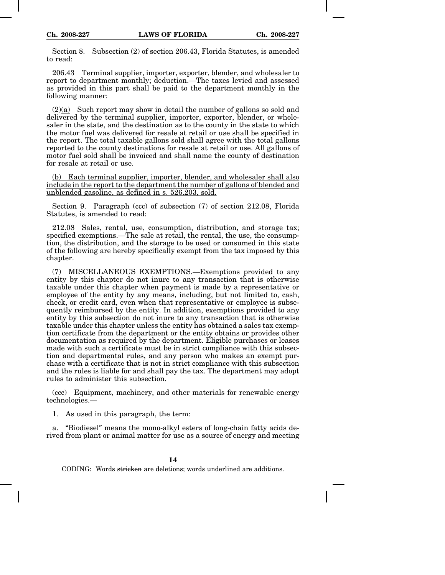Section 8. Subsection (2) of section 206.43, Florida Statutes, is amended to read:

206.43 Terminal supplier, importer, exporter, blender, and wholesaler to report to department monthly; deduction.—The taxes levied and assessed as provided in this part shall be paid to the department monthly in the following manner:

(2)(a) Such report may show in detail the number of gallons so sold and delivered by the terminal supplier, importer, exporter, blender, or wholesaler in the state, and the destination as to the county in the state to which the motor fuel was delivered for resale at retail or use shall be specified in the report. The total taxable gallons sold shall agree with the total gallons reported to the county destinations for resale at retail or use. All gallons of motor fuel sold shall be invoiced and shall name the county of destination for resale at retail or use.

(b) Each terminal supplier, importer, blender, and wholesaler shall also include in the report to the department the number of gallons of blended and unblended gasoline, as defined in s. 526.203, sold.

Section 9. Paragraph (ccc) of subsection (7) of section 212.08, Florida Statutes, is amended to read:

212.08 Sales, rental, use, consumption, distribution, and storage tax; specified exemptions.—The sale at retail, the rental, the use, the consumption, the distribution, and the storage to be used or consumed in this state of the following are hereby specifically exempt from the tax imposed by this chapter.

(7) MISCELLANEOUS EXEMPTIONS.—Exemptions provided to any entity by this chapter do not inure to any transaction that is otherwise taxable under this chapter when payment is made by a representative or employee of the entity by any means, including, but not limited to, cash, check, or credit card, even when that representative or employee is subsequently reimbursed by the entity. In addition, exemptions provided to any entity by this subsection do not inure to any transaction that is otherwise taxable under this chapter unless the entity has obtained a sales tax exemption certificate from the department or the entity obtains or provides other documentation as required by the department. Eligible purchases or leases made with such a certificate must be in strict compliance with this subsection and departmental rules, and any person who makes an exempt purchase with a certificate that is not in strict compliance with this subsection and the rules is liable for and shall pay the tax. The department may adopt rules to administer this subsection.

(ccc) Equipment, machinery, and other materials for renewable energy technologies.—

1. As used in this paragraph, the term:

a. "Biodiesel" means the mono-alkyl esters of long-chain fatty acids derived from plant or animal matter for use as a source of energy and meeting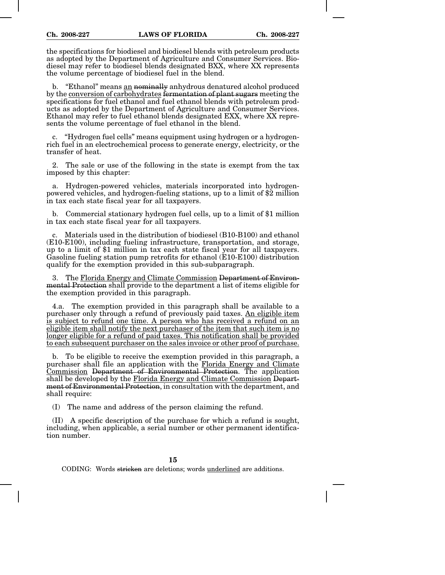the specifications for biodiesel and biodiesel blends with petroleum products as adopted by the Department of Agriculture and Consumer Services. Biodiesel may refer to biodiesel blends designated BXX, where XX represents the volume percentage of biodiesel fuel in the blend.

b. "Ethanol" means an nominally anhydrous denatured alcohol produced by the conversion of carbohydrates fermentation of plant sugars meeting the specifications for fuel ethanol and fuel ethanol blends with petroleum products as adopted by the Department of Agriculture and Consumer Services. Ethanol may refer to fuel ethanol blends designated EXX, where XX represents the volume percentage of fuel ethanol in the blend.

c. "Hydrogen fuel cells" means equipment using hydrogen or a hydrogenrich fuel in an electrochemical process to generate energy, electricity, or the transfer of heat.

2. The sale or use of the following in the state is exempt from the tax imposed by this chapter:

Hydrogen-powered vehicles, materials incorporated into hydrogenpowered vehicles, and hydrogen-fueling stations, up to a limit of \$2 million in tax each state fiscal year for all taxpayers.

b. Commercial stationary hydrogen fuel cells, up to a limit of \$1 million in tax each state fiscal year for all taxpayers.

c. Materials used in the distribution of biodiesel (B10-B100) and ethanol (E10-E100), including fueling infrastructure, transportation, and storage, up to a limit of \$1 million in tax each state fiscal year for all taxpayers. Gasoline fueling station pump retrofits for ethanol (E10-E100) distribution qualify for the exemption provided in this sub-subparagraph.

3. The Florida Energy and Climate Commission Department of Environmental Protection shall provide to the department a list of items eligible for the exemption provided in this paragraph.

4.a. The exemption provided in this paragraph shall be available to a purchaser only through a refund of previously paid taxes. An eligible item is subject to refund one time. A person who has received a refund on an eligible item shall notify the next purchaser of the item that such item is no longer eligible for a refund of paid taxes. This notification shall be provided to each subsequent purchaser on the sales invoice or other proof of purchase.

b. To be eligible to receive the exemption provided in this paragraph, a purchaser shall file an application with the Florida Energy and Climate Commission Department of Environmental Protection. The application shall be developed by the Florida Energy and Climate Commission Department of Environmental Protection, in consultation with the department, and shall require:

(I) The name and address of the person claiming the refund.

(II) A specific description of the purchase for which a refund is sought, including, when applicable, a serial number or other permanent identification number.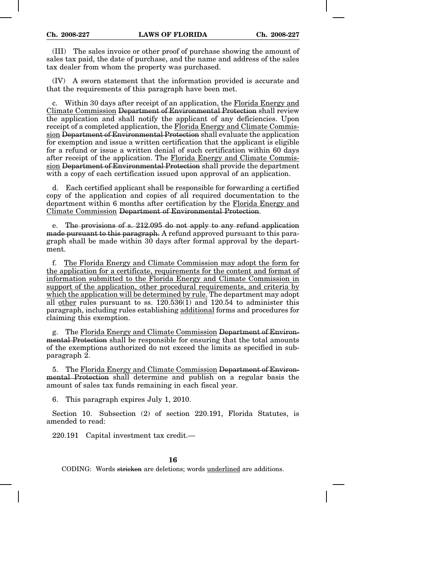(III) The sales invoice or other proof of purchase showing the amount of sales tax paid, the date of purchase, and the name and address of the sales tax dealer from whom the property was purchased.

(IV) A sworn statement that the information provided is accurate and that the requirements of this paragraph have been met.

c. Within 30 days after receipt of an application, the Florida Energy and Climate Commission Department of Environmental Protection shall review the application and shall notify the applicant of any deficiencies. Upon receipt of a completed application, the Florida Energy and Climate Commission Department of Environmental Protection shall evaluate the application for exemption and issue a written certification that the applicant is eligible for a refund or issue a written denial of such certification within 60 days after receipt of the application. The Florida Energy and Climate Commission Department of Environmental Protection shall provide the department with a copy of each certification issued upon approval of an application.

d. Each certified applicant shall be responsible for forwarding a certified copy of the application and copies of all required documentation to the department within 6 months after certification by the Florida Energy and Climate Commission Department of Environmental Protection.

e. The provisions of s. 212.095 do not apply to any refund application made pursuant to this paragraph. A refund approved pursuant to this paragraph shall be made within 30 days after formal approval by the department.

f. The Florida Energy and Climate Commission may adopt the form for the application for a certificate, requirements for the content and format of information submitted to the Florida Energy and Climate Commission in support of the application, other procedural requirements, and criteria by which the application will be determined by rule. The department may adopt all other rules pursuant to ss. 120.536(1) and 120.54 to administer this paragraph, including rules establishing additional forms and procedures for claiming this exemption.

g. The Florida Energy and Climate Commission Department of Environmental Protection shall be responsible for ensuring that the total amounts of the exemptions authorized do not exceed the limits as specified in subparagraph 2.

5. The Florida Energy and Climate Commission Department of Environmental Protection shall determine and publish on a regular basis the amount of sales tax funds remaining in each fiscal year.

6. This paragraph expires July 1, 2010.

Section 10. Subsection (2) of section 220.191, Florida Statutes, is amended to read:

220.191 Capital investment tax credit.—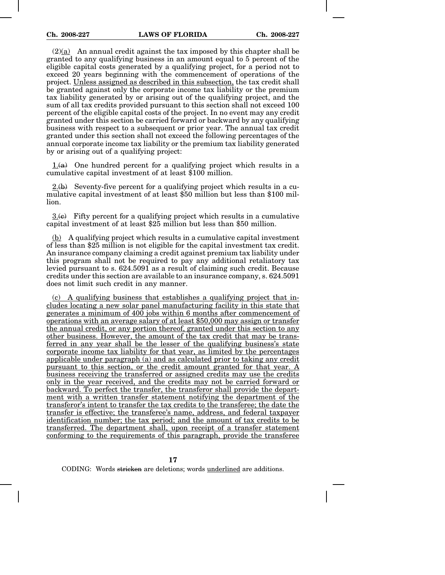$(2)(a)$  An annual credit against the tax imposed by this chapter shall be granted to any qualifying business in an amount equal to 5 percent of the eligible capital costs generated by a qualifying project, for a period not to exceed 20 years beginning with the commencement of operations of the project. Unless assigned as described in this subsection, the tax credit shall be granted against only the corporate income tax liability or the premium tax liability generated by or arising out of the qualifying project, and the sum of all tax credits provided pursuant to this section shall not exceed 100 percent of the eligible capital costs of the project. In no event may any credit granted under this section be carried forward or backward by any qualifying business with respect to a subsequent or prior year. The annual tax credit granted under this section shall not exceed the following percentages of the annual corporate income tax liability or the premium tax liability generated by or arising out of a qualifying project:

 $1.4$ ) One hundred percent for a qualifying project which results in a cumulative capital investment of at least \$100 million.

 $2.(\theta)$  Seventy-five percent for a qualifying project which results in a cumulative capital investment of at least \$50 million but less than \$100 million.

 $3(e)$  Fifty percent for a qualifying project which results in a cumulative capital investment of at least \$25 million but less than \$50 million.

(b) A qualifying project which results in a cumulative capital investment of less than \$25 million is not eligible for the capital investment tax credit. An insurance company claiming a credit against premium tax liability under this program shall not be required to pay any additional retaliatory tax levied pursuant to s. 624.5091 as a result of claiming such credit. Because credits under this section are available to an insurance company, s. 624.5091 does not limit such credit in any manner.

(c) A qualifying business that establishes a qualifying project that includes locating a new solar panel manufacturing facility in this state that generates a minimum of 400 jobs within 6 months after commencement of operations with an average salary of at least \$50,000 may assign or transfer the annual credit, or any portion thereof, granted under this section to any other business. However, the amount of the tax credit that may be transferred in any year shall be the lesser of the qualifying business's state corporate income tax liability for that year, as limited by the percentages applicable under paragraph (a) and as calculated prior to taking any credit pursuant to this section, or the credit amount granted for that year. A business receiving the transferred or assigned credits may use the credits only in the year received, and the credits may not be carried forward or backward. To perfect the transfer, the transferor shall provide the department with a written transfer statement notifying the department of the transferor's intent to transfer the tax credits to the transferee; the date the transfer is effective; the transferee's name, address, and federal taxpayer identification number; the tax period; and the amount of tax credits to be transferred. The department shall, upon receipt of a transfer statement conforming to the requirements of this paragraph, provide the transferee

**17**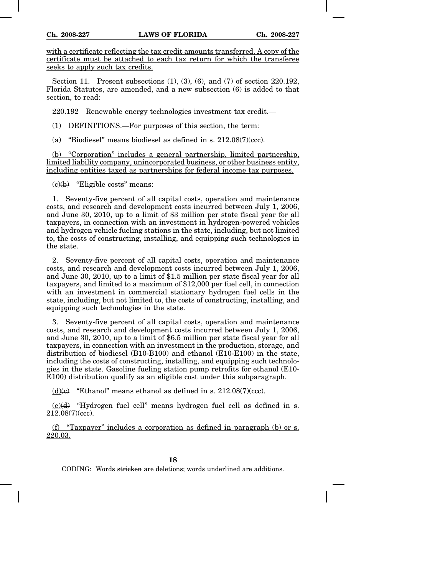with a certificate reflecting the tax credit amounts transferred. A copy of the certificate must be attached to each tax return for which the transferee seeks to apply such tax credits.

Section 11. Present subsections (1), (3), (6), and (7) of section 220.192, Florida Statutes, are amended, and a new subsection (6) is added to that section, to read:

220.192 Renewable energy technologies investment tax credit.—

(1) DEFINITIONS.—For purposes of this section, the term:

(a) "Biodiesel" means biodiesel as defined in s. 212.08(7)(ccc).

(b) "Corporation" includes a general partnership, limited partnership, limited liability company, unincorporated business, or other business entity, including entities taxed as partnerships for federal income tax purposes.

 $(c)(b)$  "Eligible costs" means:

1. Seventy-five percent of all capital costs, operation and maintenance costs, and research and development costs incurred between July 1, 2006, and June 30, 2010, up to a limit of \$3 million per state fiscal year for all taxpayers, in connection with an investment in hydrogen-powered vehicles and hydrogen vehicle fueling stations in the state, including, but not limited to, the costs of constructing, installing, and equipping such technologies in the state.

2. Seventy-five percent of all capital costs, operation and maintenance costs, and research and development costs incurred between July 1, 2006, and June 30, 2010, up to a limit of \$1.5 million per state fiscal year for all taxpayers, and limited to a maximum of \$12,000 per fuel cell, in connection with an investment in commercial stationary hydrogen fuel cells in the state, including, but not limited to, the costs of constructing, installing, and equipping such technologies in the state.

3. Seventy-five percent of all capital costs, operation and maintenance costs, and research and development costs incurred between July 1, 2006, and June 30, 2010, up to a limit of \$6.5 million per state fiscal year for all taxpayers, in connection with an investment in the production, storage, and distribution of biodiesel (B10-B100) and ethanol (E10-E100) in the state, including the costs of constructing, installing, and equipping such technologies in the state. Gasoline fueling station pump retrofits for ethanol (E10- E100) distribution qualify as an eligible cost under this subparagraph.

(d) $\left(\frac{e}{e}\right)$  "Ethanol" means ethanol as defined in s. 212.08(7)(ccc).

 $(e)(d)$  "Hydrogen fuel cell" means hydrogen fuel cell as defined in s. 212.08(7)(ccc).

(f) "Taxpayer" includes a corporation as defined in paragraph (b) or s. 220.03.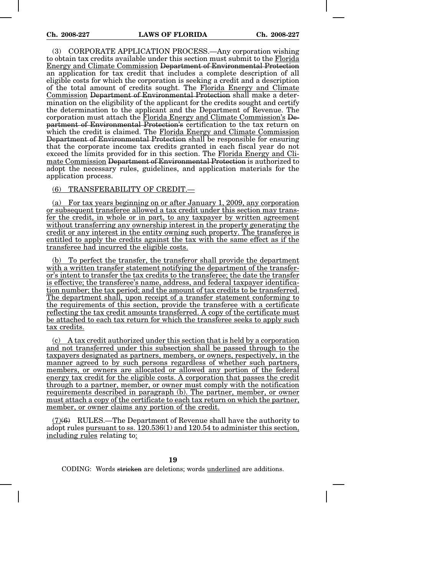(3) CORPORATE APPLICATION PROCESS.—Any corporation wishing to obtain tax credits available under this section must submit to the Florida Energy and Climate Commission Department of Environmental Protection an application for tax credit that includes a complete description of all eligible costs for which the corporation is seeking a credit and a description of the total amount of credits sought. The Florida Energy and Climate Commission Department of Environmental Protection shall make a determination on the eligibility of the applicant for the credits sought and certify the determination to the applicant and the Department of Revenue. The corporation must attach the Florida Energy and Climate Commission's Department of Environmental Protection's certification to the tax return on which the credit is claimed. The Florida Energy and Climate Commission Department of Environmental Protection shall be responsible for ensuring that the corporate income tax credits granted in each fiscal year do not exceed the limits provided for in this section. The Florida Energy and Climate Commission Department of Environmental Protection is authorized to adopt the necessary rules, guidelines, and application materials for the application process.

(6) TRANSFERABILITY OF CREDIT.—

(a) For tax years beginning on or after January 1, 2009, any corporation or subsequent transferee allowed a tax credit under this section may transfer the credit, in whole or in part, to any taxpayer by written agreement without transferring any ownership interest in the property generating the credit or any interest in the entity owning such property. The transferee is entitled to apply the credits against the tax with the same effect as if the transferee had incurred the eligible costs.

(b) To perfect the transfer, the transferor shall provide the department with a written transfer statement notifying the department of the transferor's intent to transfer the tax credits to the transferee; the date the transfer is effective; the transferee's name, address, and federal taxpayer identification number; the tax period; and the amount of tax credits to be transferred. The department shall, upon receipt of a transfer statement conforming to the requirements of this section, provide the transferee with a certificate reflecting the tax credit amounts transferred. A copy of the certificate must be attached to each tax return for which the transferee seeks to apply such tax credits.

(c) A tax credit authorized under this section that is held by a corporation and not transferred under this subsection shall be passed through to the taxpayers designated as partners, members, or owners, respectively, in the manner agreed to by such persons regardless of whether such partners, members, or owners are allocated or allowed any portion of the federal energy tax credit for the eligible costs. A corporation that passes the credit through to a partner, member, or owner must comply with the notification requirements described in paragraph (b). The partner, member, or owner must attach a copy of the certificate to each tax return on which the partner, member, or owner claims any portion of the credit.

(7)(6) RULES.—The Department of Revenue shall have the authority to adopt rules pursuant to ss. 120.536(1) and 120.54 to administer this section, including rules relating to: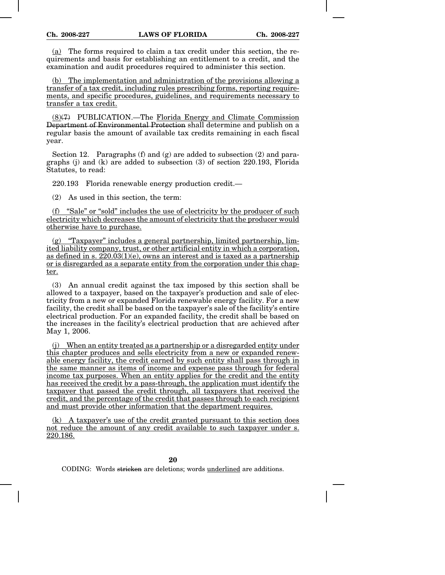(a) The forms required to claim a tax credit under this section, the requirements and basis for establishing an entitlement to a credit, and the examination and audit procedures required to administer this section.

(b) The implementation and administration of the provisions allowing a transfer of a tax credit, including rules prescribing forms, reporting requirements, and specific procedures, guidelines, and requirements necessary to transfer a tax credit.

(8)(7) PUBLICATION.—The Florida Energy and Climate Commission Department of Environmental Protection shall determine and publish on a regular basis the amount of available tax credits remaining in each fiscal year.

Section 12. Paragraphs (f) and  $(g)$  are added to subsection (2) and paragraphs (j) and (k) are added to subsection (3) of section 220.193, Florida Statutes, to read:

220.193 Florida renewable energy production credit.—

(2) As used in this section, the term:

(f) "Sale" or "sold" includes the use of electricity by the producer of such electricity which decreases the amount of electricity that the producer would otherwise have to purchase.

(g) "Taxpayer" includes a general partnership, limited partnership, limited liability company, trust, or other artificial entity in which a corporation, as defined in s.  $220.03(1)(e)$ , owns an interest and is taxed as a partnership or is disregarded as a separate entity from the corporation under this chapter.

(3) An annual credit against the tax imposed by this section shall be allowed to a taxpayer, based on the taxpayer's production and sale of electricity from a new or expanded Florida renewable energy facility. For a new facility, the credit shall be based on the taxpayer's sale of the facility's entire electrical production. For an expanded facility, the credit shall be based on the increases in the facility's electrical production that are achieved after May 1, 2006.

(j) When an entity treated as a partnership or a disregarded entity under this chapter produces and sells electricity from a new or expanded renewable energy facility, the credit earned by such entity shall pass through in the same manner as items of income and expense pass through for federal income tax purposes. When an entity applies for the credit and the entity has received the credit by a pass-through, the application must identify the taxpayer that passed the credit through, all taxpayers that received the credit, and the percentage of the credit that passes through to each recipient and must provide other information that the department requires.

(k) A taxpayer's use of the credit granted pursuant to this section does not reduce the amount of any credit available to such taxpayer under s. 220.186.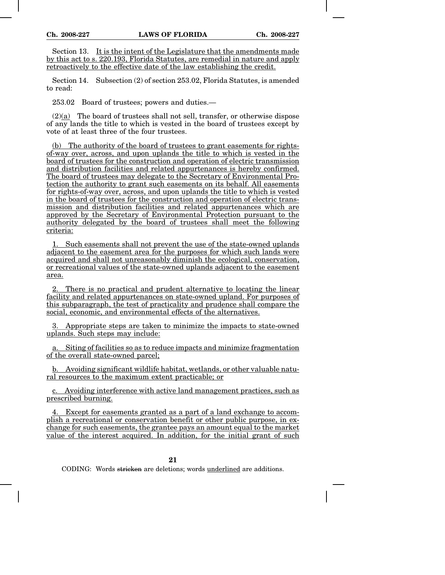Section 13. It is the intent of the Legislature that the amendments made by this act to s. 220.193, Florida Statutes, are remedial in nature and apply retroactively to the effective date of the law establishing the credit.

Section 14. Subsection (2) of section 253.02, Florida Statutes, is amended to read:

253.02 Board of trustees; powers and duties.—

 $(2)(a)$  The board of trustees shall not sell, transfer, or otherwise dispose of any lands the title to which is vested in the board of trustees except by vote of at least three of the four trustees.

(b) The authority of the board of trustees to grant easements for rightsof-way over, across, and upon uplands the title to which is vested in the board of trustees for the construction and operation of electric transmission and distribution facilities and related appurtenances is hereby confirmed. The board of trustees may delegate to the Secretary of Environmental Protection the authority to grant such easements on its behalf. All easements for rights-of-way over, across, and upon uplands the title to which is vested in the board of trustees for the construction and operation of electric transmission and distribution facilities and related appurtenances which are approved by the Secretary of Environmental Protection pursuant to the authority delegated by the board of trustees shall meet the following criteria:

1. Such easements shall not prevent the use of the state-owned uplands adjacent to the easement area for the purposes for which such lands were acquired and shall not unreasonably diminish the ecological, conservation, or recreational values of the state-owned uplands adjacent to the easement area.

2. There is no practical and prudent alternative to locating the linear facility and related appurtenances on state-owned upland. For purposes of this subparagraph, the test of practicality and prudence shall compare the social, economic, and environmental effects of the alternatives.

3. Appropriate steps are taken to minimize the impacts to state-owned uplands. Such steps may include:

a. Siting of facilities so as to reduce impacts and minimize fragmentation of the overall state-owned parcel;

b. Avoiding significant wildlife habitat, wetlands, or other valuable natural resources to the maximum extent practicable; or

c. Avoiding interference with active land management practices, such as prescribed burning.

4. Except for easements granted as a part of a land exchange to accomplish a recreational or conservation benefit or other public purpose, in exchange for such easements, the grantee pays an amount equal to the market value of the interest acquired. In addition, for the initial grant of such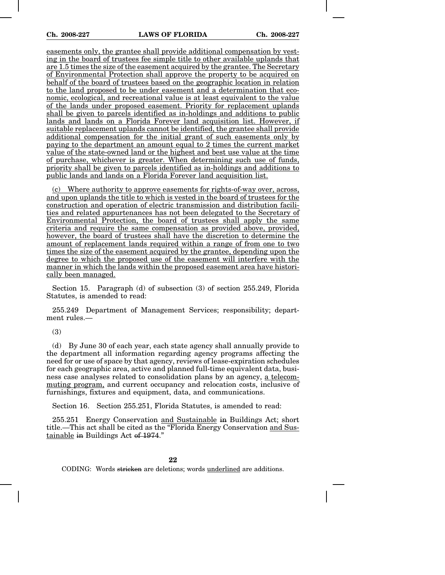easements only, the grantee shall provide additional compensation by vesting in the board of trustees fee simple title to other available uplands that are 1.5 times the size of the easement acquired by the grantee. The Secretary of Environmental Protection shall approve the property to be acquired on behalf of the board of trustees based on the geographic location in relation to the land proposed to be under easement and a determination that economic, ecological, and recreational value is at least equivalent to the value of the lands under proposed easement. Priority for replacement uplands shall be given to parcels identified as in-holdings and additions to public lands and lands on a Florida Forever land acquisition list. However, if suitable replacement uplands cannot be identified, the grantee shall provide additional compensation for the initial grant of such easements only by paying to the department an amount equal to 2 times the current market value of the state-owned land or the highest and best use value at the time of purchase, whichever is greater. When determining such use of funds, priority shall be given to parcels identified as in-holdings and additions to public lands and lands on a Florida Forever land acquisition list.

Where authority to approve easements for rights-of-way over, across, and upon uplands the title to which is vested in the board of trustees for the construction and operation of electric transmission and distribution facilities and related appurtenances has not been delegated to the Secretary of Environmental Protection, the board of trustees shall apply the same criteria and require the same compensation as provided above, provided, however, the board of trustees shall have the discretion to determine the amount of replacement lands required within a range of from one to two times the size of the easement acquired by the grantee, depending upon the degree to which the proposed use of the easement will interfere with the manner in which the lands within the proposed easement area have historically been managed.

Section 15. Paragraph (d) of subsection (3) of section 255.249, Florida Statutes, is amended to read:

255.249 Department of Management Services; responsibility; department rules.—

(3)

(d) By June 30 of each year, each state agency shall annually provide to the department all information regarding agency programs affecting the need for or use of space by that agency, reviews of lease-expiration schedules for each geographic area, active and planned full-time equivalent data, business case analyses related to consolidation plans by an agency, a telecommuting program, and current occupancy and relocation costs, inclusive of furnishings, fixtures and equipment, data, and communications.

Section 16. Section 255.251, Florida Statutes, is amended to read:

255.251 Energy Conservation and Sustainable in Buildings Act; short title.—This act shall be cited as the "Florida Energy Conservation and Sustainable in Buildings Act of 1974."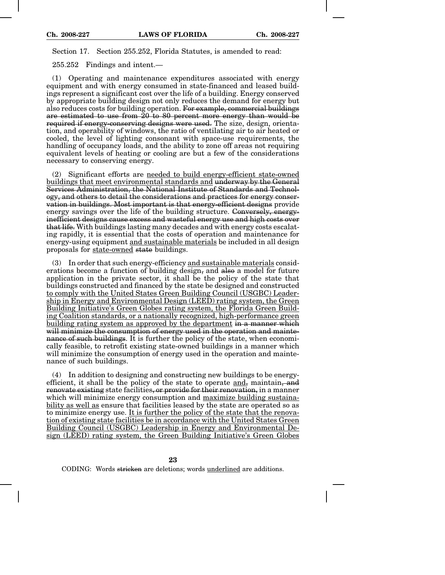Section 17. Section 255.252, Florida Statutes, is amended to read:

255.252 Findings and intent.—

(1) Operating and maintenance expenditures associated with energy equipment and with energy consumed in state-financed and leased buildings represent a significant cost over the life of a building. Energy conserved by appropriate building design not only reduces the demand for energy but also reduces costs for building operation. For example, commercial buildings are estimated to use from 20 to 80 percent more energy than would be required if energy-conserving designs were used. The size, design, orientation, and operability of windows, the ratio of ventilating air to air heated or cooled, the level of lighting consonant with space-use requirements, the handling of occupancy loads, and the ability to zone off areas not requiring equivalent levels of heating or cooling are but a few of the considerations necessary to conserving energy.

(2) Significant efforts are needed to build energy-efficient state-owned buildings that meet environmental standards and underway by the General Services Administration, the National Institute of Standards and Technology, and others to detail the considerations and practices for energy conservation in buildings. Most important is that energy-efficient designs provide energy savings over the life of the building structure. Conversely, energyinefficient designs cause excess and wasteful energy use and high costs over that life. With buildings lasting many decades and with energy costs escalating rapidly, it is essential that the costs of operation and maintenance for energy-using equipment and sustainable materials be included in all design proposals for state-owned state buildings.

(3) In order that such energy-efficiency and sustainable materials considerations become a function of building design, and also a model for future application in the private sector, it shall be the policy of the state that buildings constructed and financed by the state be designed and constructed to comply with the United States Green Building Council (USGBC) Leadership in Energy and Environmental Design (LEED) rating system, the Green Building Initiative's Green Globes rating system, the Florida Green Building Coalition standards, or a nationally recognized, high-performance green building rating system as approved by the department in a manner which will minimize the consumption of energy used in the operation and maintenance of such buildings. It is further the policy of the state, when economically feasible, to retrofit existing state-owned buildings in a manner which will minimize the consumption of energy used in the operation and maintenance of such buildings.

(4) In addition to designing and constructing new buildings to be energyefficient, it shall be the policy of the state to operate and, maintain, and renovate existing state facilities, or provide for their renovation, in a manner which will minimize energy consumption and maximize building sustainability as well as ensure that facilities leased by the state are operated so as to minimize energy use. It is further the policy of the state that the renovation of existing state facilities be in accordance with the United States Green Building Council (USGBC) Leadership in Energy and Environmental Design (LEED) rating system, the Green Building Initiative's Green Globes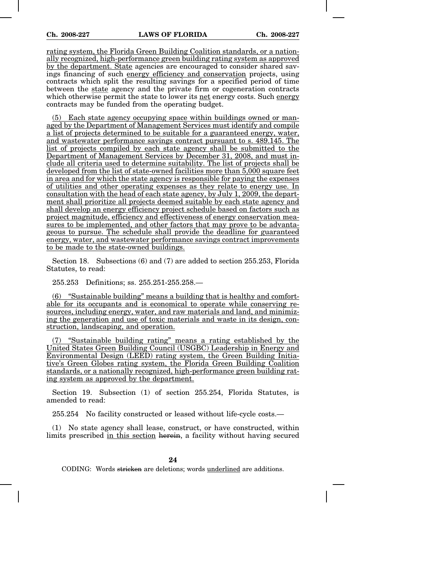rating system, the Florida Green Building Coalition standards, or a nationally recognized, high-performance green building rating system as approved by the department. State agencies are encouraged to consider shared savings financing of such energy efficiency and conservation projects, using contracts which split the resulting savings for a specified period of time between the state agency and the private firm or cogeneration contracts which otherwise permit the state to lower its net energy costs. Such energy contracts may be funded from the operating budget.

(5) Each state agency occupying space within buildings owned or managed by the Department of Management Services must identify and compile a list of projects determined to be suitable for a guaranteed energy, water, and wastewater performance savings contract pursuant to s. 489.145. The list of projects compiled by each state agency shall be submitted to the Department of Management Services by December 31, 2008, and must include all criteria used to determine suitability. The list of projects shall be developed from the list of state-owned facilities more than 5,000 square feet in area and for which the state agency is responsible for paying the expenses of utilities and other operating expenses as they relate to energy use. In consultation with the head of each state agency, by July 1, 2009, the department shall prioritize all projects deemed suitable by each state agency and shall develop an energy efficiency project schedule based on factors such as project magnitude, efficiency and effectiveness of energy conservation measures to be implemented, and other factors that may prove to be advantageous to pursue. The schedule shall provide the deadline for guaranteed energy, water, and wastewater performance savings contract improvements to be made to the state-owned buildings.

Section 18. Subsections (6) and (7) are added to section 255.253, Florida Statutes, to read:

255.253 Definitions; ss. 255.251-255.258.—

(6) "Sustainable building" means a building that is healthy and comfortable for its occupants and is economical to operate while conserving resources, including energy, water, and raw materials and land, and minimizing the generation and use of toxic materials and waste in its design, construction, landscaping, and operation.

(7) "Sustainable building rating" means a rating established by the United States Green Building Council (USGBC) Leadership in Energy and Environmental Design (LEED) rating system, the Green Building Initiative's Green Globes rating system, the Florida Green Building Coalition standards, or a nationally recognized, high-performance green building rating system as approved by the department.

Section 19. Subsection (1) of section 255.254, Florida Statutes, is amended to read:

255.254 No facility constructed or leased without life-cycle costs.—

(1) No state agency shall lease, construct, or have constructed, within limits prescribed in this section herein, a facility without having secured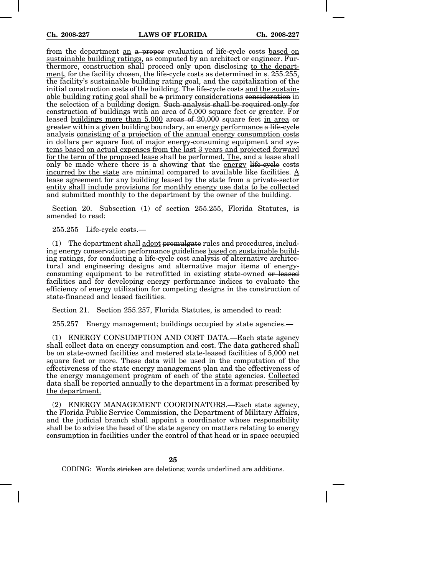from the department an a proper evaluation of life-cycle costs based on sustainable building ratings, as computed by an architect or engineer. Furthermore, construction shall proceed only upon disclosing to the department, for the facility chosen, the life-cycle costs as determined in s. 255.255, the facility's sustainable building rating goal, and the capitalization of the initial construction costs of the building. The life-cycle costs and the sustainable building rating goal shall be a primary considerations consideration in the selection of a building design. Such analysis shall be required only for construction of buildings with an area of 5,000 square feet or greater. For leased buildings more than 5,000 areas of 20,000 square feet in area or greater within a given building boundary, an energy performance a life-cycle analysis consisting of a projection of the annual energy consumption costs in dollars per square foot of major energy-consuming equipment and systems based on actual expenses from the last 3 years and projected forward for the term of the proposed lease shall be performed. The, and a lease shall only be made where there is a showing that the energy life-cycle costs incurred by the state are minimal compared to available like facilities. A lease agreement for any building leased by the state from a private-sector entity shall include provisions for monthly energy use data to be collected and submitted monthly to the department by the owner of the building.

Section 20. Subsection (1) of section 255.255, Florida Statutes, is amended to read:

255.255 Life-cycle costs.—

 $(1)$  The department shall adopt promulgate rules and procedures, including energy conservation performance guidelines based on sustainable building ratings, for conducting a life-cycle cost analysis of alternative architectural and engineering designs and alternative major items of energyconsuming equipment to be retrofitted in existing state-owned or leased facilities and for developing energy performance indices to evaluate the efficiency of energy utilization for competing designs in the construction of state-financed and leased facilities.

Section 21. Section 255.257, Florida Statutes, is amended to read:

255.257 Energy management; buildings occupied by state agencies.—

(1) ENERGY CONSUMPTION AND COST DATA.—Each state agency shall collect data on energy consumption and cost. The data gathered shall be on state-owned facilities and metered state-leased facilities of 5,000 net square feet or more. These data will be used in the computation of the effectiveness of the state energy management plan and the effectiveness of the energy management program of each of the state agencies. Collected data shall be reported annually to the department in a format prescribed by the department.

(2) ENERGY MANAGEMENT COORDINATORS.—Each state agency, the Florida Public Service Commission, the Department of Military Affairs, and the judicial branch shall appoint a coordinator whose responsibility shall be to advise the head of the state agency on matters relating to energy consumption in facilities under the control of that head or in space occupied

**25**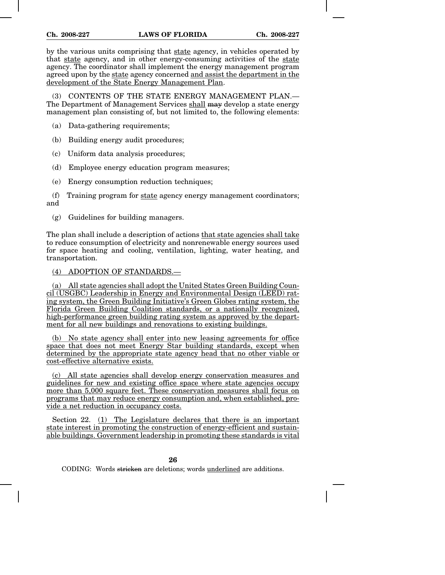by the various units comprising that state agency, in vehicles operated by that state agency, and in other energy-consuming activities of the state agency. The coordinator shall implement the energy management program agreed upon by the state agency concerned and assist the department in the development of the State Energy Management Plan.

(3) CONTENTS OF THE STATE ENERGY MANAGEMENT PLAN.— The Department of Management Services shall may develop a state energy management plan consisting of, but not limited to, the following elements:

- (a) Data-gathering requirements;
- (b) Building energy audit procedures;
- (c) Uniform data analysis procedures;
- (d) Employee energy education program measures;
- (e) Energy consumption reduction techniques;

(f) Training program for state agency energy management coordinators; and

(g) Guidelines for building managers.

The plan shall include a description of actions that state agencies shall take to reduce consumption of electricity and nonrenewable energy sources used for space heating and cooling, ventilation, lighting, water heating, and transportation.

## (4) ADOPTION OF STANDARDS.—

(a) All state agencies shall adopt the United States Green Building Council (USGBC) Leadership in Energy and Environmental Design (LEED) rating system, the Green Building Initiative's Green Globes rating system, the Florida Green Building Coalition standards, or a nationally recognized, high-performance green building rating system as approved by the department for all new buildings and renovations to existing buildings.

(b) No state agency shall enter into new leasing agreements for office space that does not meet Energy Star building standards, except when determined by the appropriate state agency head that no other viable or cost-effective alternative exists.

(c) All state agencies shall develop energy conservation measures and guidelines for new and existing office space where state agencies occupy more than 5,000 square feet. These conservation measures shall focus on programs that may reduce energy consumption and, when established, provide a net reduction in occupancy costs.

Section 22. (1) The Legislature declares that there is an important state interest in promoting the construction of energy-efficient and sustainable buildings. Government leadership in promoting these standards is vital

**26**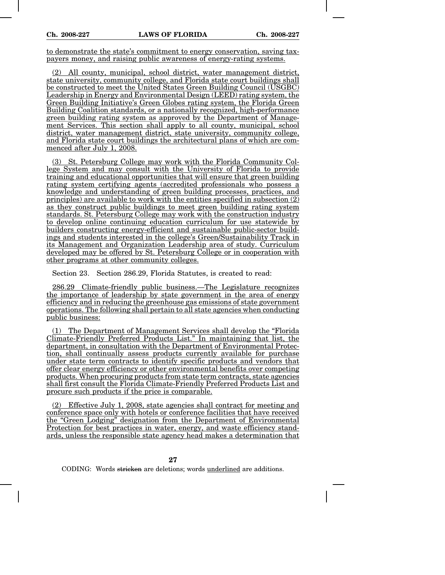to demonstrate the state's commitment to energy conservation, saving taxpayers money, and raising public awareness of energy-rating systems.

(2) All county, municipal, school district, water management district, state university, community college, and Florida state court buildings shall be constructed to meet the United States Green Building Council (USGBC) Leadership in Energy and Environmental Design (LEED) rating system, the Green Building Initiative's Green Globes rating system, the Florida Green Building Coalition standards, or a nationally recognized, high-performance green building rating system as approved by the Department of Management Services. This section shall apply to all county, municipal, school district, water management district, state university, community college, and Florida state court buildings the architectural plans of which are commenced after July 1, 2008.

(3) St. Petersburg College may work with the Florida Community College System and may consult with the University of Florida to provide training and educational opportunities that will ensure that green building rating system certifying agents (accredited professionals who possess a knowledge and understanding of green building processes, practices, and principles) are available to work with the entities specified in subsection (2) as they construct public buildings to meet green building rating system standards. St. Petersburg College may work with the construction industry to develop online continuing education curriculum for use statewide by builders constructing energy-efficient and sustainable public-sector buildings and students interested in the college's Green/Sustainability Track in its Management and Organization Leadership area of study. Curriculum developed may be offered by St. Petersburg College or in cooperation with other programs at other community colleges.

Section 23. Section 286.29, Florida Statutes, is created to read:

286.29 Climate-friendly public business.—The Legislature recognizes the importance of leadership by state government in the area of energy efficiency and in reducing the greenhouse gas emissions of state government operations. The following shall pertain to all state agencies when conducting public business:

(1) The Department of Management Services shall develop the "Florida Climate-Friendly Preferred Products List." In maintaining that list, the department, in consultation with the Department of Environmental Protection, shall continually assess products currently available for purchase under state term contracts to identify specific products and vendors that offer clear energy efficiency or other environmental benefits over competing products. When procuring products from state term contracts, state agencies shall first consult the Florida Climate-Friendly Preferred Products List and procure such products if the price is comparable.

(2) Effective July 1, 2008, state agencies shall contract for meeting and conference space only with hotels or conference facilities that have received the "Green Lodging" designation from the Department of Environmental Protection for best practices in water, energy, and waste efficiency standards, unless the responsible state agency head makes a determination that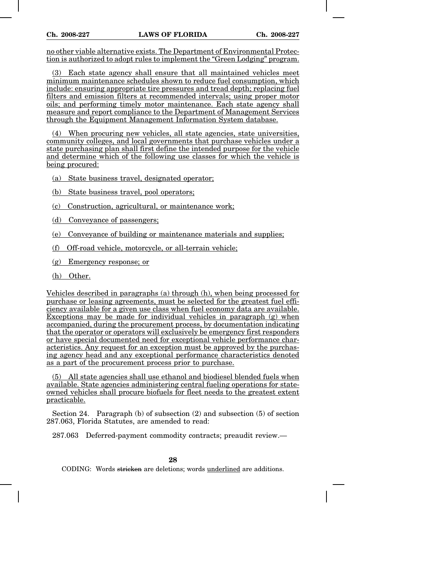no other viable alternative exists. The Department of Environmental Protection is authorized to adopt rules to implement the "Green Lodging" program.

(3) Each state agency shall ensure that all maintained vehicles meet minimum maintenance schedules shown to reduce fuel consumption, which include: ensuring appropriate tire pressures and tread depth; replacing fuel filters and emission filters at recommended intervals; using proper motor oils; and performing timely motor maintenance. Each state agency shall measure and report compliance to the Department of Management Services through the Equipment Management Information System database.

(4) When procuring new vehicles, all state agencies, state universities, community colleges, and local governments that purchase vehicles under a state purchasing plan shall first define the intended purpose for the vehicle and determine which of the following use classes for which the vehicle is being procured:

- (a) State business travel, designated operator;
- (b) State business travel, pool operators;
- (c) Construction, agricultural, or maintenance work;
- (d) Conveyance of passengers;
- (e) Conveyance of building or maintenance materials and supplies;
- (f) Off-road vehicle, motorcycle, or all-terrain vehicle;
- (g) Emergency response; or
- (h) Other.

Vehicles described in paragraphs (a) through (h), when being processed for purchase or leasing agreements, must be selected for the greatest fuel efficiency available for a given use class when fuel economy data are available. Exceptions may be made for individual vehicles in paragraph (g) when accompanied, during the procurement process, by documentation indicating that the operator or operators will exclusively be emergency first responders or have special documented need for exceptional vehicle performance characteristics. Any request for an exception must be approved by the purchasing agency head and any exceptional performance characteristics denoted as a part of the procurement process prior to purchase.

(5) All state agencies shall use ethanol and biodiesel blended fuels when available. State agencies administering central fueling operations for stateowned vehicles shall procure biofuels for fleet needs to the greatest extent practicable.

Section 24. Paragraph (b) of subsection (2) and subsection (5) of section 287.063, Florida Statutes, are amended to read:

287.063 Deferred-payment commodity contracts; preaudit review.—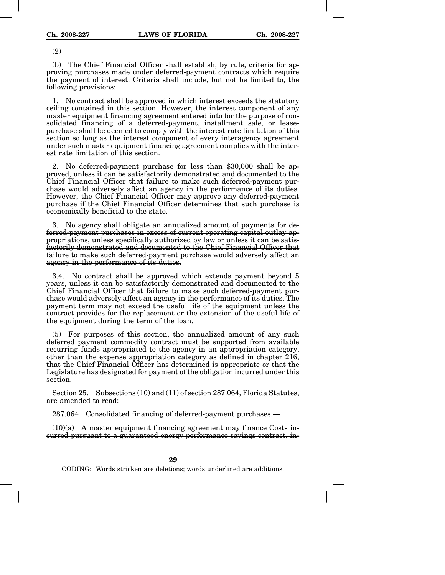(2)

(b) The Chief Financial Officer shall establish, by rule, criteria for approving purchases made under deferred-payment contracts which require the payment of interest. Criteria shall include, but not be limited to, the following provisions:

1. No contract shall be approved in which interest exceeds the statutory ceiling contained in this section. However, the interest component of any master equipment financing agreement entered into for the purpose of consolidated financing of a deferred-payment, installment sale, or leasepurchase shall be deemed to comply with the interest rate limitation of this section so long as the interest component of every interagency agreement under such master equipment financing agreement complies with the interest rate limitation of this section.

2. No deferred-payment purchase for less than \$30,000 shall be approved, unless it can be satisfactorily demonstrated and documented to the Chief Financial Officer that failure to make such deferred-payment purchase would adversely affect an agency in the performance of its duties. However, the Chief Financial Officer may approve any deferred-payment purchase if the Chief Financial Officer determines that such purchase is economically beneficial to the state.

3. No agency shall obligate an annualized amount of payments for deferred-payment purchases in excess of current operating capital outlay appropriations, unless specifically authorized by law or unless it can be satisfactorily demonstrated and documented to the Chief Financial Officer that failure to make such deferred-payment purchase would adversely affect an agency in the performance of its duties.

3.4. No contract shall be approved which extends payment beyond 5 years, unless it can be satisfactorily demonstrated and documented to the Chief Financial Officer that failure to make such deferred-payment purchase would adversely affect an agency in the performance of its duties. The payment term may not exceed the useful life of the equipment unless the contract provides for the replacement or the extension of the useful life of the equipment during the term of the loan.

(5) For purposes of this section, the annualized amount of any such deferred payment commodity contract must be supported from available recurring funds appropriated to the agency in an appropriation category, other than the expense appropriation category as defined in chapter 216, that the Chief Financial Officer has determined is appropriate or that the Legislature has designated for payment of the obligation incurred under this section.

Section 25. Subsections (10) and (11) of section 287.064, Florida Statutes, are amended to read:

287.064 Consolidated financing of deferred-payment purchases.—

 $(10)(a)$  A master equipment financing agreement may finance Costs incurred pursuant to a guaranteed energy performance savings contract, in-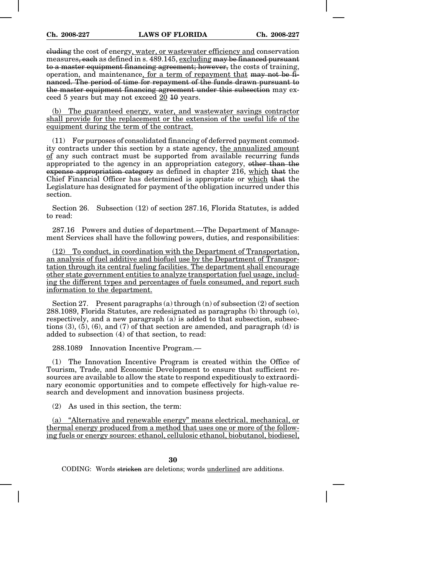cluding the cost of energy, water, or wastewater efficiency and conservation measures, each as defined in s. 489.145, excluding may be financed pursuant to a master equipment financing agreement; however, the costs of training, operation, and maintenance, for a term of repayment that may not be financed. The period of time for repayment of the funds drawn pursuant to the master equipment financing agreement under this subsection may exceed 5 years but may not exceed 20 10 years.

(b) The guaranteed energy, water, and wastewater savings contractor shall provide for the replacement or the extension of the useful life of the equipment during the term of the contract.

(11) For purposes of consolidated financing of deferred payment commodity contracts under this section by a state agency, the annualized amount of any such contract must be supported from available recurring funds appropriated to the agency in an appropriation category, other than the expense appropriation category as defined in chapter 216, which that the Chief Financial Officer has determined is appropriate or which that the Legislature has designated for payment of the obligation incurred under this section.

Section 26. Subsection (12) of section 287.16, Florida Statutes, is added to read:

287.16 Powers and duties of department.—The Department of Management Services shall have the following powers, duties, and responsibilities:

(12) To conduct, in coordination with the Department of Transportation, an analysis of fuel additive and biofuel use by the Department of Transportation through its central fueling facilities. The department shall encourage other state government entities to analyze transportation fuel usage, including the different types and percentages of fuels consumed, and report such information to the department.

Section 27. Present paragraphs (a) through (n) of subsection (2) of section 288.1089, Florida Statutes, are redesignated as paragraphs (b) through (o), respectively, and a new paragraph (a) is added to that subsection, subsections  $(3)$ ,  $(5)$ ,  $(6)$ , and  $(7)$  of that section are amended, and paragraph  $(d)$  is added to subsection (4) of that section, to read:

288.1089 Innovation Incentive Program.—

(1) The Innovation Incentive Program is created within the Office of Tourism, Trade, and Economic Development to ensure that sufficient resources are available to allow the state to respond expeditiously to extraordinary economic opportunities and to compete effectively for high-value research and development and innovation business projects.

(2) As used in this section, the term:

(a) "Alternative and renewable energy" means electrical, mechanical, or thermal energy produced from a method that uses one or more of the following fuels or energy sources: ethanol, cellulosic ethanol, biobutanol, biodiesel,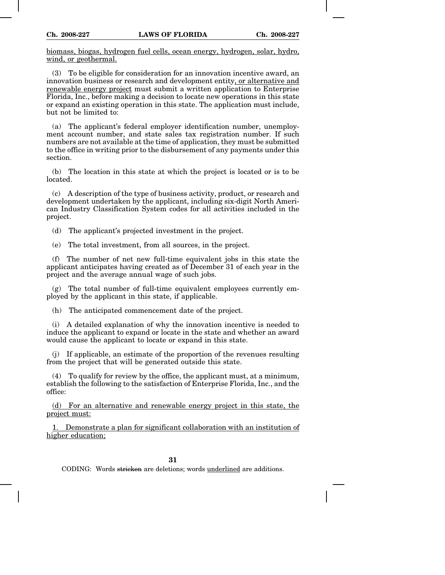biomass, biogas, hydrogen fuel cells, ocean energy, hydrogen, solar, hydro, wind, or geothermal.

(3) To be eligible for consideration for an innovation incentive award, an innovation business or research and development entity, or alternative and renewable energy project must submit a written application to Enterprise Florida, Inc., before making a decision to locate new operations in this state or expand an existing operation in this state. The application must include, but not be limited to:

(a) The applicant's federal employer identification number, unemployment account number, and state sales tax registration number. If such numbers are not available at the time of application, they must be submitted to the office in writing prior to the disbursement of any payments under this section.

(b) The location in this state at which the project is located or is to be located.

(c) A description of the type of business activity, product, or research and development undertaken by the applicant, including six-digit North American Industry Classification System codes for all activities included in the project.

(d) The applicant's projected investment in the project.

(e) The total investment, from all sources, in the project.

(f) The number of net new full-time equivalent jobs in this state the applicant anticipates having created as of December 31 of each year in the project and the average annual wage of such jobs.

 $(g)$  The total number of full-time equivalent employees currently employed by the applicant in this state, if applicable.

(h) The anticipated commencement date of the project.

(i) A detailed explanation of why the innovation incentive is needed to induce the applicant to expand or locate in the state and whether an award would cause the applicant to locate or expand in this state.

(j) If applicable, an estimate of the proportion of the revenues resulting from the project that will be generated outside this state.

(4) To qualify for review by the office, the applicant must, at a minimum, establish the following to the satisfaction of Enterprise Florida, Inc., and the office:

(d) For an alternative and renewable energy project in this state, the project must:

1. Demonstrate a plan for significant collaboration with an institution of higher education;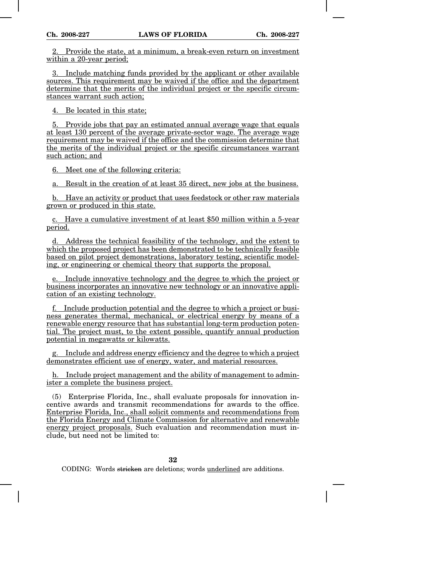2. Provide the state, at a minimum, a break-even return on investment within a 20-year period:

3. Include matching funds provided by the applicant or other available sources. This requirement may be waived if the office and the department determine that the merits of the individual project or the specific circumstances warrant such action;

4. Be located in this state;

5. Provide jobs that pay an estimated annual average wage that equals at least 130 percent of the average private-sector wage. The average wage requirement may be waived if the office and the commission determine that the merits of the individual project or the specific circumstances warrant such action; and

6. Meet one of the following criteria:

a. Result in the creation of at least 35 direct, new jobs at the business.

b. Have an activity or product that uses feedstock or other raw materials grown or produced in this state.

c. Have a cumulative investment of at least \$50 million within a 5-year period.

d. Address the technical feasibility of the technology, and the extent to which the proposed project has been demonstrated to be technically feasible based on pilot project demonstrations, laboratory testing, scientific modeling, or engineering or chemical theory that supports the proposal.

e. Include innovative technology and the degree to which the project or business incorporates an innovative new technology or an innovative application of an existing technology.

f. Include production potential and the degree to which a project or business generates thermal, mechanical, or electrical energy by means of a renewable energy resource that has substantial long-term production potential. The project must, to the extent possible, quantify annual production potential in megawatts or kilowatts.

Include and address energy efficiency and the degree to which a project demonstrates efficient use of energy, water, and material resources.

h. Include project management and the ability of management to administer a complete the business project.

(5) Enterprise Florida, Inc., shall evaluate proposals for innovation incentive awards and transmit recommendations for awards to the office. Enterprise Florida, Inc., shall solicit comments and recommendations from the Florida Energy and Climate Commission for alternative and renewable energy project proposals. Such evaluation and recommendation must include, but need not be limited to: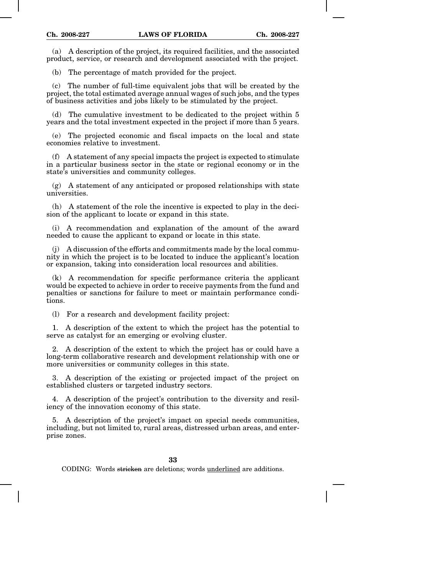(a) A description of the project, its required facilities, and the associated product, service, or research and development associated with the project.

(b) The percentage of match provided for the project.

(c) The number of full-time equivalent jobs that will be created by the project, the total estimated average annual wages of such jobs, and the types of business activities and jobs likely to be stimulated by the project.

(d) The cumulative investment to be dedicated to the project within 5 years and the total investment expected in the project if more than 5 years.

(e) The projected economic and fiscal impacts on the local and state economies relative to investment.

(f) A statement of any special impacts the project is expected to stimulate in a particular business sector in the state or regional economy or in the state's universities and community colleges.

(g) A statement of any anticipated or proposed relationships with state universities.

(h) A statement of the role the incentive is expected to play in the decision of the applicant to locate or expand in this state.

(i) A recommendation and explanation of the amount of the award needed to cause the applicant to expand or locate in this state.

(j) A discussion of the efforts and commitments made by the local community in which the project is to be located to induce the applicant's location or expansion, taking into consideration local resources and abilities.

(k) A recommendation for specific performance criteria the applicant would be expected to achieve in order to receive payments from the fund and penalties or sanctions for failure to meet or maintain performance conditions.

(l) For a research and development facility project:

1. A description of the extent to which the project has the potential to serve as catalyst for an emerging or evolving cluster.

2. A description of the extent to which the project has or could have a long-term collaborative research and development relationship with one or more universities or community colleges in this state.

3. A description of the existing or projected impact of the project on established clusters or targeted industry sectors.

4. A description of the project's contribution to the diversity and resiliency of the innovation economy of this state.

5. A description of the project's impact on special needs communities, including, but not limited to, rural areas, distressed urban areas, and enterprise zones.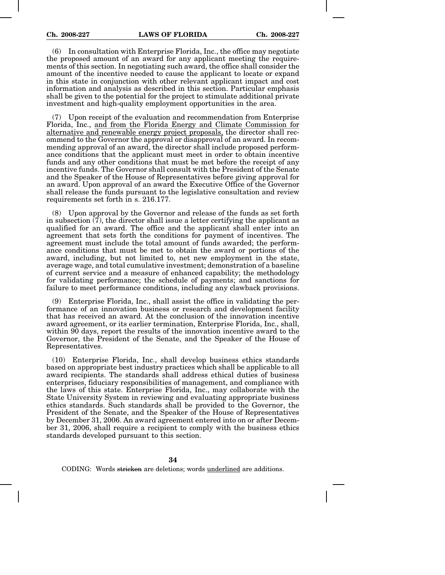(6) In consultation with Enterprise Florida, Inc., the office may negotiate the proposed amount of an award for any applicant meeting the requirements of this section. In negotiating such award, the office shall consider the amount of the incentive needed to cause the applicant to locate or expand in this state in conjunction with other relevant applicant impact and cost information and analysis as described in this section. Particular emphasis shall be given to the potential for the project to stimulate additional private investment and high-quality employment opportunities in the area.

(7) Upon receipt of the evaluation and recommendation from Enterprise Florida, Inc., and from the Florida Energy and Climate Commission for alternative and renewable energy project proposals, the director shall recommend to the Governor the approval or disapproval of an award. In recommending approval of an award, the director shall include proposed performance conditions that the applicant must meet in order to obtain incentive funds and any other conditions that must be met before the receipt of any incentive funds. The Governor shall consult with the President of the Senate and the Speaker of the House of Representatives before giving approval for an award. Upon approval of an award the Executive Office of the Governor shall release the funds pursuant to the legislative consultation and review requirements set forth in s. 216.177.

(8) Upon approval by the Governor and release of the funds as set forth in subsection  $(\bar{7})$ , the director shall issue a letter certifying the applicant as qualified for an award. The office and the applicant shall enter into an agreement that sets forth the conditions for payment of incentives. The agreement must include the total amount of funds awarded; the performance conditions that must be met to obtain the award or portions of the award, including, but not limited to, net new employment in the state, average wage, and total cumulative investment; demonstration of a baseline of current service and a measure of enhanced capability; the methodology for validating performance; the schedule of payments; and sanctions for failure to meet performance conditions, including any clawback provisions.

(9) Enterprise Florida, Inc., shall assist the office in validating the performance of an innovation business or research and development facility that has received an award. At the conclusion of the innovation incentive award agreement, or its earlier termination, Enterprise Florida, Inc., shall, within 90 days, report the results of the innovation incentive award to the Governor, the President of the Senate, and the Speaker of the House of Representatives.

(10) Enterprise Florida, Inc., shall develop business ethics standards based on appropriate best industry practices which shall be applicable to all award recipients. The standards shall address ethical duties of business enterprises, fiduciary responsibilities of management, and compliance with the laws of this state. Enterprise Florida, Inc., may collaborate with the State University System in reviewing and evaluating appropriate business ethics standards. Such standards shall be provided to the Governor, the President of the Senate, and the Speaker of the House of Representatives by December 31, 2006. An award agreement entered into on or after December 31, 2006, shall require a recipient to comply with the business ethics standards developed pursuant to this section.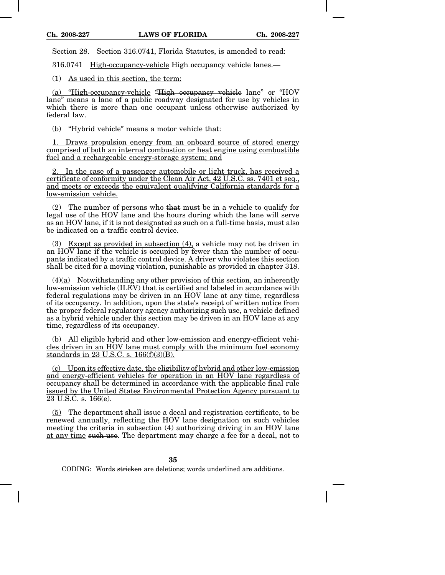Section 28. Section 316.0741, Florida Statutes, is amended to read:

316.0741 High-occupancy-vehicle High occupancy vehicle lanes.—

(1) As used in this section, the term:

(a) "High-occupancy-vehicle "High occupancy vehicle lane" or "HOV lane" means a lane of a public roadway designated for use by vehicles in which there is more than one occupant unless otherwise authorized by federal law.

(b) "Hybrid vehicle" means a motor vehicle that:

1. Draws propulsion energy from an onboard source of stored energy comprised of both an internal combustion or heat engine using combustible fuel and a rechargeable energy-storage system; and

2. In the case of a passenger automobile or light truck, has received a certificate of conformity under the Clean Air Act, 42 U.S.C. ss. 7401 et seq., and meets or exceeds the equivalent qualifying California standards for a low-emission vehicle.

(2) The number of persons who that must be in a vehicle to qualify for legal use of the HOV lane and the hours during which the lane will serve as an HOV lane, if it is not designated as such on a full-time basis, must also be indicated on a traffic control device.

(3) Except as provided in subsection (4), a vehicle may not be driven in an HOV lane if the vehicle is occupied by fewer than the number of occupants indicated by a traffic control device. A driver who violates this section shall be cited for a moving violation, punishable as provided in chapter 318.

(4)(a) Notwithstanding any other provision of this section, an inherently low-emission vehicle (ILEV) that is certified and labeled in accordance with federal regulations may be driven in an HOV lane at any time, regardless of its occupancy. In addition, upon the state's receipt of written notice from the proper federal regulatory agency authorizing such use, a vehicle defined as a hybrid vehicle under this section may be driven in an HOV lane at any time, regardless of its occupancy.

(b) All eligible hybrid and other low-emission and energy-efficient vehicles driven in an HOV lane must comply with the minimum fuel economy standards in 23 U.S.C. s. 166(f)(3)(B).

(c) Upon its effective date, the eligibility of hybrid and other low-emission and energy-efficient vehicles for operation in an HOV lane regardless of occupancy shall be determined in accordance with the applicable final rule issued by the United States Environmental Protection Agency pursuant to 23 U.S.C. s. 166(e).

(5) The department shall issue a decal and registration certificate, to be renewed annually, reflecting the HOV lane designation on such vehicles meeting the criteria in subsection (4) authorizing driving in an HOV lane at any time such use. The department may charge a fee for a decal, not to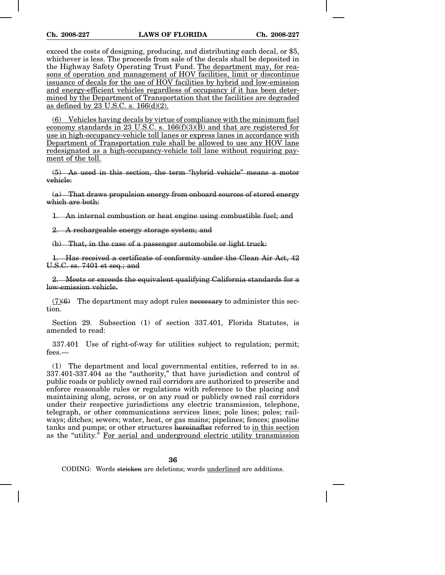exceed the costs of designing, producing, and distributing each decal, or \$5, whichever is less. The proceeds from sale of the decals shall be deposited in the Highway Safety Operating Trust Fund. The department may, for reasons of operation and management of HOV facilities, limit or discontinue issuance of decals for the use of HOV facilities by hybrid and low-emission and energy-efficient vehicles regardless of occupancy if it has been determined by the Department of Transportation that the facilities are degraded as defined by 23 U.S.C. s. 166(d)(2).

(6) Vehicles having decals by virtue of compliance with the minimum fuel economy standards in 23 U.S.C. s.  $166(f)(3)(B)$  and that are registered for use in high-occupancy-vehicle toll lanes or express lanes in accordance with Department of Transportation rule shall be allowed to use any HOV lane redesignated as a high-occupancy-vehicle toll lane without requiring payment of the toll.

(5) As used in this section, the term "hybrid vehicle" means a motor vehicle:

(a) That draws propulsion energy from onboard sources of stored energy which are both:

1. An internal combustion or heat engine using combustible fuel; and

2. A rechargeable energy storage system; and

(b) That, in the case of a passenger automobile or light truck:

1. Has received a certificate of conformity under the Clean Air Act, 42 U.S.C. ss. 7401 et seq.; and

2. Meets or exceeds the equivalent qualifying California standards for a low-emission vehicle.

 $(7)(6)$  The department may adopt rules necessary to administer this section.

Section 29. Subsection (1) of section 337.401, Florida Statutes, is amended to read:

337.401 Use of right-of-way for utilities subject to regulation; permit; fees.—

(1) The department and local governmental entities, referred to in ss. 337.401-337.404 as the "authority," that have jurisdiction and control of public roads or publicly owned rail corridors are authorized to prescribe and enforce reasonable rules or regulations with reference to the placing and maintaining along, across, or on any road or publicly owned rail corridors under their respective jurisdictions any electric transmission, telephone, telegraph, or other communications services lines; pole lines; poles; railways; ditches; sewers; water, heat, or gas mains; pipelines; fences; gasoline tanks and pumps; or other structures hereinafter referred to in this section as the "utility." For aerial and underground electric utility transmission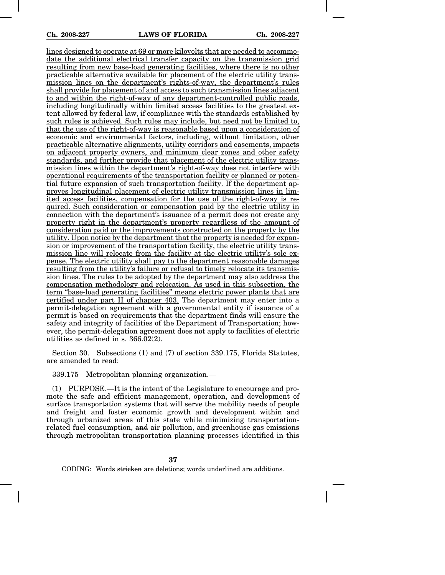lines designed to operate at 69 or more kilovolts that are needed to accommodate the additional electrical transfer capacity on the transmission grid resulting from new base-load generating facilities, where there is no other practicable alternative available for placement of the electric utility transmission lines on the department's rights-of-way, the department's rules shall provide for placement of and access to such transmission lines adjacent to and within the right-of-way of any department-controlled public roads, including longitudinally within limited access facilities to the greatest extent allowed by federal law, if compliance with the standards established by such rules is achieved. Such rules may include, but need not be limited to, that the use of the right-of-way is reasonable based upon a consideration of economic and environmental factors, including, without limitation, other practicable alternative alignments, utility corridors and easements, impacts on adjacent property owners, and minimum clear zones and other safety standards, and further provide that placement of the electric utility transmission lines within the department's right-of-way does not interfere with operational requirements of the transportation facility or planned or potential future expansion of such transportation facility. If the department approves longitudinal placement of electric utility transmission lines in limited access facilities, compensation for the use of the right-of-way is required. Such consideration or compensation paid by the electric utility in connection with the department's issuance of a permit does not create any property right in the department's property regardless of the amount of consideration paid or the improvements constructed on the property by the utility. Upon notice by the department that the property is needed for expansion or improvement of the transportation facility, the electric utility transmission line will relocate from the facility at the electric utility's sole expense. The electric utility shall pay to the department reasonable damages resulting from the utility's failure or refusal to timely relocate its transmission lines. The rules to be adopted by the department may also address the compensation methodology and relocation. As used in this subsection, the term "base-load generating facilities" means electric power plants that are certified under part II of chapter 403. The department may enter into a permit-delegation agreement with a governmental entity if issuance of a permit is based on requirements that the department finds will ensure the safety and integrity of facilities of the Department of Transportation; however, the permit-delegation agreement does not apply to facilities of electric utilities as defined in s. 366.02(2).

Section 30. Subsections (1) and (7) of section 339.175, Florida Statutes, are amended to read:

339.175 Metropolitan planning organization.—

(1) PURPOSE.—It is the intent of the Legislature to encourage and promote the safe and efficient management, operation, and development of surface transportation systems that will serve the mobility needs of people and freight and foster economic growth and development within and through urbanized areas of this state while minimizing transportationrelated fuel consumption, and air pollution, and greenhouse gas emissions through metropolitan transportation planning processes identified in this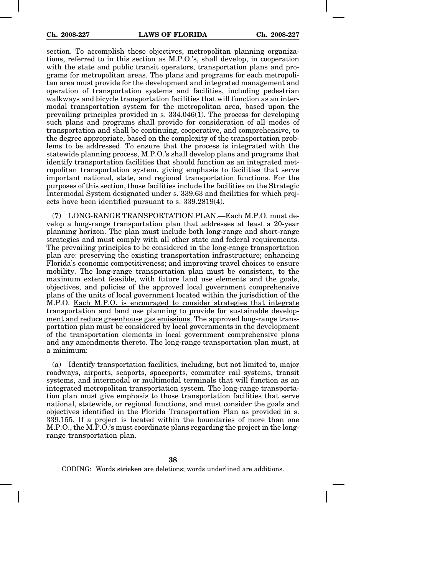section. To accomplish these objectives, metropolitan planning organizations, referred to in this section as M.P.O.'s, shall develop, in cooperation with the state and public transit operators, transportation plans and programs for metropolitan areas. The plans and programs for each metropolitan area must provide for the development and integrated management and operation of transportation systems and facilities, including pedestrian walkways and bicycle transportation facilities that will function as an intermodal transportation system for the metropolitan area, based upon the prevailing principles provided in s. 334.046(1). The process for developing such plans and programs shall provide for consideration of all modes of transportation and shall be continuing, cooperative, and comprehensive, to the degree appropriate, based on the complexity of the transportation problems to be addressed. To ensure that the process is integrated with the statewide planning process, M.P.O.'s shall develop plans and programs that identify transportation facilities that should function as an integrated metropolitan transportation system, giving emphasis to facilities that serve important national, state, and regional transportation functions. For the purposes of this section, those facilities include the facilities on the Strategic Intermodal System designated under s. 339.63 and facilities for which projects have been identified pursuant to s. 339.2819(4).

(7) LONG-RANGE TRANSPORTATION PLAN.—Each M.P.O. must develop a long-range transportation plan that addresses at least a 20-year planning horizon. The plan must include both long-range and short-range strategies and must comply with all other state and federal requirements. The prevailing principles to be considered in the long-range transportation plan are: preserving the existing transportation infrastructure; enhancing Florida's economic competitiveness; and improving travel choices to ensure mobility. The long-range transportation plan must be consistent, to the maximum extent feasible, with future land use elements and the goals, objectives, and policies of the approved local government comprehensive plans of the units of local government located within the jurisdiction of the M.P.O. Each M.P.O. is encouraged to consider strategies that integrate transportation and land use planning to provide for sustainable development and reduce greenhouse gas emissions. The approved long-range transportation plan must be considered by local governments in the development of the transportation elements in local government comprehensive plans and any amendments thereto. The long-range transportation plan must, at a minimum:

(a) Identify transportation facilities, including, but not limited to, major roadways, airports, seaports, spaceports, commuter rail systems, transit systems, and intermodal or multimodal terminals that will function as an integrated metropolitan transportation system. The long-range transportation plan must give emphasis to those transportation facilities that serve national, statewide, or regional functions, and must consider the goals and objectives identified in the Florida Transportation Plan as provided in s. 339.155. If a project is located within the boundaries of more than one M.P.O., the M.P.O.'s must coordinate plans regarding the project in the longrange transportation plan.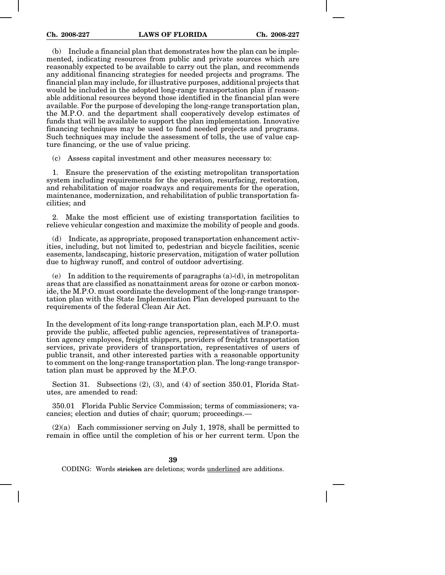(b) Include a financial plan that demonstrates how the plan can be implemented, indicating resources from public and private sources which are reasonably expected to be available to carry out the plan, and recommends any additional financing strategies for needed projects and programs. The financial plan may include, for illustrative purposes, additional projects that would be included in the adopted long-range transportation plan if reasonable additional resources beyond those identified in the financial plan were available. For the purpose of developing the long-range transportation plan, the M.P.O. and the department shall cooperatively develop estimates of funds that will be available to support the plan implementation. Innovative financing techniques may be used to fund needed projects and programs. Such techniques may include the assessment of tolls, the use of value capture financing, or the use of value pricing.

(c) Assess capital investment and other measures necessary to:

1. Ensure the preservation of the existing metropolitan transportation system including requirements for the operation, resurfacing, restoration, and rehabilitation of major roadways and requirements for the operation, maintenance, modernization, and rehabilitation of public transportation facilities; and

2. Make the most efficient use of existing transportation facilities to relieve vehicular congestion and maximize the mobility of people and goods.

(d) Indicate, as appropriate, proposed transportation enhancement activities, including, but not limited to, pedestrian and bicycle facilities, scenic easements, landscaping, historic preservation, mitigation of water pollution due to highway runoff, and control of outdoor advertising.

(e) In addition to the requirements of paragraphs (a)-(d), in metropolitan areas that are classified as nonattainment areas for ozone or carbon monoxide, the M.P.O. must coordinate the development of the long-range transportation plan with the State Implementation Plan developed pursuant to the requirements of the federal Clean Air Act.

In the development of its long-range transportation plan, each M.P.O. must provide the public, affected public agencies, representatives of transportation agency employees, freight shippers, providers of freight transportation services, private providers of transportation, representatives of users of public transit, and other interested parties with a reasonable opportunity to comment on the long-range transportation plan. The long-range transportation plan must be approved by the M.P.O.

Section 31. Subsections  $(2)$ ,  $(3)$ , and  $(4)$  of section 350.01, Florida Statutes, are amended to read:

350.01 Florida Public Service Commission; terms of commissioners; vacancies; election and duties of chair; quorum; proceedings.—

 $(2)(a)$  Each commissioner serving on July 1, 1978, shall be permitted to remain in office until the completion of his or her current term. Upon the

**39**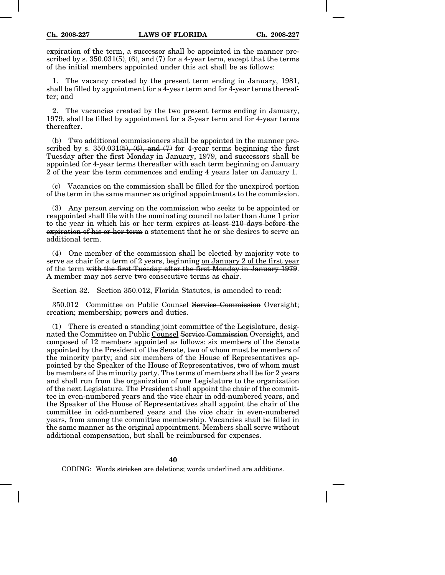expiration of the term, a successor shall be appointed in the manner prescribed by s.  $350.031(5)$ ,  $(6)$ , and  $(7)$  for a 4-year term, except that the terms of the initial members appointed under this act shall be as follows:

1. The vacancy created by the present term ending in January, 1981, shall be filled by appointment for a 4-year term and for 4-year terms thereafter; and

2. The vacancies created by the two present terms ending in January, 1979, shall be filled by appointment for a 3-year term and for 4-year terms thereafter.

(b) Two additional commissioners shall be appointed in the manner prescribed by s. 350.031 $(5)$ ,  $(6)$ , and  $(7)$  for 4-year terms beginning the first Tuesday after the first Monday in January, 1979, and successors shall be appointed for 4-year terms thereafter with each term beginning on January 2 of the year the term commences and ending 4 years later on January 1.

(c) Vacancies on the commission shall be filled for the unexpired portion of the term in the same manner as original appointments to the commission.

(3) Any person serving on the commission who seeks to be appointed or reappointed shall file with the nominating council no later than June 1 prior to the year in which his or her term expires at least 210 days before the expiration of his or her term a statement that he or she desires to serve an additional term.

(4) One member of the commission shall be elected by majority vote to serve as chair for a term of 2 years, beginning on January 2 of the first year of the term with the first Tuesday after the first Monday in January 1979. A member may not serve two consecutive terms as chair.

Section 32. Section 350.012, Florida Statutes, is amended to read:

350.012 Committee on Public Counsel Service Commission Oversight; creation; membership; powers and duties.—

(1) There is created a standing joint committee of the Legislature, designated the Committee on Public Counsel Service Commission Oversight, and composed of 12 members appointed as follows: six members of the Senate appointed by the President of the Senate, two of whom must be members of the minority party; and six members of the House of Representatives appointed by the Speaker of the House of Representatives, two of whom must be members of the minority party. The terms of members shall be for 2 years and shall run from the organization of one Legislature to the organization of the next Legislature. The President shall appoint the chair of the committee in even-numbered years and the vice chair in odd-numbered years, and the Speaker of the House of Representatives shall appoint the chair of the committee in odd-numbered years and the vice chair in even-numbered years, from among the committee membership. Vacancies shall be filled in the same manner as the original appointment. Members shall serve without additional compensation, but shall be reimbursed for expenses.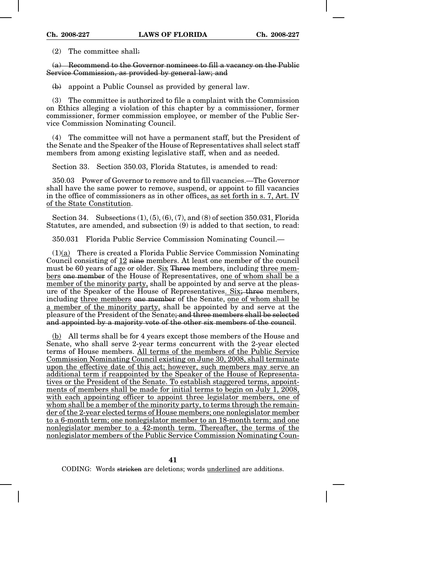(2) The committee shall:

(a) Recommend to the Governor nominees to fill a vacancy on the Public Service Commission, as provided by general law; and

(b) appoint a Public Counsel as provided by general law.

(3) The committee is authorized to file a complaint with the Commission on Ethics alleging a violation of this chapter by a commissioner, former commissioner, former commission employee, or member of the Public Service Commission Nominating Council.

(4) The committee will not have a permanent staff, but the President of the Senate and the Speaker of the House of Representatives shall select staff members from among existing legislative staff, when and as needed.

Section 33. Section 350.03, Florida Statutes, is amended to read:

350.03 Power of Governor to remove and to fill vacancies.—The Governor shall have the same power to remove, suspend, or appoint to fill vacancies in the office of commissioners as in other offices, as set forth in s. 7, Art. IV of the State Constitution.

Section 34. Subsections (1), (5), (6), (7), and (8) of section 350.031, Florida Statutes, are amended, and subsection (9) is added to that section, to read:

350.031 Florida Public Service Commission Nominating Council.—

 $(1)(a)$  There is created a Florida Public Service Commission Nominating Council consisting of 12 nine members. At least one member of the council must be 60 years of age or older. Six Three members, including three members one member of the House of Representatives, one of whom shall be a member of the minority party, shall be appointed by and serve at the pleasure of the Speaker of the House of Representatives. Six; three members, including three members one member of the Senate, one of whom shall be a member of the minority party, shall be appointed by and serve at the pleasure of the President of the Senate; and three members shall be selected and appointed by a majority vote of the other six members of the council.

(b) All terms shall be for 4 years except those members of the House and Senate, who shall serve 2-year terms concurrent with the 2-year elected terms of House members. All terms of the members of the Public Service Commission Nominating Council existing on June 30, 2008, shall terminate upon the effective date of this act; however, such members may serve an additional term if reappointed by the Speaker of the House of Representatives or the President of the Senate. To establish staggered terms, appointments of members shall be made for initial terms to begin on July 1, 2008, with each appointing officer to appoint three legislator members, one of whom shall be a member of the minority party, to terms through the remainder of the 2-year elected terms of House members; one nonlegislator member to a 6-month term; one nonlegislator member to an 18-month term; and one nonlegislator member to a 42-month term. Thereafter, the terms of the nonlegislator members of the Public Service Commission Nominating Coun-

**41**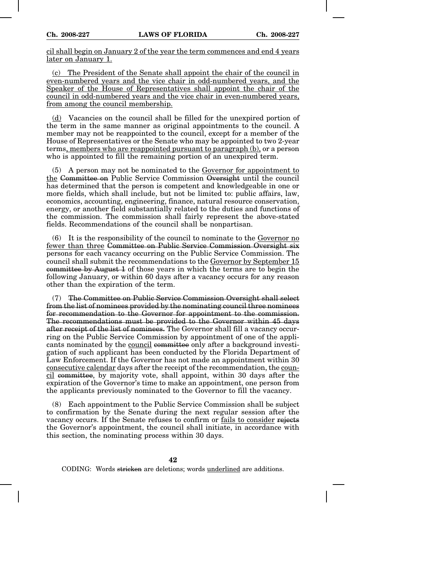cil shall begin on January 2 of the year the term commences and end 4 years later on January 1.

(c) The President of the Senate shall appoint the chair of the council in even-numbered years and the vice chair in odd-numbered years, and the Speaker of the House of Representatives shall appoint the chair of the council in odd-numbered years and the vice chair in even-numbered years, from among the council membership.

(d) Vacancies on the council shall be filled for the unexpired portion of the term in the same manner as original appointments to the council. A member may not be reappointed to the council, except for a member of the House of Representatives or the Senate who may be appointed to two 2-year terms, members who are reappointed pursuant to paragraph (b), or a person who is appointed to fill the remaining portion of an unexpired term.

(5) A person may not be nominated to the Governor for appointment to the Committee on Public Service Commission Oversight until the council has determined that the person is competent and knowledgeable in one or more fields, which shall include, but not be limited to: public affairs, law, economics, accounting, engineering, finance, natural resource conservation, energy, or another field substantially related to the duties and functions of the commission. The commission shall fairly represent the above-stated fields. Recommendations of the council shall be nonpartisan.

(6) It is the responsibility of the council to nominate to the Governor no fewer than three Committee on Public Service Commission Oversight six persons for each vacancy occurring on the Public Service Commission. The council shall submit the recommendations to the Governor by September 15 committee by August 1 of those years in which the terms are to begin the following January, or within 60 days after a vacancy occurs for any reason other than the expiration of the term.

(7) The Committee on Public Service Commission Oversight shall select from the list of nominees provided by the nominating council three nominees for recommendation to the Governor for appointment to the commission. The recommendations must be provided to the Governor within 45 days after receipt of the list of nominees. The Governor shall fill a vacancy occurring on the Public Service Commission by appointment of one of the applicants nominated by the council committee only after a background investigation of such applicant has been conducted by the Florida Department of Law Enforcement. If the Governor has not made an appointment within 30 consecutive calendar days after the receipt of the recommendation, the council committee, by majority vote, shall appoint, within 30 days after the expiration of the Governor's time to make an appointment, one person from the applicants previously nominated to the Governor to fill the vacancy.

(8) Each appointment to the Public Service Commission shall be subject to confirmation by the Senate during the next regular session after the vacancy occurs. If the Senate refuses to confirm or fails to consider rejects the Governor's appointment, the council shall initiate, in accordance with this section, the nominating process within 30 days.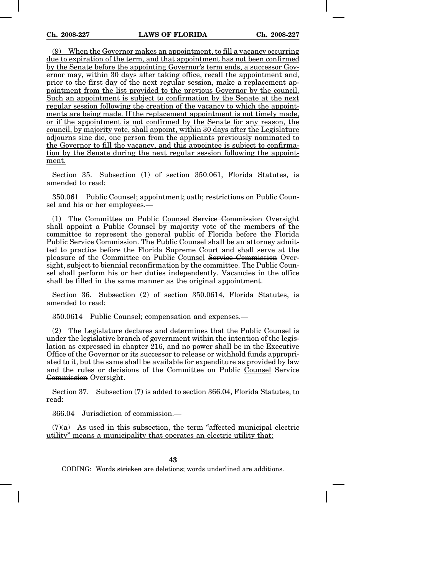(9) When the Governor makes an appointment, to fill a vacancy occurring due to expiration of the term, and that appointment has not been confirmed by the Senate before the appointing Governor's term ends, a successor Governor may, within 30 days after taking office, recall the appointment and, prior to the first day of the next regular session, make a replacement appointment from the list provided to the previous Governor by the council. Such an appointment is subject to confirmation by the Senate at the next regular session following the creation of the vacancy to which the appointments are being made. If the replacement appointment is not timely made, or if the appointment is not confirmed by the Senate for any reason, the council, by majority vote, shall appoint, within 30 days after the Legislature adjourns sine die, one person from the applicants previously nominated to the Governor to fill the vacancy, and this appointee is subject to confirmation by the Senate during the next regular session following the appointment.

Section 35. Subsection (1) of section 350.061, Florida Statutes, is amended to read:

350.061 Public Counsel; appointment; oath; restrictions on Public Counsel and his or her employees.—

(1) The Committee on Public Counsel Service Commission Oversight shall appoint a Public Counsel by majority vote of the members of the committee to represent the general public of Florida before the Florida Public Service Commission. The Public Counsel shall be an attorney admitted to practice before the Florida Supreme Court and shall serve at the pleasure of the Committee on Public Counsel Service Commission Oversight, subject to biennial reconfirmation by the committee. The Public Counsel shall perform his or her duties independently. Vacancies in the office shall be filled in the same manner as the original appointment.

Section 36. Subsection (2) of section 350.0614, Florida Statutes, is amended to read:

350.0614 Public Counsel; compensation and expenses.—

(2) The Legislature declares and determines that the Public Counsel is under the legislative branch of government within the intention of the legislation as expressed in chapter 216, and no power shall be in the Executive Office of the Governor or its successor to release or withhold funds appropriated to it, but the same shall be available for expenditure as provided by law and the rules or decisions of the Committee on Public Counsel Service Commission Oversight.

Section 37. Subsection (7) is added to section 366.04, Florida Statutes, to read:

366.04 Jurisdiction of commission.—

 $(7)(a)$  As used in this subsection, the term "affected municipal electric utility" means a municipality that operates an electric utility that: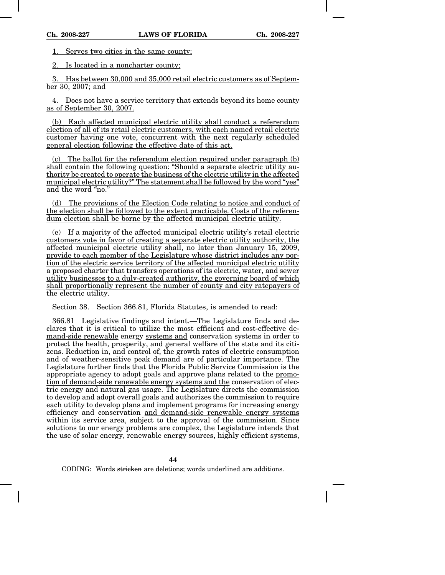1. Serves two cities in the same county;

2. Is located in a noncharter county;

3. Has between 30,000 and 35,000 retail electric customers as of September 30, 2007; and

4. Does not have a service territory that extends beyond its home county as of September 30, 2007.

(b) Each affected municipal electric utility shall conduct a referendum election of all of its retail electric customers, with each named retail electric customer having one vote, concurrent with the next regularly scheduled general election following the effective date of this act.

(c) The ballot for the referendum election required under paragraph (b) shall contain the following question: "Should a separate electric utility authority be created to operate the business of the electric utility in the affected municipal electric utility?" The statement shall be followed by the word "yes" and the word "no."

(d) The provisions of the Election Code relating to notice and conduct of the election shall be followed to the extent practicable. Costs of the referendum election shall be borne by the affected municipal electric utility.

(e) If a majority of the affected municipal electric utility's retail electric customers vote in favor of creating a separate electric utility authority, the affected municipal electric utility shall, no later than January 15, 2009, provide to each member of the Legislature whose district includes any portion of the electric service territory of the affected municipal electric utility a proposed charter that transfers operations of its electric, water, and sewer utility businesses to a duly-created authority, the governing board of which shall proportionally represent the number of county and city ratepayers of the electric utility.

Section 38. Section 366.81, Florida Statutes, is amended to read:

366.81 Legislative findings and intent.—The Legislature finds and declares that it is critical to utilize the most efficient and cost-effective demand-side renewable energy systems and conservation systems in order to protect the health, prosperity, and general welfare of the state and its citizens. Reduction in, and control of, the growth rates of electric consumption and of weather-sensitive peak demand are of particular importance. The Legislature further finds that the Florida Public Service Commission is the appropriate agency to adopt goals and approve plans related to the promotion of demand-side renewable energy systems and the conservation of electric energy and natural gas usage. The Legislature directs the commission to develop and adopt overall goals and authorizes the commission to require each utility to develop plans and implement programs for increasing energy efficiency and conservation and demand-side renewable energy systems within its service area, subject to the approval of the commission. Since solutions to our energy problems are complex, the Legislature intends that the use of solar energy, renewable energy sources, highly efficient systems,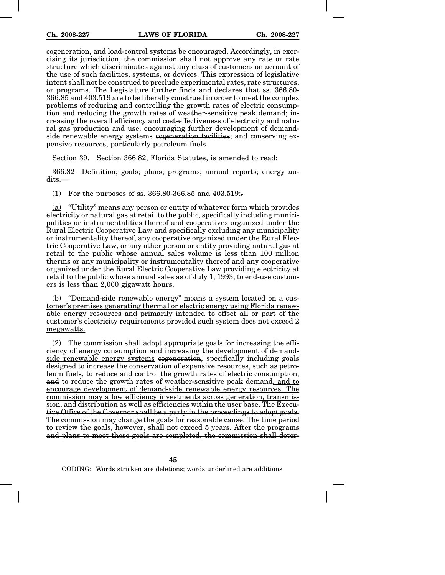cogeneration, and load-control systems be encouraged. Accordingly, in exercising its jurisdiction, the commission shall not approve any rate or rate structure which discriminates against any class of customers on account of the use of such facilities, systems, or devices. This expression of legislative intent shall not be construed to preclude experimental rates, rate structures, or programs. The Legislature further finds and declares that ss. 366.80- 366.85 and 403.519 are to be liberally construed in order to meet the complex problems of reducing and controlling the growth rates of electric consumption and reducing the growth rates of weather-sensitive peak demand; increasing the overall efficiency and cost-effectiveness of electricity and natural gas production and use; encouraging further development of demandside renewable energy systems cogeneration facilities; and conserving expensive resources, particularly petroleum fuels.

Section 39. Section 366.82, Florida Statutes, is amended to read:

366.82 Definition; goals; plans; programs; annual reports; energy audits.—

(1) For the purposes of ss. 366.80-366.85 and  $403.519$ ;

(a) "Utility" means any person or entity of whatever form which provides electricity or natural gas at retail to the public, specifically including municipalities or instrumentalities thereof and cooperatives organized under the Rural Electric Cooperative Law and specifically excluding any municipality or instrumentality thereof, any cooperative organized under the Rural Electric Cooperative Law, or any other person or entity providing natural gas at retail to the public whose annual sales volume is less than 100 million therms or any municipality or instrumentality thereof and any cooperative organized under the Rural Electric Cooperative Law providing electricity at retail to the public whose annual sales as of July 1, 1993, to end-use customers is less than 2,000 gigawatt hours.

(b) "Demand-side renewable energy" means a system located on a customer's premises generating thermal or electric energy using Florida renewable energy resources and primarily intended to offset all or part of the customer's electricity requirements provided such system does not exceed 2 megawatts.

(2) The commission shall adopt appropriate goals for increasing the efficiency of energy consumption and increasing the development of demandside renewable energy systems cogeneration, specifically including goals designed to increase the conservation of expensive resources, such as petroleum fuels, to reduce and control the growth rates of electric consumption, and to reduce the growth rates of weather-sensitive peak demand, and to encourage development of demand-side renewable energy resources. The commission may allow efficiency investments across generation, transmission, and distribution as well as efficiencies within the user base. The Executive Office of the Governor shall be a party in the proceedings to adopt goals. The commission may change the goals for reasonable cause. The time period to review the goals, however, shall not exceed 5 years. After the programs and plans to meet those goals are completed, the commission shall deter-

**45**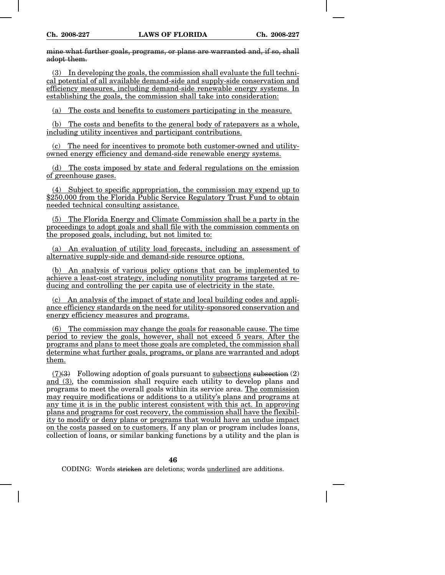mine what further goals, programs, or plans are warranted and, if so, shall adopt them.

(3) In developing the goals, the commission shall evaluate the full technical potential of all available demand-side and supply-side conservation and efficiency measures, including demand-side renewable energy systems. In establishing the goals, the commission shall take into consideration:

(a) The costs and benefits to customers participating in the measure.

(b) The costs and benefits to the general body of ratepayers as a whole, including utility incentives and participant contributions.

(c) The need for incentives to promote both customer-owned and utilityowned energy efficiency and demand-side renewable energy systems.

(d) The costs imposed by state and federal regulations on the emission of greenhouse gases.

(4) Subject to specific appropriation, the commission may expend up to \$250,000 from the Florida Public Service Regulatory Trust Fund to obtain needed technical consulting assistance.

(5) The Florida Energy and Climate Commission shall be a party in the proceedings to adopt goals and shall file with the commission comments on the proposed goals, including, but not limited to:

(a) An evaluation of utility load forecasts, including an assessment of alternative supply-side and demand-side resource options.

(b) An analysis of various policy options that can be implemented to achieve a least-cost strategy, including nonutility programs targeted at reducing and controlling the per capita use of electricity in the state.

(c) An analysis of the impact of state and local building codes and appliance efficiency standards on the need for utility-sponsored conservation and energy efficiency measures and programs.

(6) The commission may change the goals for reasonable cause. The time period to review the goals, however, shall not exceed 5 years. After the programs and plans to meet those goals are completed, the commission shall determine what further goals, programs, or plans are warranted and adopt them.

 $(7)(3)$  Following adoption of goals pursuant to subsections subsection  $(2)$ and (3), the commission shall require each utility to develop plans and programs to meet the overall goals within its service area. The commission may require modifications or additions to a utility's plans and programs at any time it is in the public interest consistent with this act. In approving plans and programs for cost recovery, the commission shall have the flexibility to modify or deny plans or programs that would have an undue impact on the costs passed on to customers. If any plan or program includes loans, collection of loans, or similar banking functions by a utility and the plan is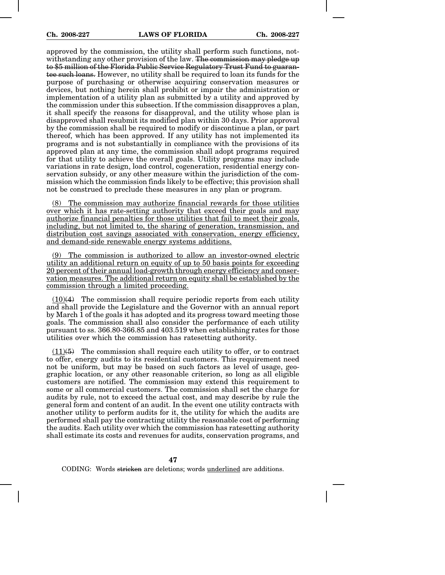approved by the commission, the utility shall perform such functions, notwithstanding any other provision of the law. The commission may pledge up to \$5 million of the Florida Public Service Regulatory Trust Fund to guarantee such loans. However, no utility shall be required to loan its funds for the purpose of purchasing or otherwise acquiring conservation measures or devices, but nothing herein shall prohibit or impair the administration or implementation of a utility plan as submitted by a utility and approved by the commission under this subsection. If the commission disapproves a plan, it shall specify the reasons for disapproval, and the utility whose plan is disapproved shall resubmit its modified plan within 30 days. Prior approval by the commission shall be required to modify or discontinue a plan, or part thereof, which has been approved. If any utility has not implemented its programs and is not substantially in compliance with the provisions of its approved plan at any time, the commission shall adopt programs required for that utility to achieve the overall goals. Utility programs may include variations in rate design, load control, cogeneration, residential energy conservation subsidy, or any other measure within the jurisdiction of the commission which the commission finds likely to be effective; this provision shall not be construed to preclude these measures in any plan or program.

(8) The commission may authorize financial rewards for those utilities over which it has rate-setting authority that exceed their goals and may authorize financial penalties for those utilities that fail to meet their goals, including, but not limited to, the sharing of generation, transmission, and distribution cost savings associated with conservation, energy efficiency, and demand-side renewable energy systems additions.

(9) The commission is authorized to allow an investor-owned electric utility an additional return on equity of up to 50 basis points for exceeding 20 percent of their annual load-growth through energy efficiency and conservation measures. The additional return on equity shall be established by the commission through a limited proceeding.

 $(10)(4)$  The commission shall require periodic reports from each utility and shall provide the Legislature and the Governor with an annual report by March 1 of the goals it has adopted and its progress toward meeting those goals. The commission shall also consider the performance of each utility pursuant to ss. 366.80-366.85 and 403.519 when establishing rates for those utilities over which the commission has ratesetting authority.

 $(11)(5)$  The commission shall require each utility to offer, or to contract to offer, energy audits to its residential customers. This requirement need not be uniform, but may be based on such factors as level of usage, geographic location, or any other reasonable criterion, so long as all eligible customers are notified. The commission may extend this requirement to some or all commercial customers. The commission shall set the charge for audits by rule, not to exceed the actual cost, and may describe by rule the general form and content of an audit. In the event one utility contracts with another utility to perform audits for it, the utility for which the audits are performed shall pay the contracting utility the reasonable cost of performing the audits. Each utility over which the commission has ratesetting authority shall estimate its costs and revenues for audits, conservation programs, and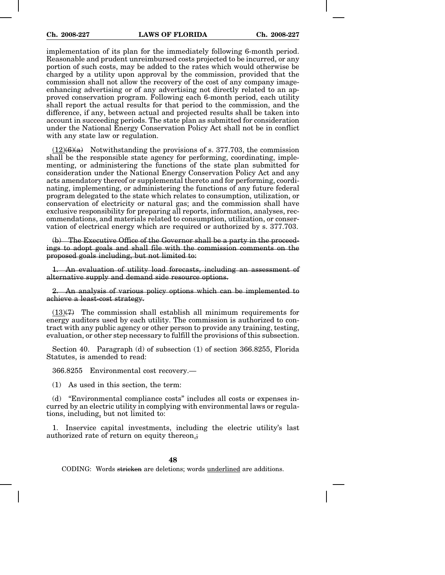implementation of its plan for the immediately following 6-month period. Reasonable and prudent unreimbursed costs projected to be incurred, or any portion of such costs, may be added to the rates which would otherwise be charged by a utility upon approval by the commission, provided that the commission shall not allow the recovery of the cost of any company imageenhancing advertising or of any advertising not directly related to an approved conservation program. Following each 6-month period, each utility shall report the actual results for that period to the commission, and the difference, if any, between actual and projected results shall be taken into account in succeeding periods. The state plan as submitted for consideration under the National Energy Conservation Policy Act shall not be in conflict with any state law or regulation.

 $(12)(6)(a)$  Notwithstanding the provisions of s. 377.703, the commission shall be the responsible state agency for performing, coordinating, implementing, or administering the functions of the state plan submitted for consideration under the National Energy Conservation Policy Act and any acts amendatory thereof or supplemental thereto and for performing, coordinating, implementing, or administering the functions of any future federal program delegated to the state which relates to consumption, utilization, or conservation of electricity or natural gas; and the commission shall have exclusive responsibility for preparing all reports, information, analyses, recommendations, and materials related to consumption, utilization, or conservation of electrical energy which are required or authorized by s. 377.703.

(b) The Executive Office of the Governor shall be a party in the proceedings to adopt goals and shall file with the commission comments on the proposed goals including, but not limited to:

1. An evaluation of utility load forecasts, including an assessment of alternative supply and demand side resource options.

2. An analysis of various policy options which can be implemented to achieve a least-cost strategy.

 $(13)(7)$  The commission shall establish all minimum requirements for energy auditors used by each utility. The commission is authorized to contract with any public agency or other person to provide any training, testing, evaluation, or other step necessary to fulfill the provisions of this subsection.

Section 40. Paragraph (d) of subsection (1) of section 366.8255, Florida Statutes, is amended to read:

366.8255 Environmental cost recovery.—

(1) As used in this section, the term:

(d) "Environmental compliance costs" includes all costs or expenses incurred by an electric utility in complying with environmental laws or regulations, including, but not limited to:

1. Inservice capital investments, including the electric utility's last authorized rate of return on equity thereon.;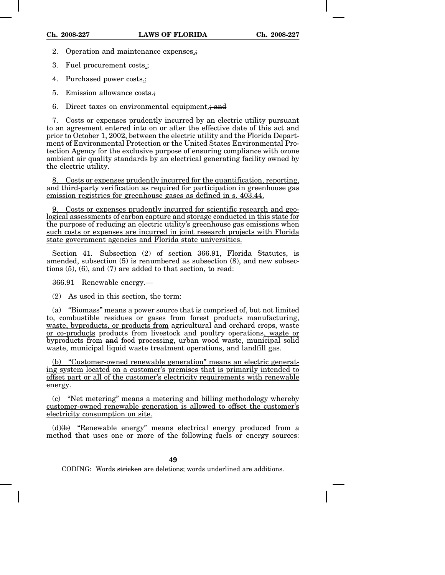- 2. Operation and maintenance expenses.;
- 3. Fuel procurement costs.;
- 4. Purchased power costs.;
- 5. Emission allowance costs.;
- 6. Direct taxes on environmental equipment.; and

7. Costs or expenses prudently incurred by an electric utility pursuant to an agreement entered into on or after the effective date of this act and prior to October 1, 2002, between the electric utility and the Florida Department of Environmental Protection or the United States Environmental Protection Agency for the exclusive purpose of ensuring compliance with ozone ambient air quality standards by an electrical generating facility owned by the electric utility.

8. Costs or expenses prudently incurred for the quantification, reporting, and third-party verification as required for participation in greenhouse gas emission registries for greenhouse gases as defined in s. 403.44.

9. Costs or expenses prudently incurred for scientific research and geological assessments of carbon capture and storage conducted in this state for the purpose of reducing an electric utility's greenhouse gas emissions when such costs or expenses are incurred in joint research projects with Florida state government agencies and Florida state universities.

Section 41. Subsection (2) of section 366.91, Florida Statutes, is amended, subsection (5) is renumbered as subsection (8), and new subsections (5), (6), and (7) are added to that section, to read:

366.91 Renewable energy.—

(2) As used in this section, the term:

(a) "Biomass" means a power source that is comprised of, but not limited to, combustible residues or gases from forest products manufacturing, waste, byproducts, or products from agricultural and orchard crops, waste or co-products products from livestock and poultry operations, waste or byproducts from and food processing, urban wood waste, municipal solid waste, municipal liquid waste treatment operations, and landfill gas.

(b) "Customer-owned renewable generation" means an electric generating system located on a customer's premises that is primarily intended to offset part or all of the customer's electricity requirements with renewable energy.

(c) "Net metering" means a metering and billing methodology whereby customer-owned renewable generation is allowed to offset the customer's electricity consumption on site.

 $(d)$ (b) "Renewable energy" means electrical energy produced from a method that uses one or more of the following fuels or energy sources: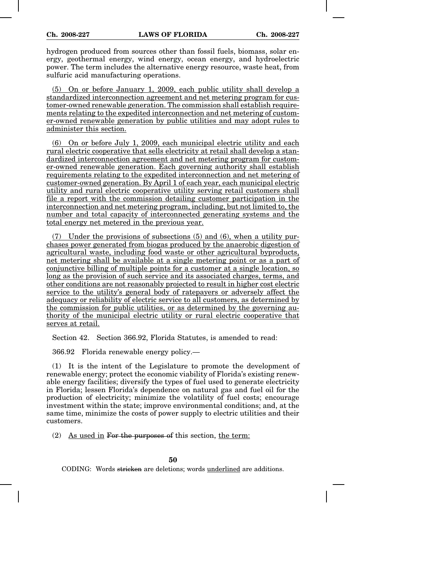hydrogen produced from sources other than fossil fuels, biomass, solar energy, geothermal energy, wind energy, ocean energy, and hydroelectric power. The term includes the alternative energy resource, waste heat, from sulfuric acid manufacturing operations.

(5) On or before January 1, 2009, each public utility shall develop a standardized interconnection agreement and net metering program for customer-owned renewable generation. The commission shall establish requirements relating to the expedited interconnection and net metering of customer-owned renewable generation by public utilities and may adopt rules to administer this section.

(6) On or before July 1, 2009, each municipal electric utility and each rural electric cooperative that sells electricity at retail shall develop a standardized interconnection agreement and net metering program for customer-owned renewable generation. Each governing authority shall establish requirements relating to the expedited interconnection and net metering of customer-owned generation. By April 1 of each year, each municipal electric utility and rural electric cooperative utility serving retail customers shall file a report with the commission detailing customer participation in the interconnection and net metering program, including, but not limited to, the number and total capacity of interconnected generating systems and the total energy net metered in the previous year.

(7) Under the provisions of subsections (5) and (6), when a utility purchases power generated from biogas produced by the anaerobic digestion of agricultural waste, including food waste or other agricultural byproducts, net metering shall be available at a single metering point or as a part of conjunctive billing of multiple points for a customer at a single location, so long as the provision of such service and its associated charges, terms, and other conditions are not reasonably projected to result in higher cost electric service to the utility's general body of ratepayers or adversely affect the adequacy or reliability of electric service to all customers, as determined by the commission for public utilities, or as determined by the governing authority of the municipal electric utility or rural electric cooperative that serves at retail.

Section 42. Section 366.92, Florida Statutes, is amended to read:

366.92 Florida renewable energy policy.—

(1) It is the intent of the Legislature to promote the development of renewable energy; protect the economic viability of Florida's existing renewable energy facilities; diversify the types of fuel used to generate electricity in Florida; lessen Florida's dependence on natural gas and fuel oil for the production of electricity; minimize the volatility of fuel costs; encourage investment within the state; improve environmental conditions; and, at the same time, minimize the costs of power supply to electric utilities and their customers.

(2) As used in For the purposes of this section, the term: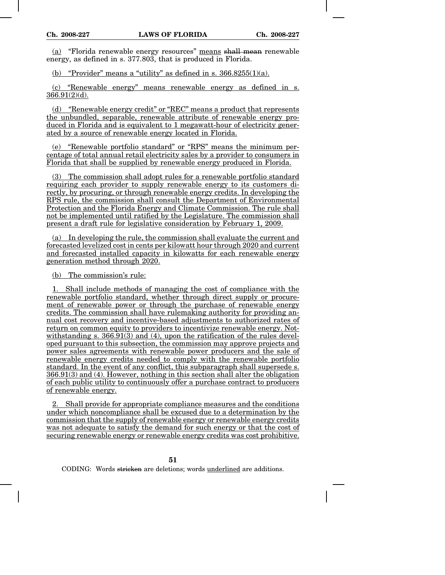(a) "Florida renewable energy resources" means shall mean renewable energy, as defined in s. 377.803, that is produced in Florida.

(b) "Provider" means a "utility" as defined in s.  $366.8255(1)(a)$ .

(c) "Renewable energy" means renewable energy as defined in s. 366.91(2)(d).

(d) "Renewable energy credit" or "REC" means a product that represents the unbundled, separable, renewable attribute of renewable energy produced in Florida and is equivalent to 1 megawatt-hour of electricity generated by a source of renewable energy located in Florida.

(e) "Renewable portfolio standard" or "RPS" means the minimum percentage of total annual retail electricity sales by a provider to consumers in Florida that shall be supplied by renewable energy produced in Florida.

(3) The commission shall adopt rules for a renewable portfolio standard requiring each provider to supply renewable energy to its customers directly, by procuring, or through renewable energy credits. In developing the RPS rule, the commission shall consult the Department of Environmental Protection and the Florida Energy and Climate Commission. The rule shall not be implemented until ratified by the Legislature. The commission shall present a draft rule for legislative consideration by February 1, 2009.

(a) In developing the rule, the commission shall evaluate the current and forecasted levelized cost in cents per kilowatt hour through 2020 and current and forecasted installed capacity in kilowatts for each renewable energy generation method through 2020.

(b) The commission's rule:

1. Shall include methods of managing the cost of compliance with the renewable portfolio standard, whether through direct supply or procurement of renewable power or through the purchase of renewable energy credits. The commission shall have rulemaking authority for providing annual cost recovery and incentive-based adjustments to authorized rates of return on common equity to providers to incentivize renewable energy. Notwithstanding s. 366.91(3) and (4), upon the ratification of the rules developed pursuant to this subsection, the commission may approve projects and power sales agreements with renewable power producers and the sale of renewable energy credits needed to comply with the renewable portfolio standard. In the event of any conflict, this subparagraph shall supersede s. 366.91(3) and (4). However, nothing in this section shall alter the obligation of each public utility to continuously offer a purchase contract to producers of renewable energy.

2. Shall provide for appropriate compliance measures and the conditions under which noncompliance shall be excused due to a determination by the commission that the supply of renewable energy or renewable energy credits was not adequate to satisfy the demand for such energy or that the cost of securing renewable energy or renewable energy credits was cost prohibitive.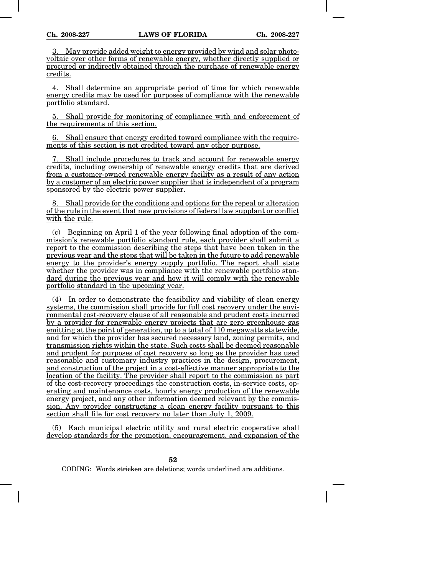May provide added weight to energy provided by wind and solar photovoltaic over other forms of renewable energy, whether directly supplied or procured or indirectly obtained through the purchase of renewable energy credits.

4. Shall determine an appropriate period of time for which renewable energy credits may be used for purposes of compliance with the renewable portfolio standard.

5. Shall provide for monitoring of compliance with and enforcement of the requirements of this section.

Shall ensure that energy credited toward compliance with the requirements of this section is not credited toward any other purpose.

7. Shall include procedures to track and account for renewable energy credits, including ownership of renewable energy credits that are derived from a customer-owned renewable energy facility as a result of any action by a customer of an electric power supplier that is independent of a program sponsored by the electric power supplier.

8. Shall provide for the conditions and options for the repeal or alteration of the rule in the event that new provisions of federal law supplant or conflict with the rule.

(c) Beginning on April 1 of the year following final adoption of the commission's renewable portfolio standard rule, each provider shall submit a report to the commission describing the steps that have been taken in the previous year and the steps that will be taken in the future to add renewable energy to the provider's energy supply portfolio. The report shall state whether the provider was in compliance with the renewable portfolio standard during the previous year and how it will comply with the renewable portfolio standard in the upcoming year.

(4) In order to demonstrate the feasibility and viability of clean energy systems, the commission shall provide for full cost recovery under the environmental cost-recovery clause of all reasonable and prudent costs incurred by a provider for renewable energy projects that are zero greenhouse gas emitting at the point of generation, up to a total of 110 megawatts statewide, and for which the provider has secured necessary land, zoning permits, and transmission rights within the state. Such costs shall be deemed reasonable and prudent for purposes of cost recovery so long as the provider has used reasonable and customary industry practices in the design, procurement, and construction of the project in a cost-effective manner appropriate to the location of the facility. The provider shall report to the commission as part of the cost-recovery proceedings the construction costs, in-service costs, operating and maintenance costs, hourly energy production of the renewable energy project, and any other information deemed relevant by the commission. Any provider constructing a clean energy facility pursuant to this section shall file for cost recovery no later than July 1, 2009.

(5) Each municipal electric utility and rural electric cooperative shall develop standards for the promotion, encouragement, and expansion of the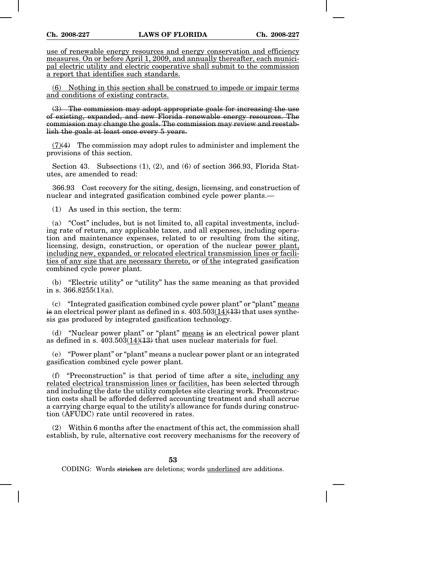use of renewable energy resources and energy conservation and efficiency measures. On or before April 1, 2009, and annually thereafter, each municipal electric utility and electric cooperative shall submit to the commission a report that identifies such standards.

(6) Nothing in this section shall be construed to impede or impair terms and conditions of existing contracts.

(3) The commission may adopt appropriate goals for increasing the use of existing, expanded, and new Florida renewable energy resources. The commission may change the goals. The commission may review and reestablish the goals at least once every 5 years.

 $(7)(4)$  The commission may adopt rules to administer and implement the provisions of this section.

Section 43. Subsections (1), (2), and (6) of section 366.93, Florida Statutes, are amended to read:

366.93 Cost recovery for the siting, design, licensing, and construction of nuclear and integrated gasification combined cycle power plants.—

(1) As used in this section, the term:

(a) "Cost" includes, but is not limited to, all capital investments, including rate of return, any applicable taxes, and all expenses, including operation and maintenance expenses, related to or resulting from the siting, licensing, design, construction, or operation of the nuclear power plant, including new, expanded, or relocated electrical transmission lines or facilities of any size that are necessary thereto, or of the integrated gasification combined cycle power plant.

(b) "Electric utility" or "utility" has the same meaning as that provided in s.  $366.8255(1)(a)$ .

(c) "Integrated gasification combined cycle power plant" or "plant" means is an electrical power plant as defined in s.  $403.503(14)(13)$  that uses synthesis gas produced by integrated gasification technology.

(d) "Nuclear power plant" or "plant" means is an electrical power plant as defined in s.  $403.50\overline{3}(14)(13)$  that uses nuclear materials for fuel.

(e) "Power plant" or "plant" means a nuclear power plant or an integrated gasification combined cycle power plant.

(f) "Preconstruction" is that period of time after a site, including any related electrical transmission lines or facilities, has been selected through and including the date the utility completes site clearing work. Preconstruction costs shall be afforded deferred accounting treatment and shall accrue a carrying charge equal to the utility's allowance for funds during construction (AFUDC) rate until recovered in rates.

(2) Within 6 months after the enactment of this act, the commission shall establish, by rule, alternative cost recovery mechanisms for the recovery of

**53**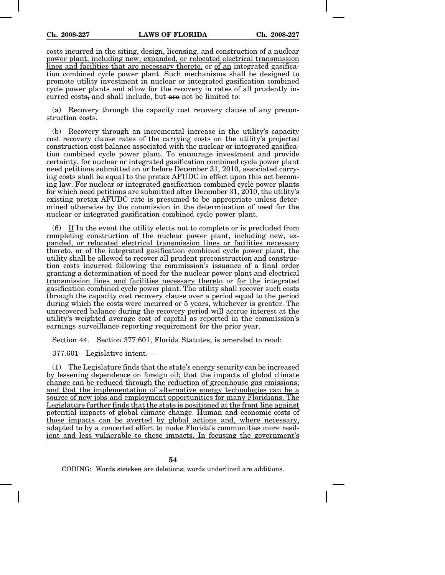costs incurred in the siting, design, licensing, and construction of a nuclear power plant, including new, expanded, or relocated electrical transmission lines and facilities that are necessary thereto, or of an integrated gasification combined cycle power plant. Such mechanisms shall be designed to promote utility investment in nuclear or integrated gasification combined cycle power plants and allow for the recovery in rates of all prudently incurred costs, and shall include, but are not be limited to:

(a) Recovery through the capacity cost recovery clause of any preconstruction costs.

(b) Recovery through an incremental increase in the utility's capacity cost recovery clause rates of the carrying costs on the utility's projected construction cost balance associated with the nuclear or integrated gasification combined cycle power plant. To encourage investment and provide certainty, for nuclear or integrated gasification combined cycle power plant need petitions submitted on or before December 31, 2010, associated carrying costs shall be equal to the pretax AFUDC in effect upon this act becoming law. For nuclear or integrated gasification combined cycle power plants for which need petitions are submitted after December 31, 2010, the utility's existing pretax AFUDC rate is presumed to be appropriate unless determined otherwise by the commission in the determination of need for the nuclear or integrated gasification combined cycle power plant.

(6) If In the event the utility elects not to complete or is precluded from completing construction of the nuclear power plant, including new, expanded, or relocated electrical transmission lines or facilities necessary thereto, or of the integrated gasification combined cycle power plant, the utility shall be allowed to recover all prudent preconstruction and construction costs incurred following the commission's issuance of a final order granting a determination of need for the nuclear power plant and electrical transmission lines and facilities necessary thereto or for the integrated gasification combined cycle power plant. The utility shall recover such costs through the capacity cost recovery clause over a period equal to the period during which the costs were incurred or 5 years, whichever is greater. The unrecovered balance during the recovery period will accrue interest at the utility's weighted average cost of capital as reported in the commission's earnings surveillance reporting requirement for the prior year.

Section 44. Section 377.601, Florida Statutes, is amended to read:

377.601 Legislative intent.—

(1) The Legislature finds that the  $state's$  energy security can be increased by lessening dependence on foreign oil; that the impacts of global climate change can be reduced through the reduction of greenhouse gas emissions; and that the implementation of alternative energy technologies can be a source of new jobs and employment opportunities for many Floridians. The Legislature further finds that the state is positioned at the front line against potential impacts of global climate change. Human and economic costs of those impacts can be averted by global actions and, where necessary, adapted to by a concerted effort to make Florida's communities more resilient and less vulnerable to these impacts. In focusing the government's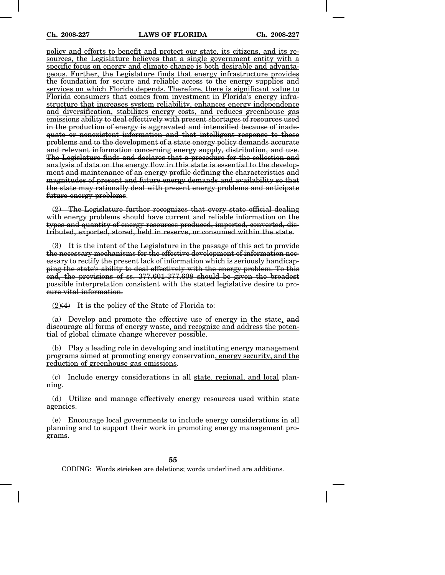policy and efforts to benefit and protect our state, its citizens, and its resources, the Legislature believes that a single government entity with a specific focus on energy and climate change is both desirable and advantageous. Further, the Legislature finds that energy infrastructure provides the foundation for secure and reliable access to the energy supplies and services on which Florida depends. Therefore, there is significant value to Florida consumers that comes from investment in Florida's energy infrastructure that increases system reliability, enhances energy independence and diversification, stabilizes energy costs, and reduces greenhouse gas emissions ability to deal effectively with present shortages of resources used in the production of energy is aggravated and intensified because of inadequate or nonexistent information and that intelligent response to these problems and to the development of a state energy policy demands accurate and relevant information concerning energy supply, distribution, and use. The Legislature finds and declares that a procedure for the collection and analysis of data on the energy flow in this state is essential to the development and maintenance of an energy profile defining the characteristics and magnitudes of present and future energy demands and availability so that the state may rationally deal with present energy problems and anticipate future energy problems.

(2) The Legislature further recognizes that every state official dealing with energy problems should have current and reliable information on the types and quantity of energy resources produced, imported, converted, distributed, exported, stored, held in reserve, or consumed within the state.

 $(3)$  It is the intent of the Legislature in the passage of this act to provide the necessary mechanisms for the effective development of information necessary to rectify the present lack of information which is seriously handicapping the state's ability to deal effectively with the energy problem. To this end, the provisions of ss. 377.601-377.608 should be given the broadest possible interpretation consistent with the stated legislative desire to procure vital information.

 $(2)(4)$  It is the policy of the State of Florida to:

(a) Develop and promote the effective use of energy in the state, and discourage all forms of energy waste, and recognize and address the potential of global climate change wherever possible.

(b) Play a leading role in developing and instituting energy management programs aimed at promoting energy conservation, energy security, and the reduction of greenhouse gas emissions.

(c) Include energy considerations in all state, regional, and local planning.

(d) Utilize and manage effectively energy resources used within state agencies.

(e) Encourage local governments to include energy considerations in all planning and to support their work in promoting energy management programs.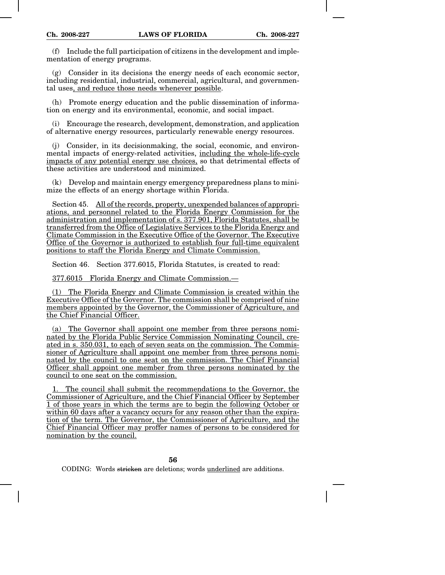(f) Include the full participation of citizens in the development and implementation of energy programs.

(g) Consider in its decisions the energy needs of each economic sector, including residential, industrial, commercial, agricultural, and governmental uses, and reduce those needs whenever possible.

(h) Promote energy education and the public dissemination of information on energy and its environmental, economic, and social impact.

(i) Encourage the research, development, demonstration, and application of alternative energy resources, particularly renewable energy resources.

(j) Consider, in its decisionmaking, the social, economic, and environmental impacts of energy-related activities, including the whole-life-cycle impacts of any potential energy use choices, so that detrimental effects of these activities are understood and minimized.

(k) Develop and maintain energy emergency preparedness plans to minimize the effects of an energy shortage within Florida.

Section 45. All of the records, property, unexpended balances of appropriations, and personnel related to the Florida Energy Commission for the administration and implementation of s. 377.901, Florida Statutes, shall be transferred from the Office of Legislative Services to the Florida Energy and Climate Commission in the Executive Office of the Governor. The Executive Office of the Governor is authorized to establish four full-time equivalent positions to staff the Florida Energy and Climate Commission.

Section 46. Section 377.6015, Florida Statutes, is created to read:

377.6015 Florida Energy and Climate Commission.—

(1) The Florida Energy and Climate Commission is created within the Executive Office of the Governor. The commission shall be comprised of nine members appointed by the Governor, the Commissioner of Agriculture, and the Chief Financial Officer.

(a) The Governor shall appoint one member from three persons nominated by the Florida Public Service Commission Nominating Council, created in s. 350.031, to each of seven seats on the commission. The Commissioner of Agriculture shall appoint one member from three persons nominated by the council to one seat on the commission. The Chief Financial Officer shall appoint one member from three persons nominated by the council to one seat on the commission.

1. The council shall submit the recommendations to the Governor, the Commissioner of Agriculture, and the Chief Financial Officer by September 1 of those years in which the terms are to begin the following October or within 60 days after a vacancy occurs for any reason other than the expiration of the term. The Governor, the Commissioner of Agriculture, and the Chief Financial Officer may proffer names of persons to be considered for nomination by the council.

**56**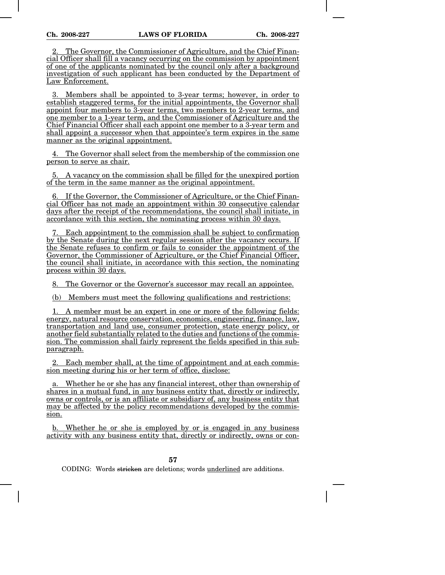The Governor, the Commissioner of Agriculture, and the Chief Financial Officer shall fill a vacancy occurring on the commission by appointment of one of the applicants nominated by the council only after a background investigation of such applicant has been conducted by the Department of Law Enforcement.

3. Members shall be appointed to 3-year terms; however, in order to establish staggered terms, for the initial appointments, the Governor shall appoint four members to 3-year terms, two members to 2-year terms, and one member to a 1-year term, and the Commissioner of Agriculture and the Chief Financial Officer shall each appoint one member to a 3-year term and shall appoint a successor when that appointee's term expires in the same manner as the original appointment.

4. The Governor shall select from the membership of the commission one person to serve as chair.

5. A vacancy on the commission shall be filled for the unexpired portion of the term in the same manner as the original appointment.

6. If the Governor, the Commissioner of Agriculture, or the Chief Financial Officer has not made an appointment within 30 consecutive calendar days after the receipt of the recommendations, the council shall initiate, in accordance with this section, the nominating process within 30 days.

7. Each appointment to the commission shall be subject to confirmation by the Senate during the next regular session after the vacancy occurs. If the Senate refuses to confirm or fails to consider the appointment of the Governor, the Commissioner of Agriculture, or the Chief Financial Officer, the council shall initiate, in accordance with this section, the nominating process within 30 days.

8. The Governor or the Governor's successor may recall an appointee.

(b) Members must meet the following qualifications and restrictions:

1. A member must be an expert in one or more of the following fields: energy, natural resource conservation, economics, engineering, finance, law, transportation and land use, consumer protection, state energy policy, or another field substantially related to the duties and functions of the commission. The commission shall fairly represent the fields specified in this subparagraph.

2. Each member shall, at the time of appointment and at each commission meeting during his or her term of office, disclose:

a. Whether he or she has any financial interest, other than ownership of shares in a mutual fund, in any business entity that, directly or indirectly, owns or controls, or is an affiliate or subsidiary of, any business entity that may be affected by the policy recommendations developed by the commission.

b. Whether he or she is employed by or is engaged in any business activity with any business entity that, directly or indirectly, owns or con-

**57**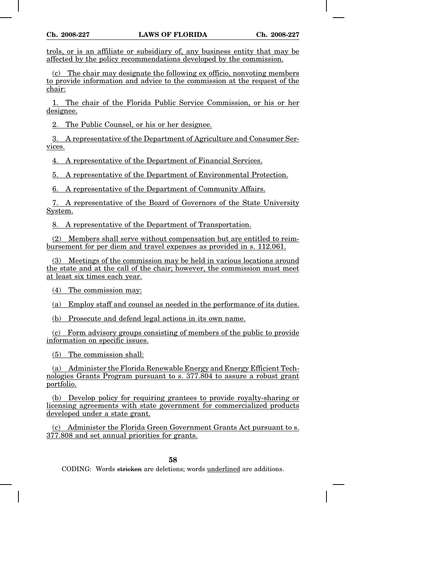trols, or is an affiliate or subsidiary of, any business entity that may be affected by the policy recommendations developed by the commission.

(c) The chair may designate the following ex officio, nonvoting members to provide information and advice to the commission at the request of the chair:

1. The chair of the Florida Public Service Commission, or his or her designee.

2. The Public Counsel, or his or her designee.

3. A representative of the Department of Agriculture and Consumer Services.

4. A representative of the Department of Financial Services.

5. A representative of the Department of Environmental Protection.

6. A representative of the Department of Community Affairs.

7. A representative of the Board of Governors of the State University System.

8. A representative of the Department of Transportation.

(2) Members shall serve without compensation but are entitled to reimbursement for per diem and travel expenses as provided in s. 112.061.

(3) Meetings of the commission may be held in various locations around the state and at the call of the chair; however, the commission must meet at least six times each year.

(4) The commission may:

(a) Employ staff and counsel as needed in the performance of its duties.

(b) Prosecute and defend legal actions in its own name.

(c) Form advisory groups consisting of members of the public to provide information on specific issues.

(5) The commission shall:

(a) Administer the Florida Renewable Energy and Energy Efficient Technologies Grants Program pursuant to s. 377.804 to assure a robust grant portfolio.

(b) Develop policy for requiring grantees to provide royalty-sharing or licensing agreements with state government for commercialized products developed under a state grant.

(c) Administer the Florida Green Government Grants Act pursuant to s. 377.808 and set annual priorities for grants.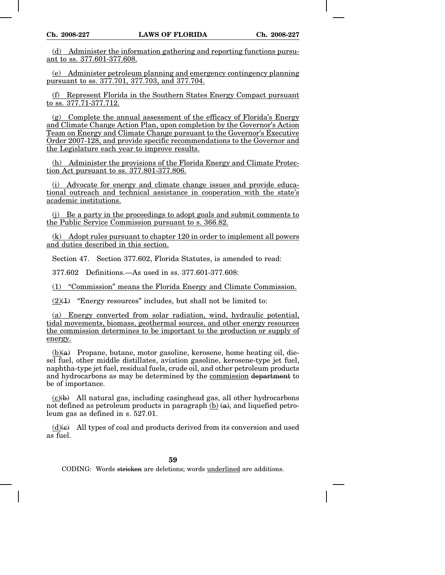(d) Administer the information gathering and reporting functions pursuant to ss. 377.601-377.608.

(e) Administer petroleum planning and emergency contingency planning pursuant to ss. 377.701, 377.703, and 377.704.

(f) Represent Florida in the Southern States Energy Compact pursuant to ss. 377.71-377.712.

(g) Complete the annual assessment of the efficacy of Florida's Energy and Climate Change Action Plan, upon completion by the Governor's Action Team on Energy and Climate Change pursuant to the Governor's Executive Order 2007-128, and provide specific recommendations to the Governor and the Legislature each year to improve results.

(h) Administer the provisions of the Florida Energy and Climate Protection Act pursuant to ss. 377.801-377.806.

(i) Advocate for energy and climate change issues and provide educational outreach and technical assistance in cooperation with the state's academic institutions.

(j) Be a party in the proceedings to adopt goals and submit comments to the Public Service Commission pursuant to s. 366.82.

(k) Adopt rules pursuant to chapter 120 in order to implement all powers and duties described in this section.

Section 47. Section 377.602, Florida Statutes, is amended to read:

377.602 Definitions.—As used in ss. 377.601-377.608:

(1) "Commission" means the Florida Energy and Climate Commission.

 $(2)(1)$  "Energy resources" includes, but shall not be limited to:

(a) Energy converted from solar radiation, wind, hydraulic potential, tidal movements, biomass, geothermal sources, and other energy resources the commission determines to be important to the production or supply of energy.

 $(b)(a)$  Propane, butane, motor gasoline, kerosene, home heating oil, diesel fuel, other middle distillates, aviation gasoline, kerosene-type jet fuel, naphtha-type jet fuel, residual fuels, crude oil, and other petroleum products and hydrocarbons as may be determined by the commission department to be of importance.

 $(c)(b)$  All natural gas, including casinghead gas, all other hydrocarbons not defined as petroleum products in paragraph  $(b)$   $(a)$ , and liquefied petroleum gas as defined in s. 527.01.

 $(d)$ (e) All types of coal and products derived from its conversion and used as fuel.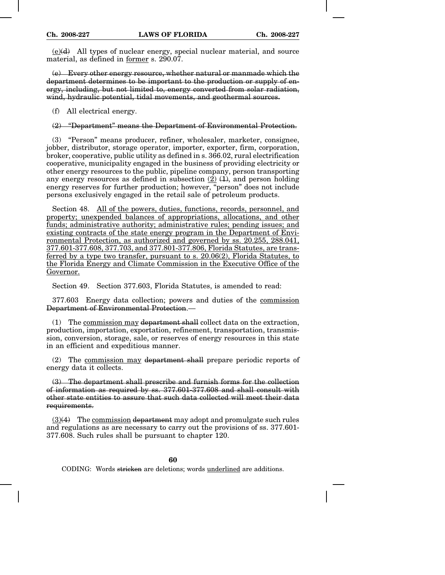$(e)(d)$  All types of nuclear energy, special nuclear material, and source material, as defined in former s. 290.07.

(e) Every other energy resource, whether natural or manmade which the department determines to be important to the production or supply of energy, including, but not limited to, energy converted from solar radiation, wind, hydraulic potential, tidal movements, and geothermal sources.

(f) All electrical energy.

(2) "Department" means the Department of Environmental Protection.

(3) "Person" means producer, refiner, wholesaler, marketer, consignee, jobber, distributor, storage operator, importer, exporter, firm, corporation, broker, cooperative, public utility as defined in s. 366.02, rural electrification cooperative, municipality engaged in the business of providing electricity or other energy resources to the public, pipeline company, person transporting any energy resources as defined in subsection  $(2)$   $(1)$ , and person holding energy reserves for further production; however, "person" does not include persons exclusively engaged in the retail sale of petroleum products.

Section 48. All of the powers, duties, functions, records, personnel, and property; unexpended balances of appropriations, allocations, and other funds; administrative authority; administrative rules; pending issues; and existing contracts of the state energy program in the Department of Environmental Protection, as authorized and governed by ss. 20.255, 288.041, 377.601-377.608, 377.703, and 377.801-377.806, Florida Statutes, are transferred by a type two transfer, pursuant to s. 20.06(2), Florida Statutes, to the Florida Energy and Climate Commission in the Executive Office of the Governor.

Section 49. Section 377.603, Florida Statutes, is amended to read:

377.603 Energy data collection; powers and duties of the commission Department of Environmental Protection.—

(1) The commission may department shall collect data on the extraction, production, importation, exportation, refinement, transportation, transmission, conversion, storage, sale, or reserves of energy resources in this state in an efficient and expeditious manner.

(2) The commission may department shall prepare periodic reports of energy data it collects.

(3) The department shall prescribe and furnish forms for the collection of information as required by ss. 377.601-377.608 and shall consult with other state entities to assure that such data collected will meet their data requirements.

 $(3)(4)$  The commission department may adopt and promulgate such rules and regulations as are necessary to carry out the provisions of ss. 377.601- 377.608. Such rules shall be pursuant to chapter 120.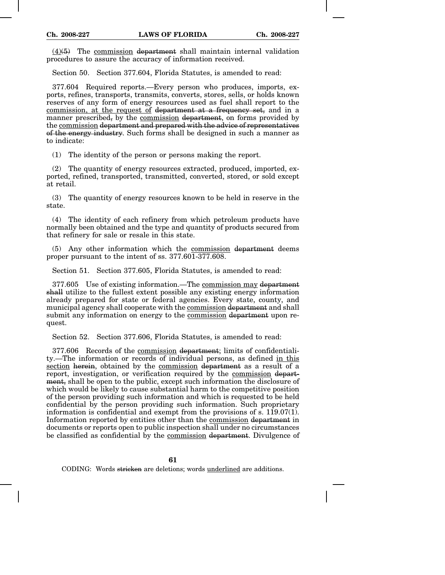$(4)(5)$  The commission department shall maintain internal validation procedures to assure the accuracy of information received.

Section 50. Section 377.604, Florida Statutes, is amended to read:

377.604 Required reports.—Every person who produces, imports, exports, refines, transports, transmits, converts, stores, sells, or holds known reserves of any form of energy resources used as fuel shall report to the commission, at the request of department at a frequency set, and in a manner prescribed, by the commission department, on forms provided by the commission department and prepared with the advice of representatives of the energy industry. Such forms shall be designed in such a manner as to indicate:

(1) The identity of the person or persons making the report.

(2) The quantity of energy resources extracted, produced, imported, exported, refined, transported, transmitted, converted, stored, or sold except at retail.

(3) The quantity of energy resources known to be held in reserve in the state.

(4) The identity of each refinery from which petroleum products have normally been obtained and the type and quantity of products secured from that refinery for sale or resale in this state.

(5) Any other information which the commission department deems proper pursuant to the intent of ss. 377.601-377.608.

Section 51. Section 377.605, Florida Statutes, is amended to read:

377.605 Use of existing information.—The commission may department shall utilize to the fullest extent possible any existing energy information already prepared for state or federal agencies. Every state, county, and municipal agency shall cooperate with the commission department and shall submit any information on energy to the commission department upon request.

Section 52. Section 377.606, Florida Statutes, is amended to read:

377.606 Records of the commission department; limits of confidentiality.—The information or records of individual persons, as defined in this section herein, obtained by the commission department as a result of a report, investigation, or verification required by the commission department, shall be open to the public, except such information the disclosure of which would be likely to cause substantial harm to the competitive position of the person providing such information and which is requested to be held confidential by the person providing such information. Such proprietary information is confidential and exempt from the provisions of s. 119.07(1). Information reported by entities other than the commission department in documents or reports open to public inspection shall under no circumstances be classified as confidential by the commission department. Divulgence of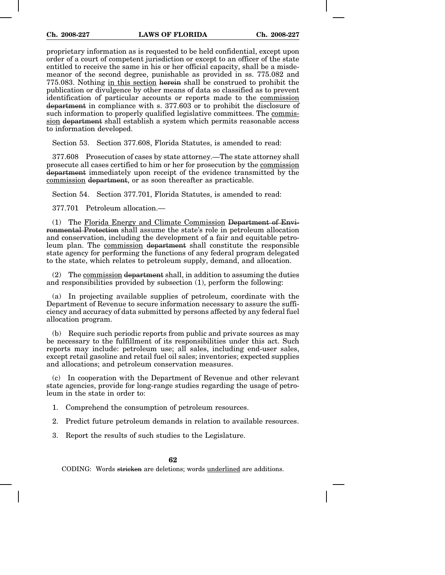proprietary information as is requested to be held confidential, except upon order of a court of competent jurisdiction or except to an officer of the state entitled to receive the same in his or her official capacity, shall be a misdemeanor of the second degree, punishable as provided in ss. 775.082 and 775.083. Nothing in this section herein shall be construed to prohibit the publication or divulgence by other means of data so classified as to prevent identification of particular accounts or reports made to the commission department in compliance with s. 377.603 or to prohibit the disclosure of such information to properly qualified legislative committees. The commission department shall establish a system which permits reasonable access to information developed.

Section 53. Section 377.608, Florida Statutes, is amended to read:

377.608 Prosecution of cases by state attorney.—The state attorney shall prosecute all cases certified to him or her for prosecution by the commission department immediately upon receipt of the evidence transmitted by the commission department, or as soon thereafter as practicable.

Section 54. Section 377.701, Florida Statutes, is amended to read:

377.701 Petroleum allocation.—

(1) The Florida Energy and Climate Commission Department of Environmental Protection shall assume the state's role in petroleum allocation and conservation, including the development of a fair and equitable petroleum plan. The commission department shall constitute the responsible state agency for performing the functions of any federal program delegated to the state, which relates to petroleum supply, demand, and allocation.

 $(2)$  The commission department shall, in addition to assuming the duties and responsibilities provided by subsection (1), perform the following:

(a) In projecting available supplies of petroleum, coordinate with the Department of Revenue to secure information necessary to assure the sufficiency and accuracy of data submitted by persons affected by any federal fuel allocation program.

(b) Require such periodic reports from public and private sources as may be necessary to the fulfillment of its responsibilities under this act. Such reports may include: petroleum use; all sales, including end-user sales, except retail gasoline and retail fuel oil sales; inventories; expected supplies and allocations; and petroleum conservation measures.

(c) In cooperation with the Department of Revenue and other relevant state agencies, provide for long-range studies regarding the usage of petroleum in the state in order to:

1. Comprehend the consumption of petroleum resources.

2. Predict future petroleum demands in relation to available resources.

3. Report the results of such studies to the Legislature.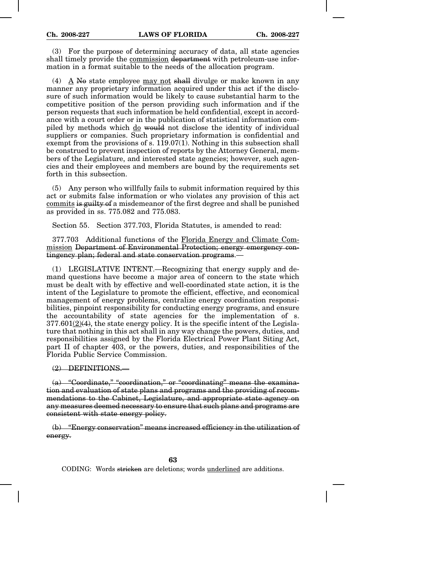(3) For the purpose of determining accuracy of data, all state agencies shall timely provide the commission department with petroleum-use information in a format suitable to the needs of the allocation program.

(4) A No state employee may not shall divulge or make known in any manner any proprietary information acquired under this act if the disclosure of such information would be likely to cause substantial harm to the competitive position of the person providing such information and if the person requests that such information be held confidential, except in accordance with a court order or in the publication of statistical information compiled by methods which do would not disclose the identity of individual suppliers or companies. Such proprietary information is confidential and exempt from the provisions of s. 119.07(1). Nothing in this subsection shall be construed to prevent inspection of reports by the Attorney General, members of the Legislature, and interested state agencies; however, such agencies and their employees and members are bound by the requirements set forth in this subsection.

(5) Any person who willfully fails to submit information required by this act or submits false information or who violates any provision of this act commits is guilty of a misdemeanor of the first degree and shall be punished as provided in ss. 775.082 and 775.083.

Section 55. Section 377.703, Florida Statutes, is amended to read:

377.703 Additional functions of the Florida Energy and Climate Commission Department of Environmental Protection; energy emergency contingency plan; federal and state conservation programs.—

(1) LEGISLATIVE INTENT.—Recognizing that energy supply and demand questions have become a major area of concern to the state which must be dealt with by effective and well-coordinated state action, it is the intent of the Legislature to promote the efficient, effective, and economical management of energy problems, centralize energy coordination responsibilities, pinpoint responsibility for conducting energy programs, and ensure the accountability of state agencies for the implementation of s.  $377.601(2)(4)$ , the state energy policy. It is the specific intent of the Legislature that nothing in this act shall in any way change the powers, duties, and responsibilities assigned by the Florida Electrical Power Plant Siting Act, part II of chapter 403, or the powers, duties, and responsibilities of the Florida Public Service Commission.

## (2) DEFINITIONS.—

(a) "Coordinate," "coordination," or "coordinating" means the examination and evaluation of state plans and programs and the providing of recommendations to the Cabinet, Legislature, and appropriate state agency on any measures deemed necessary to ensure that such plans and programs are consistent with state energy policy.

(b) "Energy conservation" means increased efficiency in the utilization of energy.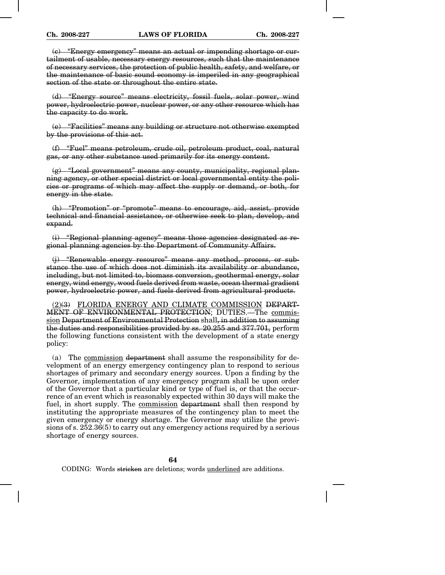(c) "Energy emergency" means an actual or impending shortage or curtailment of usable, necessary energy resources, such that the maintenance of necessary services, the protection of public health, safety, and welfare, or the maintenance of basic sound economy is imperiled in any geographical section of the state or throughout the entire state.

(d) "Energy source" means electricity, fossil fuels, solar power, wind power, hydroelectric power, nuclear power, or any other resource which has the capacity to do work.

(e) "Facilities" means any building or structure not otherwise exempted by the provisions of this act.

(f) "Fuel" means petroleum, crude oil, petroleum product, coal, natural gas, or any other substance used primarily for its energy content.

(g) "Local government" means any county, municipality, regional planning agency, or other special district or local governmental entity the policies or programs of which may affect the supply or demand, or both, for energy in the state.

(h) "Promotion" or "promote" means to encourage, aid, assist, provide technical and financial assistance, or otherwise seek to plan, develop, and expand.

(i) "Regional planning agency" means those agencies designated as regional planning agencies by the Department of Community Affairs.

(j) "Renewable energy resource" means any method, process, or substance the use of which does not diminish its availability or abundance, including, but not limited to, biomass conversion, geothermal energy, solar energy, wind energy, wood fuels derived from waste, ocean thermal gradient power, hydroelectric power, and fuels derived from agricultural products.

(2)(3) FLORIDA ENERGY AND CLIMATE COMMISSION DEPART-MENT OF ENVIRONMENTAL PROTECTION; DUTIES.—The commission Department of Environmental Protection shall, in addition to assuming the duties and responsibilities provided by ss. 20.255 and 377.701, perform the following functions consistent with the development of a state energy policy:

(a) The commission department shall assume the responsibility for development of an energy emergency contingency plan to respond to serious shortages of primary and secondary energy sources. Upon a finding by the Governor, implementation of any emergency program shall be upon order of the Governor that a particular kind or type of fuel is, or that the occurrence of an event which is reasonably expected within 30 days will make the fuel, in short supply. The commission department shall then respond by instituting the appropriate measures of the contingency plan to meet the given emergency or energy shortage. The Governor may utilize the provisions of s. 252.36(5) to carry out any emergency actions required by a serious shortage of energy sources.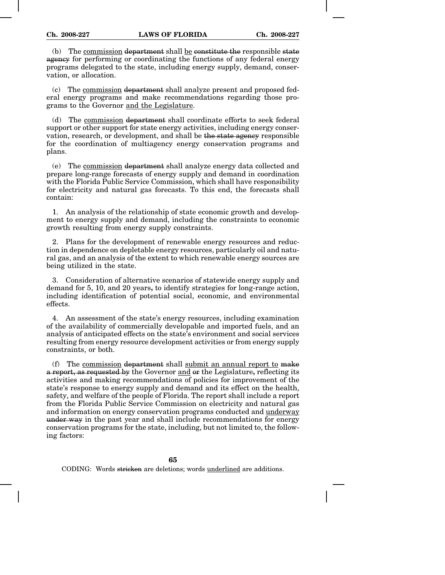(b) The commission department shall be constitute the responsible state agency for performing or coordinating the functions of any federal energy programs delegated to the state, including energy supply, demand, conservation, or allocation.

(c) The commission department shall analyze present and proposed federal energy programs and make recommendations regarding those programs to the Governor and the Legislature.

(d) The commission department shall coordinate efforts to seek federal support or other support for state energy activities, including energy conservation, research, or development, and shall be the state agency responsible for the coordination of multiagency energy conservation programs and plans.

(e) The commission department shall analyze energy data collected and prepare long-range forecasts of energy supply and demand in coordination with the Florida Public Service Commission, which shall have responsibility for electricity and natural gas forecasts. To this end, the forecasts shall contain:

1. An analysis of the relationship of state economic growth and development to energy supply and demand, including the constraints to economic growth resulting from energy supply constraints.

2. Plans for the development of renewable energy resources and reduction in dependence on depletable energy resources, particularly oil and natural gas, and an analysis of the extent to which renewable energy sources are being utilized in the state.

3. Consideration of alternative scenarios of statewide energy supply and demand for 5, 10, and 20 years, to identify strategies for long-range action, including identification of potential social, economic, and environmental effects.

4. An assessment of the state's energy resources, including examination of the availability of commercially developable and imported fuels, and an analysis of anticipated effects on the state's environment and social services resulting from energy resource development activities or from energy supply constraints, or both.

(f) The commission department shall submit an annual report to make a report, as requested by the Governor and or the Legislature, reflecting its activities and making recommendations of policies for improvement of the state's response to energy supply and demand and its effect on the health, safety, and welfare of the people of Florida. The report shall include a report from the Florida Public Service Commission on electricity and natural gas and information on energy conservation programs conducted and underway under way in the past year and shall include recommendations for energy conservation programs for the state, including, but not limited to, the following factors: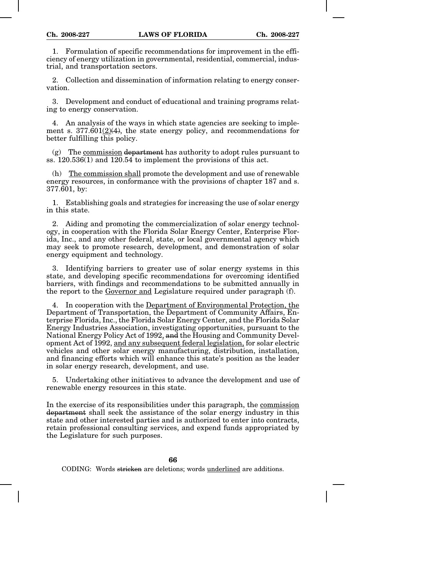1. Formulation of specific recommendations for improvement in the efficiency of energy utilization in governmental, residential, commercial, industrial, and transportation sectors.

2. Collection and dissemination of information relating to energy conservation.

3. Development and conduct of educational and training programs relating to energy conservation.

4. An analysis of the ways in which state agencies are seeking to implement s. 377.601(2)(4), the state energy policy, and recommendations for better fulfilling this policy.

 $(g)$  The commission department has authority to adopt rules pursuant to ss.  $120.536(1)$  and  $120.54$  to implement the provisions of this act.

(h) The commission shall promote the development and use of renewable energy resources, in conformance with the provisions of chapter 187 and s. 377.601, by:

1. Establishing goals and strategies for increasing the use of solar energy in this state.

2. Aiding and promoting the commercialization of solar energy technology, in cooperation with the Florida Solar Energy Center, Enterprise Florida, Inc., and any other federal, state, or local governmental agency which may seek to promote research, development, and demonstration of solar energy equipment and technology.

3. Identifying barriers to greater use of solar energy systems in this state, and developing specific recommendations for overcoming identified barriers, with findings and recommendations to be submitted annually in the report to the Governor and Legislature required under paragraph (f).

4. In cooperation with the Department of Environmental Protection, the Department of Transportation, the Department of Community Affairs, Enterprise Florida, Inc., the Florida Solar Energy Center, and the Florida Solar Energy Industries Association, investigating opportunities, pursuant to the National Energy Policy Act of 1992, and the Housing and Community Development Act of 1992, and any subsequent federal legislation, for solar electric vehicles and other solar energy manufacturing, distribution, installation, and financing efforts which will enhance this state's position as the leader in solar energy research, development, and use.

5. Undertaking other initiatives to advance the development and use of renewable energy resources in this state.

In the exercise of its responsibilities under this paragraph, the commission department shall seek the assistance of the solar energy industry in this state and other interested parties and is authorized to enter into contracts, retain professional consulting services, and expend funds appropriated by the Legislature for such purposes.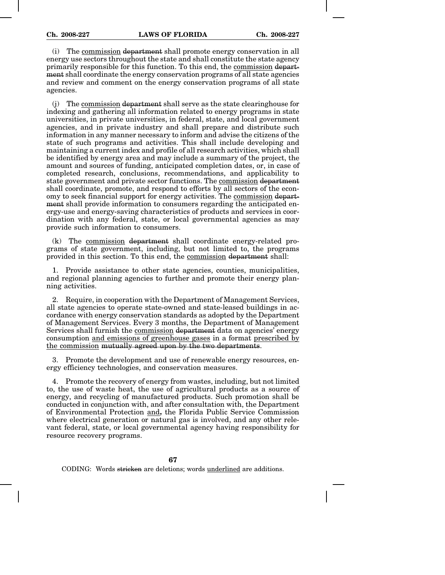(i) The commission department shall promote energy conservation in all energy use sectors throughout the state and shall constitute the state agency primarily responsible for this function. To this end, the commission department shall coordinate the energy conservation programs of all state agencies and review and comment on the energy conservation programs of all state agencies.

(j) The commission department shall serve as the state clearinghouse for indexing and gathering all information related to energy programs in state universities, in private universities, in federal, state, and local government agencies, and in private industry and shall prepare and distribute such information in any manner necessary to inform and advise the citizens of the state of such programs and activities. This shall include developing and maintaining a current index and profile of all research activities, which shall be identified by energy area and may include a summary of the project, the amount and sources of funding, anticipated completion dates, or, in case of completed research, conclusions, recommendations, and applicability to state government and private sector functions. The commission department shall coordinate, promote, and respond to efforts by all sectors of the economy to seek financial support for energy activities. The commission department shall provide information to consumers regarding the anticipated energy-use and energy-saving characteristics of products and services in coordination with any federal, state, or local governmental agencies as may provide such information to consumers.

(k) The commission department shall coordinate energy-related programs of state government, including, but not limited to, the programs provided in this section. To this end, the commission department shall:

1. Provide assistance to other state agencies, counties, municipalities, and regional planning agencies to further and promote their energy planning activities.

2. Require, in cooperation with the Department of Management Services, all state agencies to operate state-owned and state-leased buildings in accordance with energy conservation standards as adopted by the Department of Management Services. Every 3 months, the Department of Management Services shall furnish the commission department data on agencies' energy consumption and emissions of greenhouse gases in a format prescribed by the commission mutually agreed upon by the two departments.

3. Promote the development and use of renewable energy resources, energy efficiency technologies, and conservation measures.

4. Promote the recovery of energy from wastes, including, but not limited to, the use of waste heat, the use of agricultural products as a source of energy, and recycling of manufactured products. Such promotion shall be conducted in conjunction with, and after consultation with, the Department of Environmental Protection and, the Florida Public Service Commission where electrical generation or natural gas is involved, and any other relevant federal, state, or local governmental agency having responsibility for resource recovery programs.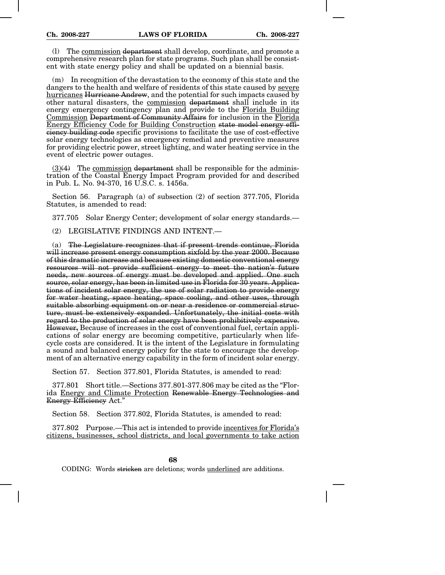(l) The commission department shall develop, coordinate, and promote a comprehensive research plan for state programs. Such plan shall be consistent with state energy policy and shall be updated on a biennial basis.

(m) In recognition of the devastation to the economy of this state and the dangers to the health and welfare of residents of this state caused by severe hurricanes Hurricane Andrew, and the potential for such impacts caused by other natural disasters, the commission department shall include in its energy emergency contingency plan and provide to the Florida Building Commission Department of Community Affairs for inclusion in the Florida Energy Efficiency Code for Building Construction state model energy efficiency building code specific provisions to facilitate the use of cost-effective solar energy technologies as emergency remedial and preventive measures for providing electric power, street lighting, and water heating service in the event of electric power outages.

 $(3)(4)$  The commission department shall be responsible for the administration of the Coastal Energy Impact Program provided for and described in Pub. L. No. 94-370, 16 U.S.C. s. 1456a.

Section 56. Paragraph (a) of subsection (2) of section 377.705, Florida Statutes, is amended to read:

377.705 Solar Energy Center; development of solar energy standards.—

(2) LEGISLATIVE FINDINGS AND INTENT.—

(a) The Legislature recognizes that if present trends continue, Florida will increase present energy consumption sixfold by the year 2000. Because of this dramatic increase and because existing domestic conventional energy resources will not provide sufficient energy to meet the nation's future needs, new sources of energy must be developed and applied. One such source, solar energy, has been in limited use in Florida for 30 years. Applications of incident solar energy, the use of solar radiation to provide energy for water heating, space heating, space cooling, and other uses, through suitable absorbing equipment on or near a residence or commercial structure, must be extensively expanded. Unfortunately, the initial costs with regard to the production of solar energy have been prohibitively expensive. However, Because of increases in the cost of conventional fuel, certain applications of solar energy are becoming competitive, particularly when lifecycle costs are considered. It is the intent of the Legislature in formulating a sound and balanced energy policy for the state to encourage the development of an alternative energy capability in the form of incident solar energy.

Section 57. Section 377.801, Florida Statutes, is amended to read:

377.801 Short title.—Sections 377.801-377.806 may be cited as the "Florida Energy and Climate Protection Renewable Energy Technologies and Energy Efficiency Act."

Section 58. Section 377.802, Florida Statutes, is amended to read:

377.802 Purpose.—This act is intended to provide incentives for Florida's citizens, businesses, school districts, and local governments to take action

**68**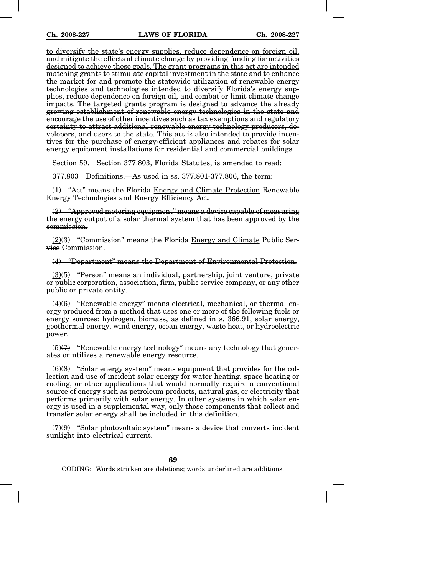to diversify the state's energy supplies, reduce dependence on foreign oil, and mitigate the effects of climate change by providing funding for activities designed to achieve these goals. The grant programs in this act are intended matching grants to stimulate capital investment in the state and to enhance the market for and promote the statewide utilization of renewable energy technologies and technologies intended to diversify Florida's energy supplies, reduce dependence on foreign oil, and combat or limit climate change impacts. The targeted grants program is designed to advance the already growing establishment of renewable energy technologies in the state and encourage the use of other incentives such as tax exemptions and regulatory certainty to attract additional renewable energy technology producers, developers, and users to the state. This act is also intended to provide incentives for the purchase of energy-efficient appliances and rebates for solar energy equipment installations for residential and commercial buildings.

Section 59. Section 377.803, Florida Statutes, is amended to read:

377.803 Definitions.—As used in ss. 377.801-377.806, the term:

(1) "Act" means the Florida Energy and Climate Protection Renewable Energy Technologies and Energy Efficiency Act.

 $(2)$  "Approved metering equipment" means a device capable of measuring the energy output of a solar thermal system that has been approved by the commission.

 $(2)(3)$  "Commission" means the Florida Energy and Climate Public Service Commission.

## (4) "Department" means the Department of Environmental Protection.

 $(3)(5)$  "Person" means an individual, partnership, joint venture, private or public corporation, association, firm, public service company, or any other public or private entity.

 $(4)(6)$  "Renewable energy" means electrical, mechanical, or thermal energy produced from a method that uses one or more of the following fuels or energy sources: hydrogen, biomass, as defined in s. 366.91, solar energy, geothermal energy, wind energy, ocean energy, waste heat, or hydroelectric power.

 $(5)(7)$  "Renewable energy technology" means any technology that generates or utilizes a renewable energy resource.

(6)(8) "Solar energy system" means equipment that provides for the collection and use of incident solar energy for water heating, space heating or cooling, or other applications that would normally require a conventional source of energy such as petroleum products, natural gas, or electricity that performs primarily with solar energy. In other systems in which solar energy is used in a supplemental way, only those components that collect and transfer solar energy shall be included in this definition.

 $(7)(9)$  "Solar photovoltaic system" means a device that converts incident sunlight into electrical current.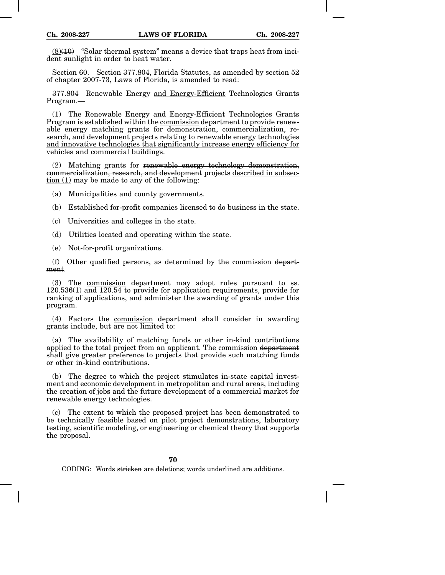$(8)(10)$  "Solar thermal system" means a device that traps heat from incident sunlight in order to heat water.

Section 60. Section 377.804, Florida Statutes, as amended by section 52 of chapter 2007-73, Laws of Florida, is amended to read:

377.804 Renewable Energy and Energy-Efficient Technologies Grants Program.—

(1) The Renewable Energy and Energy-Efficient Technologies Grants Program is established within the commission department to provide renewable energy matching grants for demonstration, commercialization, research, and development projects relating to renewable energy technologies and innovative technologies that significantly increase energy efficiency for vehicles and commercial buildings.

(2) Matching grants for renewable energy technology demonstration, commercialization, research, and development projects described in subsection (1) may be made to any of the following:

(a) Municipalities and county governments.

- (b) Established for-profit companies licensed to do business in the state.
- (c) Universities and colleges in the state.
- (d) Utilities located and operating within the state.
- (e) Not-for-profit organizations.

(f) Other qualified persons, as determined by the commission department.

(3) The commission department may adopt rules pursuant to ss. 120.536(1) and 120.54 to provide for application requirements, provide for ranking of applications, and administer the awarding of grants under this program.

(4) Factors the commission department shall consider in awarding grants include, but are not limited to:

(a) The availability of matching funds or other in-kind contributions applied to the total project from an applicant. The commission department shall give greater preference to projects that provide such matching funds or other in-kind contributions.

(b) The degree to which the project stimulates in-state capital investment and economic development in metropolitan and rural areas, including the creation of jobs and the future development of a commercial market for renewable energy technologies.

(c) The extent to which the proposed project has been demonstrated to be technically feasible based on pilot project demonstrations, laboratory testing, scientific modeling, or engineering or chemical theory that supports the proposal.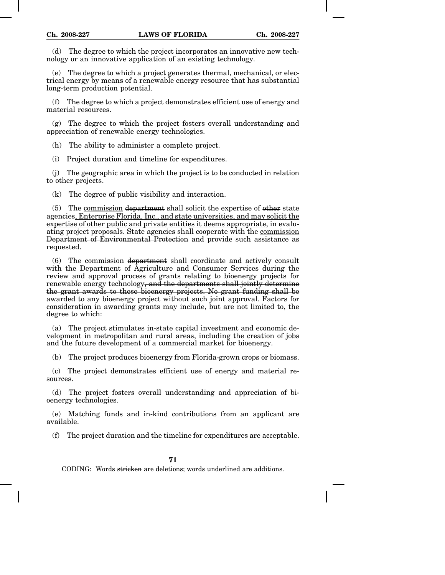(d) The degree to which the project incorporates an innovative new technology or an innovative application of an existing technology.

(e) The degree to which a project generates thermal, mechanical, or electrical energy by means of a renewable energy resource that has substantial long-term production potential.

(f) The degree to which a project demonstrates efficient use of energy and material resources.

(g) The degree to which the project fosters overall understanding and appreciation of renewable energy technologies.

(h) The ability to administer a complete project.

(i) Project duration and timeline for expenditures.

(j) The geographic area in which the project is to be conducted in relation to other projects.

(k) The degree of public visibility and interaction.

(5) The commission department shall solicit the expertise of other state agencies, Enterprise Florida, Inc., and state universities, and may solicit the expertise of other public and private entities it deems appropriate, in evaluating project proposals. State agencies shall cooperate with the commission Department of Environmental Protection and provide such assistance as requested.

(6) The commission department shall coordinate and actively consult with the Department of Agriculture and Consumer Services during the review and approval process of grants relating to bioenergy projects for renewable energy technology<del>, and the departments shall jointly determine</del> the grant awards to these bioenergy projects. No grant funding shall be awarded to any bioenergy project without such joint approval. Factors for consideration in awarding grants may include, but are not limited to, the degree to which:

(a) The project stimulates in-state capital investment and economic development in metropolitan and rural areas, including the creation of jobs and the future development of a commercial market for bioenergy.

(b) The project produces bioenergy from Florida-grown crops or biomass.

(c) The project demonstrates efficient use of energy and material resources.

(d) The project fosters overall understanding and appreciation of bioenergy technologies.

(e) Matching funds and in-kind contributions from an applicant are available.

(f) The project duration and the timeline for expenditures are acceptable.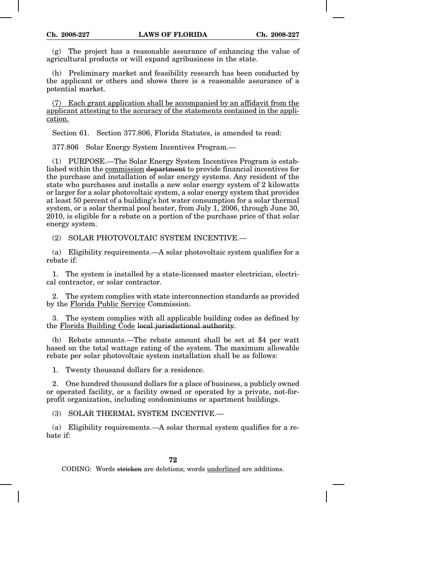(g) The project has a reasonable assurance of enhancing the value of agricultural products or will expand agribusiness in the state.

(h) Preliminary market and feasibility research has been conducted by the applicant or others and shows there is a reasonable assurance of a potential market.

(7) Each grant application shall be accompanied by an affidavit from the applicant attesting to the accuracy of the statements contained in the application.

Section 61. Section 377.806, Florida Statutes, is amended to read:

377.806 Solar Energy System Incentives Program.—

(1) PURPOSE.—The Solar Energy System Incentives Program is established within the commission department to provide financial incentives for the purchase and installation of solar energy systems. Any resident of the state who purchases and installs a new solar energy system of 2 kilowatts or larger for a solar photovoltaic system, a solar energy system that provides at least 50 percent of a building's hot water consumption for a solar thermal system, or a solar thermal pool heater, from July 1, 2006, through June 30, 2010, is eligible for a rebate on a portion of the purchase price of that solar energy system.

(2) SOLAR PHOTOVOLTAIC SYSTEM INCENTIVE.—

(a) Eligibility requirements.—A solar photovoltaic system qualifies for a rebate if:

1. The system is installed by a state-licensed master electrician, electrical contractor, or solar contractor.

2. The system complies with state interconnection standards as provided by the Florida Public Service Commission.

3. The system complies with all applicable building codes as defined by the Florida Building Code local jurisdictional authority.

(b) Rebate amounts.—The rebate amount shall be set at \$4 per watt based on the total wattage rating of the system. The maximum allowable rebate per solar photovoltaic system installation shall be as follows:

1. Twenty thousand dollars for a residence.

2. One hundred thousand dollars for a place of business, a publicly owned or operated facility, or a facility owned or operated by a private, not-forprofit organization, including condominiums or apartment buildings.

(3) SOLAR THERMAL SYSTEM INCENTIVE.—

(a) Eligibility requirements.—A solar thermal system qualifies for a rebate if: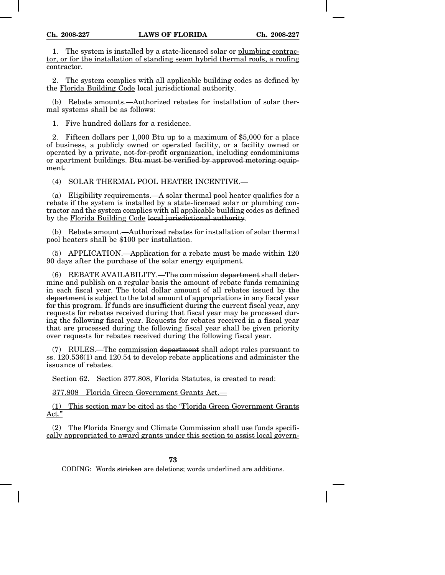1. The system is installed by a state-licensed solar or plumbing contractor, or for the installation of standing seam hybrid thermal roofs, a roofing contractor.

2. The system complies with all applicable building codes as defined by the Florida Building Code local jurisdictional authority.

(b) Rebate amounts.—Authorized rebates for installation of solar thermal systems shall be as follows:

1. Five hundred dollars for a residence.

2. Fifteen dollars per 1,000 Btu up to a maximum of \$5,000 for a place of business, a publicly owned or operated facility, or a facility owned or operated by a private, not-for-profit organization, including condominiums or apartment buildings. Btu must be verified by approved metering equipment.

(4) SOLAR THERMAL POOL HEATER INCENTIVE.—

(a) Eligibility requirements.—A solar thermal pool heater qualifies for a rebate if the system is installed by a state-licensed solar or plumbing contractor and the system complies with all applicable building codes as defined by the Florida Building Code local jurisdictional authority.

(b) Rebate amount.—Authorized rebates for installation of solar thermal pool heaters shall be \$100 per installation.

(5) APPLICATION.—Application for a rebate must be made within  $120$ 90 days after the purchase of the solar energy equipment.

(6) REBATE AVAILABILITY.—The commission department shall determine and publish on a regular basis the amount of rebate funds remaining in each fiscal year. The total dollar amount of all rebates issued by the department is subject to the total amount of appropriations in any fiscal year for this program. If funds are insufficient during the current fiscal year, any requests for rebates received during that fiscal year may be processed during the following fiscal year. Requests for rebates received in a fiscal year that are processed during the following fiscal year shall be given priority over requests for rebates received during the following fiscal year.

(7) RULES.—The commission department shall adopt rules pursuant to ss. 120.536(1) and 120.54 to develop rebate applications and administer the issuance of rebates.

Section 62. Section 377.808, Florida Statutes, is created to read:

377.808 Florida Green Government Grants Act.—

(1) This section may be cited as the "Florida Green Government Grants Act."

(2) The Florida Energy and Climate Commission shall use funds specifically appropriated to award grants under this section to assist local govern-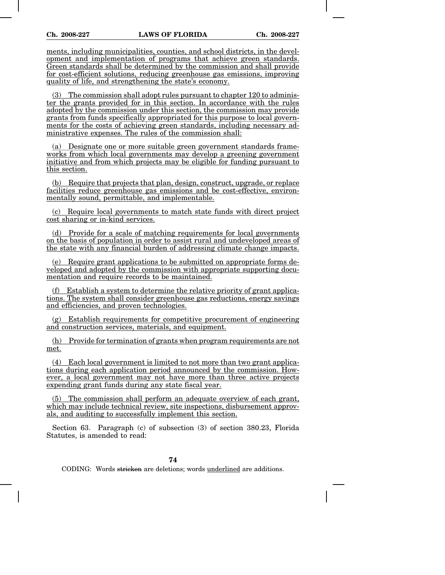ments, including municipalities, counties, and school districts, in the development and implementation of programs that achieve green standards. Green standards shall be determined by the commission and shall provide for cost-efficient solutions, reducing greenhouse gas emissions, improving quality of life, and strengthening the state's economy.

(3) The commission shall adopt rules pursuant to chapter 120 to administer the grants provided for in this section. In accordance with the rules adopted by the commission under this section, the commission may provide grants from funds specifically appropriated for this purpose to local governments for the costs of achieving green standards, including necessary administrative expenses. The rules of the commission shall:

(a) Designate one or more suitable green government standards frameworks from which local governments may develop a greening government initiative and from which projects may be eligible for funding pursuant to this section.

(b) Require that projects that plan, design, construct, upgrade, or replace facilities reduce greenhouse gas emissions and be cost-effective, environmentally sound, permittable, and implementable.

(c) Require local governments to match state funds with direct project cost sharing or in-kind services.

(d) Provide for a scale of matching requirements for local governments on the basis of population in order to assist rural and undeveloped areas of the state with any financial burden of addressing climate change impacts.

(e) Require grant applications to be submitted on appropriate forms developed and adopted by the commission with appropriate supporting documentation and require records to be maintained.

(f) Establish a system to determine the relative priority of grant applications. The system shall consider greenhouse gas reductions, energy savings and efficiencies, and proven technologies.

(g) Establish requirements for competitive procurement of engineering and construction services, materials, and equipment.

(h) Provide for termination of grants when program requirements are not met.

(4) Each local government is limited to not more than two grant applications during each application period announced by the commission. However, a local government may not have more than three active projects expending grant funds during any state fiscal year.

(5) The commission shall perform an adequate overview of each grant, which may include technical review, site inspections, disbursement approvals, and auditing to successfully implement this section.

Section 63. Paragraph (c) of subsection (3) of section 380.23, Florida Statutes, is amended to read:

**74**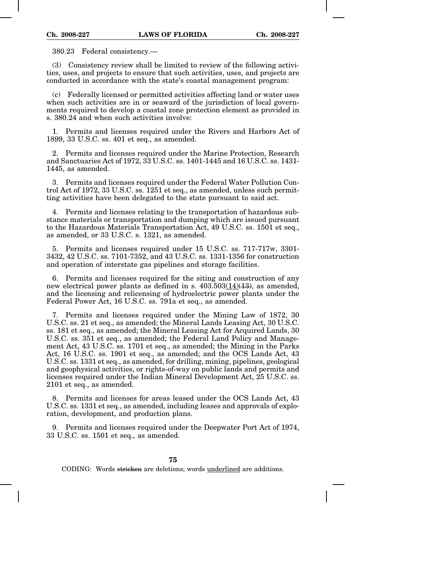380.23 Federal consistency.—

(3) Consistency review shall be limited to review of the following activities, uses, and projects to ensure that such activities, uses, and projects are conducted in accordance with the state's coastal management program:

(c) Federally licensed or permitted activities affecting land or water uses when such activities are in or seaward of the jurisdiction of local governments required to develop a coastal zone protection element as provided in s. 380.24 and when such activities involve:

1. Permits and licenses required under the Rivers and Harbors Act of 1899, 33 U.S.C. ss. 401 et seq., as amended.

2. Permits and licenses required under the Marine Protection, Research and Sanctuaries Act of 1972, 33 U.S.C. ss. 1401-1445 and 16 U.S.C. ss. 1431- 1445, as amended.

3. Permits and licenses required under the Federal Water Pollution Control Act of 1972, 33 U.S.C. ss. 1251 et seq., as amended, unless such permitting activities have been delegated to the state pursuant to said act.

4. Permits and licenses relating to the transportation of hazardous substance materials or transportation and dumping which are issued pursuant to the Hazardous Materials Transportation Act, 49 U.S.C. ss. 1501 et seq., as amended, or 33 U.S.C. s. 1321, as amended.

5. Permits and licenses required under 15 U.S.C. ss. 717-717w, 3301- 3432, 42 U.S.C. ss. 7101-7352, and 43 U.S.C. ss. 1331-1356 for construction and operation of interstate gas pipelines and storage facilities.

6. Permits and licenses required for the siting and construction of any new electrical power plants as defined in s. 403.503(14)(13), as amended, and the licensing and relicensing of hydroelectric power plants under the Federal Power Act, 16 U.S.C. ss. 791a et seq., as amended.

7. Permits and licenses required under the Mining Law of 1872, 30 U.S.C. ss. 21 et seq., as amended; the Mineral Lands Leasing Act, 30 U.S.C. ss. 181 et seq., as amended; the Mineral Leasing Act for Acquired Lands, 30 U.S.C. ss. 351 et seq., as amended; the Federal Land Policy and Management Act, 43 U.S.C. ss. 1701 et seq., as amended; the Mining in the Parks Act, 16 U.S.C. ss. 1901 et seq., as amended; and the OCS Lands Act, 43 U.S.C. ss. 1331 et seq., as amended, for drilling, mining, pipelines, geological and geophysical activities, or rights-of-way on public lands and permits and licenses required under the Indian Mineral Development Act, 25 U.S.C. ss. 2101 et seq., as amended.

8. Permits and licenses for areas leased under the OCS Lands Act, 43 U.S.C. ss. 1331 et seq., as amended, including leases and approvals of exploration, development, and production plans.

9. Permits and licenses required under the Deepwater Port Act of 1974, 33 U.S.C. ss. 1501 et seq., as amended.

**75**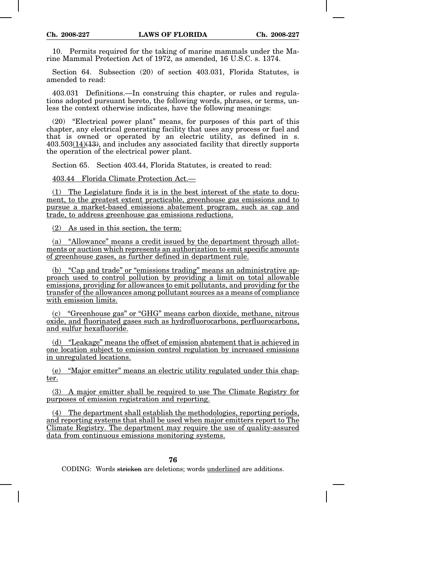10. Permits required for the taking of marine mammals under the Marine Mammal Protection Act of 1972, as amended, 16 U.S.C. s. 1374.

Section 64. Subsection (20) of section 403.031, Florida Statutes, is amended to read:

403.031 Definitions.—In construing this chapter, or rules and regulations adopted pursuant hereto, the following words, phrases, or terms, unless the context otherwise indicates, have the following meanings:

(20) "Electrical power plant" means, for purposes of this part of this chapter, any electrical generating facility that uses any process or fuel and that is owned or operated by an electric utility, as defined in s. 403.503(14)(13), and includes any associated facility that directly supports the operation of the electrical power plant.

Section 65. Section 403.44, Florida Statutes, is created to read:

403.44 Florida Climate Protection Act.—

(1) The Legislature finds it is in the best interest of the state to document, to the greatest extent practicable, greenhouse gas emissions and to pursue a market-based emissions abatement program, such as cap and trade, to address greenhouse gas emissions reductions.

(2) As used in this section, the term:

(a) "Allowance" means a credit issued by the department through allotments or auction which represents an authorization to emit specific amounts of greenhouse gases, as further defined in department rule.

(b) "Cap and trade" or "emissions trading" means an administrative approach used to control pollution by providing a limit on total allowable emissions, providing for allowances to emit pollutants, and providing for the transfer of the allowances among pollutant sources as a means of compliance with emission limits.

(c) "Greenhouse gas" or "GHG" means carbon dioxide, methane, nitrous oxide, and fluorinated gases such as hydrofluorocarbons, perfluorocarbons, and sulfur hexafluoride.

(d) "Leakage" means the offset of emission abatement that is achieved in one location subject to emission control regulation by increased emissions in unregulated locations.

(e) "Major emitter" means an electric utility regulated under this chapter.

(3) A major emitter shall be required to use The Climate Registry for purposes of emission registration and reporting.

(4) The department shall establish the methodologies, reporting periods, and reporting systems that shall be used when major emitters report to The Climate Registry. The department may require the use of quality-assured data from continuous emissions monitoring systems.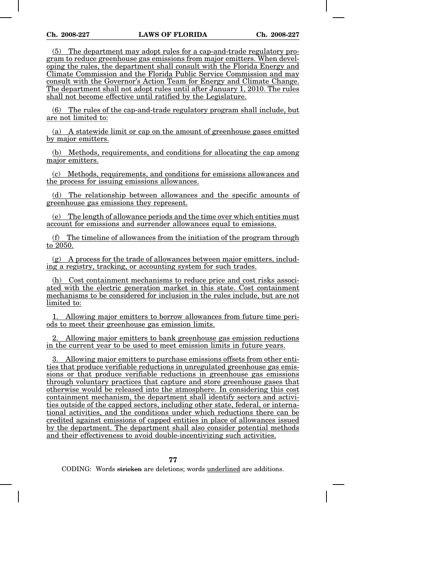(5) The department may adopt rules for a cap-and-trade regulatory program to reduce greenhouse gas emissions from major emitters. When developing the rules, the department shall consult with the Florida Energy and Climate Commission and the Florida Public Service Commission and may consult with the Governor's Action Team for Energy and Climate Change. The department shall not adopt rules until after January 1, 2010. The rules shall not become effective until ratified by the Legislature.

(6) The rules of the cap-and-trade regulatory program shall include, but are not limited to:

(a) A statewide limit or cap on the amount of greenhouse gases emitted by major emitters.

(b) Methods, requirements, and conditions for allocating the cap among major emitters.

(c) Methods, requirements, and conditions for emissions allowances and the process for issuing emissions allowances.

(d) The relationship between allowances and the specific amounts of greenhouse gas emissions they represent.

(e) The length of allowance periods and the time over which entities must account for emissions and surrender allowances equal to emissions.

(f) The timeline of allowances from the initiation of the program through to  $20\overline{50}$ .

 $(g)$  A process for the trade of allowances between major emitters, including a registry, tracking, or accounting system for such trades.

(h) Cost containment mechanisms to reduce price and cost risks associated with the electric generation market in this state. Cost containment mechanisms to be considered for inclusion in the rules include, but are not limited to:

1. Allowing major emitters to borrow allowances from future time periods to meet their greenhouse gas emission limits.

2. Allowing major emitters to bank greenhouse gas emission reductions in the current year to be used to meet emission limits in future years.

3. Allowing major emitters to purchase emissions offsets from other entities that produce verifiable reductions in unregulated greenhouse gas emissions or that produce verifiable reductions in greenhouse gas emissions through voluntary practices that capture and store greenhouse gases that otherwise would be released into the atmosphere. In considering this cost containment mechanism, the department shall identify sectors and activities outside of the capped sectors, including other state, federal, or international activities, and the conditions under which reductions there can be credited against emissions of capped entities in place of allowances issued by the department. The department shall also consider potential methods and their effectiveness to avoid double-incentivizing such activities.

**77**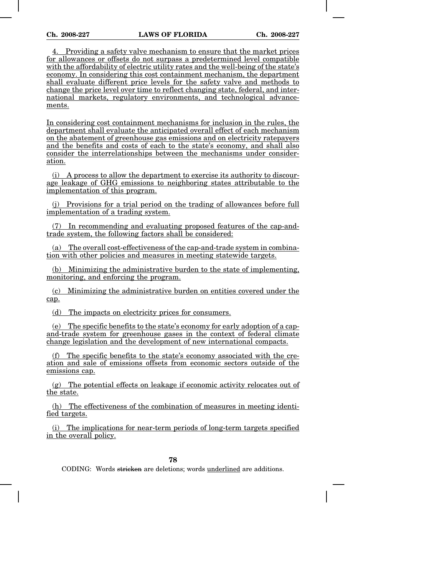4. Providing a safety valve mechanism to ensure that the market prices for allowances or offsets do not surpass a predetermined level compatible with the affordability of electric utility rates and the well-being of the state's economy. In considering this cost containment mechanism, the department shall evaluate different price levels for the safety valve and methods to change the price level over time to reflect changing state, federal, and international markets, regulatory environments, and technological advancements.

In considering cost containment mechanisms for inclusion in the rules, the department shall evaluate the anticipated overall effect of each mechanism on the abatement of greenhouse gas emissions and on electricity ratepayers and the benefits and costs of each to the state's economy, and shall also consider the interrelationships between the mechanisms under consideration.

(i) A process to allow the department to exercise its authority to discourage leakage of GHG emissions to neighboring states attributable to the implementation of this program.

(j) Provisions for a trial period on the trading of allowances before full implementation of a trading system.

(7) In recommending and evaluating proposed features of the cap-andtrade system, the following factors shall be considered:

(a) The overall cost-effectiveness of the cap-and-trade system in combination with other policies and measures in meeting statewide targets.

(b) Minimizing the administrative burden to the state of implementing, monitoring, and enforcing the program.

(c) Minimizing the administrative burden on entities covered under the cap.

(d) The impacts on electricity prices for consumers.

(e) The specific benefits to the state's economy for early adoption of a capand-trade system for greenhouse gases in the context of federal climate change legislation and the development of new international compacts.

The specific benefits to the state's economy associated with the creation and sale of emissions offsets from economic sectors outside of the emissions cap.

(g) The potential effects on leakage if economic activity relocates out of the state.

(h) The effectiveness of the combination of measures in meeting identified targets.

(i) The implications for near-term periods of long-term targets specified in the overall policy.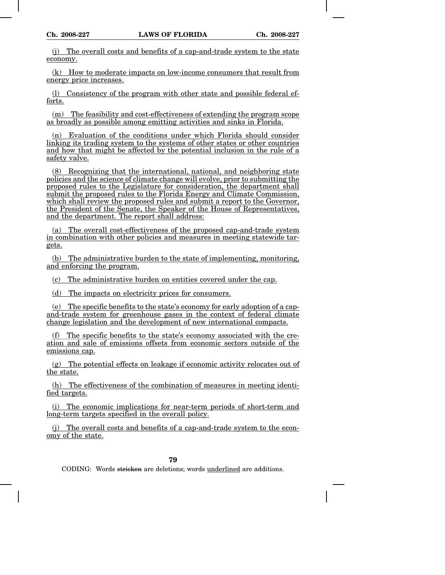(j) The overall costs and benefits of a cap-and-trade system to the state economy.

(k) How to moderate impacts on low-income consumers that result from energy price increases.

(l) Consistency of the program with other state and possible federal efforts.

(m) The feasibility and cost-effectiveness of extending the program scope as broadly as possible among emitting activities and sinks in Florida.

(n) Evaluation of the conditions under which Florida should consider linking its trading system to the systems of other states or other countries and how that might be affected by the potential inclusion in the rule of a safety valve.

(8) Recognizing that the international, national, and neighboring state policies and the science of climate change will evolve, prior to submitting the proposed rules to the Legislature for consideration, the department shall submit the proposed rules to the Florida Energy and Climate Commission, which shall review the proposed rules and submit a report to the Governor, the President of the Senate, the Speaker of the House of Representatives, and the department. The report shall address:

(a) The overall cost-effectiveness of the proposed cap-and-trade system in combination with other policies and measures in meeting statewide targets.

(b) The administrative burden to the state of implementing, monitoring, and enforcing the program.

(c) The administrative burden on entities covered under the cap.

(d) The impacts on electricity prices for consumers.

(e) The specific benefits to the state's economy for early adoption of a capand-trade system for greenhouse gases in the context of federal climate change legislation and the development of new international compacts.

(f) The specific benefits to the state's economy associated with the creation and sale of emissions offsets from economic sectors outside of the emissions cap.

(g) The potential effects on leakage if economic activity relocates out of the state.

(h) The effectiveness of the combination of measures in meeting identified targets.

(i) The economic implications for near-term periods of short-term and long-term targets specified in the overall policy.

(j) The overall costs and benefits of a cap-and-trade system to the economy of the state.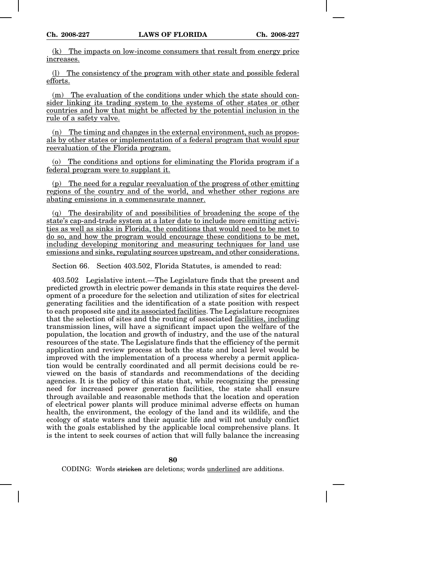(k) The impacts on low-income consumers that result from energy price increases.

(l) The consistency of the program with other state and possible federal efforts.

(m) The evaluation of the conditions under which the state should consider linking its trading system to the systems of other states or other countries and how that might be affected by the potential inclusion in the rule of a safety valve.

(n) The timing and changes in the external environment, such as proposals by other states or implementation of a federal program that would spur reevaluation of the Florida program.

(o) The conditions and options for eliminating the Florida program if a federal program were to supplant it.

(p) The need for a regular reevaluation of the progress of other emitting regions of the country and of the world, and whether other regions are abating emissions in a commensurate manner.

(q) The desirability of and possibilities of broadening the scope of the state's cap-and-trade system at a later date to include more emitting activities as well as sinks in Florida, the conditions that would need to be met to do so, and how the program would encourage these conditions to be met, including developing monitoring and measuring techniques for land use emissions and sinks, regulating sources upstream, and other considerations.

Section 66. Section 403.502, Florida Statutes, is amended to read:

403.502 Legislative intent.—The Legislature finds that the present and predicted growth in electric power demands in this state requires the development of a procedure for the selection and utilization of sites for electrical generating facilities and the identification of a state position with respect to each proposed site and its associated facilities. The Legislature recognizes that the selection of sites and the routing of associated facilities, including transmission lines, will have a significant impact upon the welfare of the population, the location and growth of industry, and the use of the natural resources of the state. The Legislature finds that the efficiency of the permit application and review process at both the state and local level would be improved with the implementation of a process whereby a permit application would be centrally coordinated and all permit decisions could be reviewed on the basis of standards and recommendations of the deciding agencies. It is the policy of this state that, while recognizing the pressing need for increased power generation facilities, the state shall ensure through available and reasonable methods that the location and operation of electrical power plants will produce minimal adverse effects on human health, the environment, the ecology of the land and its wildlife, and the ecology of state waters and their aquatic life and will not unduly conflict with the goals established by the applicable local comprehensive plans. It is the intent to seek courses of action that will fully balance the increasing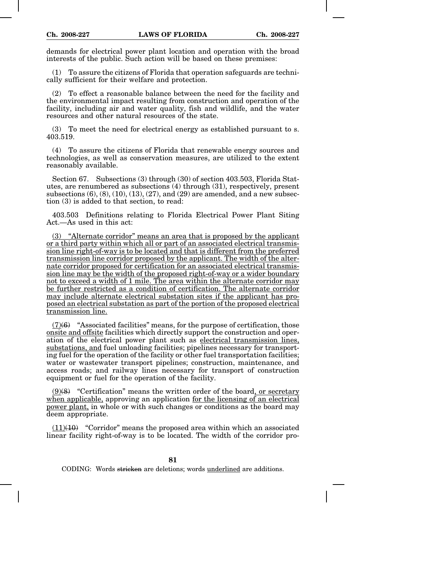demands for electrical power plant location and operation with the broad interests of the public. Such action will be based on these premises:

(1) To assure the citizens of Florida that operation safeguards are technically sufficient for their welfare and protection.

(2) To effect a reasonable balance between the need for the facility and the environmental impact resulting from construction and operation of the facility, including air and water quality, fish and wildlife, and the water resources and other natural resources of the state.

(3) To meet the need for electrical energy as established pursuant to s. 403.519.

(4) To assure the citizens of Florida that renewable energy sources and technologies, as well as conservation measures, are utilized to the extent reasonably available.

Section 67. Subsections (3) through (30) of section 403.503, Florida Statutes, are renumbered as subsections (4) through (31), respectively, present subsections  $(6)$ ,  $(8)$ ,  $(10)$ ,  $(13)$ ,  $(27)$ , and  $(29)$  are amended, and a new subsection (3) is added to that section, to read:

403.503 Definitions relating to Florida Electrical Power Plant Siting Act.—As used in this act:

(3) "Alternate corridor" means an area that is proposed by the applicant or a third party within which all or part of an associated electrical transmission line right-of-way is to be located and that is different from the preferred transmission line corridor proposed by the applicant. The width of the alternate corridor proposed for certification for an associated electrical transmission line may be the width of the proposed right-of-way or a wider boundary not to exceed a width of 1 mile. The area within the alternate corridor may be further restricted as a condition of certification. The alternate corridor may include alternate electrical substation sites if the applicant has proposed an electrical substation as part of the portion of the proposed electrical transmission line.

(7)(6) "Associated facilities" means, for the purpose of certification, those onsite and offsite facilities which directly support the construction and operation of the electrical power plant such as electrical transmission lines, substations, and fuel unloading facilities; pipelines necessary for transporting fuel for the operation of the facility or other fuel transportation facilities; water or wastewater transport pipelines; construction, maintenance, and access roads; and railway lines necessary for transport of construction equipment or fuel for the operation of the facility.

 $(9)(8)$  "Certification" means the written order of the board, or secretary when applicable, approving an application for the licensing of an electrical power plant, in whole or with such changes or conditions as the board may deem appropriate.

 $(11)(10)$  "Corridor" means the proposed area within which an associated linear facility right-of-way is to be located. The width of the corridor pro-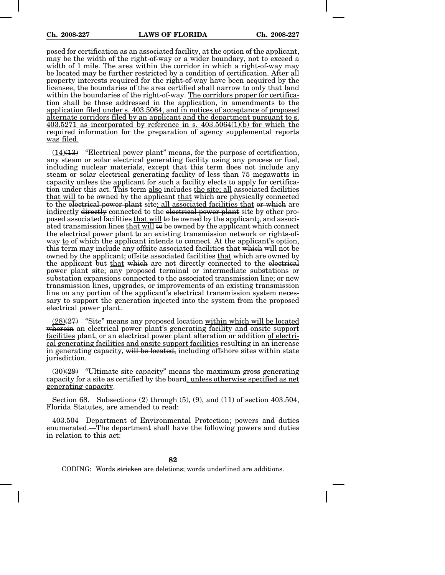posed for certification as an associated facility, at the option of the applicant, may be the width of the right-of-way or a wider boundary, not to exceed a width of 1 mile. The area within the corridor in which a right-of-way may be located may be further restricted by a condition of certification. After all property interests required for the right-of-way have been acquired by the licensee, the boundaries of the area certified shall narrow to only that land within the boundaries of the right-of-way. The corridors proper for certification shall be those addressed in the application, in amendments to the application filed under s. 403.5064, and in notices of acceptance of proposed alternate corridors filed by an applicant and the department pursuant to s.  $403.5271$  as incorporated by reference in s.  $403.5064(1)(b)$  for which the required information for the preparation of agency supplemental reports was filed.

 $(14)(13)$  "Electrical power plant" means, for the purpose of certification, any steam or solar electrical generating facility using any process or fuel, including nuclear materials, except that this term does not include any steam or solar electrical generating facility of less than 75 megawatts in capacity unless the applicant for such a facility elects to apply for certification under this act. This term also includes the site; all associated facilities that will to be owned by the applicant that which are physically connected to the electrical power plant site; all associated facilities that or which are indirectly directly connected to the electrical power plant site by other proposed associated facilities that will to be owned by the applicant;, and associated transmission lines that will to be owned by the applicant which connect the electrical power plant to an existing transmission network or rights-ofway to of which the applicant intends to connect. At the applicant's option, this term may include any offsite associated facilities that which will not be owned by the applicant; offsite associated facilities that which are owned by the applicant but that which are not directly connected to the electrical power plant site; any proposed terminal or intermediate substations or substation expansions connected to the associated transmission line; or new transmission lines, upgrades, or improvements of an existing transmission line on any portion of the applicant's electrical transmission system necessary to support the generation injected into the system from the proposed electrical power plant.

 $(28)(27)$  "Site" means any proposed location within which will be located wherein an electrical power plant's generating facility and onsite support facilities plant, or an electrical power plant alteration or addition of electrical generating facilities and onsite support facilities resulting in an increase in generating capacity, will be located, including offshore sites within state jurisdiction.

 $(30)(29)$  "Ultimate site capacity" means the maximum gross generating capacity for a site as certified by the board, unless otherwise specified as net generating capacity.

Section 68. Subsections (2) through (5), (9), and (11) of section 403.504, Florida Statutes, are amended to read:

403.504 Department of Environmental Protection; powers and duties enumerated.—The department shall have the following powers and duties in relation to this act: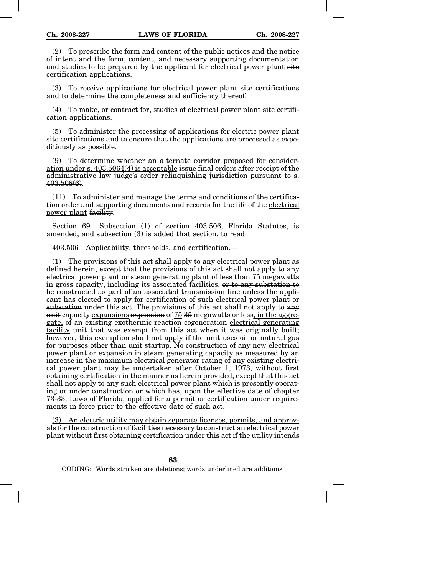(2) To prescribe the form and content of the public notices and the notice of intent and the form, content, and necessary supporting documentation and studies to be prepared by the applicant for electrical power plant site certification applications.

(3) To receive applications for electrical power plant site certifications and to determine the completeness and sufficiency thereof.

(4) To make, or contract for, studies of electrical power plant site certification applications.

(5) To administer the processing of applications for electric power plant site certifications and to ensure that the applications are processed as expeditiously as possible.

(9) To determine whether an alternate corridor proposed for consideration under s. 403.5064(4) is acceptable issue final orders after receipt of the administrative law judge's order relinquishing jurisdiction pursuant to s. 403.508(6).

(11) To administer and manage the terms and conditions of the certification order and supporting documents and records for the life of the electrical power plant facility.

Section 69. Subsection (1) of section 403.506, Florida Statutes, is amended, and subsection (3) is added that section, to read:

403.506 Applicability, thresholds, and certification.—

(1) The provisions of this act shall apply to any electrical power plant as defined herein, except that the provisions of this act shall not apply to any electrical power plant or steam generating plant of less than 75 megawatts in gross capacity, including its associated facilities, or to any substation to be constructed as part of an associated transmission line unless the applicant has elected to apply for certification of such electrical power plant or substation under this act. The provisions of this act shall not apply to any unit capacity expansions expansion of 75 35 megawatts or less, in the aggregate, of an existing exothermic reaction cogeneration electrical generating facility unit that was exempt from this act when it was originally built; however, this exemption shall not apply if the unit uses oil or natural gas for purposes other than unit startup. No construction of any new electrical power plant or expansion in steam generating capacity as measured by an increase in the maximum electrical generator rating of any existing electrical power plant may be undertaken after October 1, 1973, without first obtaining certification in the manner as herein provided, except that this act shall not apply to any such electrical power plant which is presently operating or under construction or which has, upon the effective date of chapter 73-33, Laws of Florida, applied for a permit or certification under requirements in force prior to the effective date of such act.

(3) An electric utility may obtain separate licenses, permits, and approvals for the construction of facilities necessary to construct an electrical power plant without first obtaining certification under this act if the utility intends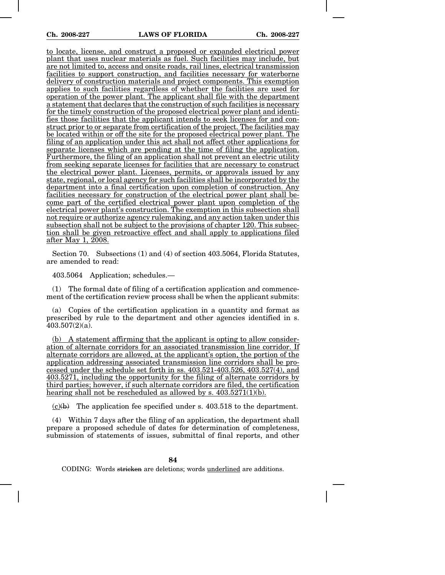to locate, license, and construct a proposed or expanded electrical power plant that uses nuclear materials as fuel. Such facilities may include, but are not limited to, access and onsite roads, rail lines, electrical transmission facilities to support construction, and facilities necessary for waterborne delivery of construction materials and project components. This exemption applies to such facilities regardless of whether the facilities are used for operation of the power plant. The applicant shall file with the department a statement that declares that the construction of such facilities is necessary for the timely construction of the proposed electrical power plant and identifies those facilities that the applicant intends to seek licenses for and construct prior to or separate from certification of the project. The facilities may be located within or off the site for the proposed electrical power plant. The filing of an application under this act shall not affect other applications for separate licenses which are pending at the time of filing the application. Furthermore, the filing of an application shall not prevent an electric utility from seeking separate licenses for facilities that are necessary to construct the electrical power plant. Licenses, permits, or approvals issued by any state, regional, or local agency for such facilities shall be incorporated by the department into a final certification upon completion of construction. Any facilities necessary for construction of the electrical power plant shall become part of the certified electrical power plant upon completion of the electrical power plant's construction. The exemption in this subsection shall not require or authorize agency rulemaking, and any action taken under this subsection shall not be subject to the provisions of chapter 120. This subsection shall be given retroactive effect and shall apply to applications filed after May 1, 2008.

Section 70. Subsections (1) and (4) of section 403.5064, Florida Statutes, are amended to read:

403.5064 Application; schedules.—

(1) The formal date of filing of a certification application and commencement of the certification review process shall be when the applicant submits:

(a) Copies of the certification application in a quantity and format as prescribed by rule to the department and other agencies identified in s.  $403.507(2)(a)$ .

(b) A statement affirming that the applicant is opting to allow consideration of alternate corridors for an associated transmission line corridor. If alternate corridors are allowed, at the applicant's option, the portion of the application addressing associated transmission line corridors shall be processed under the schedule set forth in ss. 403.521-403.526, 403.527(4), and 403.5271, including the opportunity for the filing of alternate corridors by third parties; however, if such alternate corridors are filed, the certification hearing shall not be rescheduled as allowed by s.  $403.5271(1)(b)$ .

 $(c)(b)$  The application fee specified under s. 403.518 to the department.

(4) Within 7 days after the filing of an application, the department shall prepare a proposed schedule of dates for determination of completeness, submission of statements of issues, submittal of final reports, and other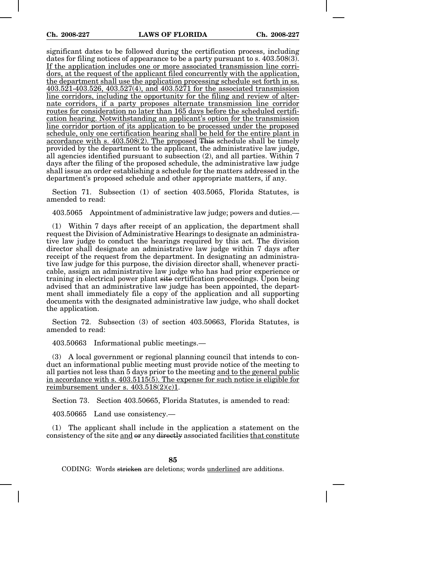significant dates to be followed during the certification process, including dates for filing notices of appearance to be a party pursuant to s. 403.508(3). If the application includes one or more associated transmission line corridors, at the request of the applicant filed concurrently with the application, the department shall use the application processing schedule set forth in ss. 403.521-403.526, 403.527(4), and 403.5271 for the associated transmission line corridors, including the opportunity for the filing and review of alternate corridors, if a party proposes alternate transmission line corridor routes for consideration no later than 165 days before the scheduled certification hearing. Notwithstanding an applicant's option for the transmission line corridor portion of its application to be processed under the proposed schedule, only one certification hearing shall be held for the entire plant in accordance with s. 403.508(2). The proposed This schedule shall be timely provided by the department to the applicant, the administrative law judge, all agencies identified pursuant to subsection (2), and all parties. Within 7 days after the filing of the proposed schedule, the administrative law judge shall issue an order establishing a schedule for the matters addressed in the department's proposed schedule and other appropriate matters, if any.

Section 71. Subsection (1) of section 403.5065, Florida Statutes, is amended to read:

403.5065 Appointment of administrative law judge; powers and duties.—

(1) Within 7 days after receipt of an application, the department shall request the Division of Administrative Hearings to designate an administrative law judge to conduct the hearings required by this act. The division director shall designate an administrative law judge within 7 days after receipt of the request from the department. In designating an administrative law judge for this purpose, the division director shall, whenever practicable, assign an administrative law judge who has had prior experience or training in electrical power plant site certification proceedings. Upon being advised that an administrative law judge has been appointed, the department shall immediately file a copy of the application and all supporting documents with the designated administrative law judge, who shall docket the application.

Section 72. Subsection (3) of section 403.50663, Florida Statutes, is amended to read:

403.50663 Informational public meetings.—

(3) A local government or regional planning council that intends to conduct an informational public meeting must provide notice of the meeting to all parties not less than 5 days prior to the meeting and to the general public in accordance with s. 403.5115(5). The expense for such notice is eligible for reimbursement under s.  $403.518(2)(c)1$ .

Section 73. Section 403.50665, Florida Statutes, is amended to read:

403.50665 Land use consistency.—

(1) The applicant shall include in the application a statement on the consistency of the site and  $\theta$  any directly associated facilities that constitute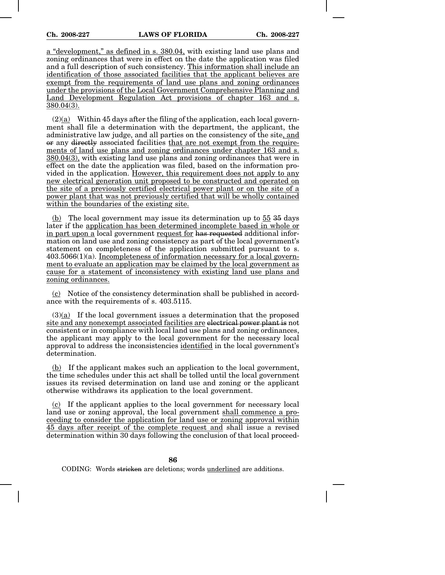a "development," as defined in s. 380.04, with existing land use plans and zoning ordinances that were in effect on the date the application was filed and a full description of such consistency. This information shall include an identification of those associated facilities that the applicant believes are exempt from the requirements of land use plans and zoning ordinances under the provisions of the Local Government Comprehensive Planning and Land Development Regulation Act provisions of chapter 163 and s. 380.04(3).

 $(2)(a)$  Within 45 days after the filing of the application, each local government shall file a determination with the department, the applicant, the administrative law judge, and all parties on the consistency of the site, and or any directly associated facilities that are not exempt from the requirements of land use plans and zoning ordinances under chapter 163 and s. 380.04(3), with existing land use plans and zoning ordinances that were in effect on the date the application was filed, based on the information provided in the application. However, this requirement does not apply to any new electrical generation unit proposed to be constructed and operated on the site of a previously certified electrical power plant or on the site of a power plant that was not previously certified that will be wholly contained within the boundaries of the existing site.

(b) The local government may issue its determination up to 55 35 days later if the application has been determined incomplete based in whole or in part upon a local government request for has requested additional information on land use and zoning consistency as part of the local government's statement on completeness of the application submitted pursuant to s.  $403.5066(1)(a)$ . Incompleteness of information necessary for a local government to evaluate an application may be claimed by the local government as cause for a statement of inconsistency with existing land use plans and zoning ordinances.

(c) Notice of the consistency determination shall be published in accordance with the requirements of s. 403.5115.

(3)(a) If the local government issues a determination that the proposed site and any nonexempt associated facilities are electrical power plant is not consistent or in compliance with local land use plans and zoning ordinances, the applicant may apply to the local government for the necessary local approval to address the inconsistencies identified in the local government's determination.

(b) If the applicant makes such an application to the local government, the time schedules under this act shall be tolled until the local government issues its revised determination on land use and zoning or the applicant otherwise withdraws its application to the local government.

(c) If the applicant applies to the local government for necessary local land use or zoning approval, the local government shall commence a proceeding to consider the application for land use or zoning approval within 45 days after receipt of the complete request and shall issue a revised determination within 30 days following the conclusion of that local proceed-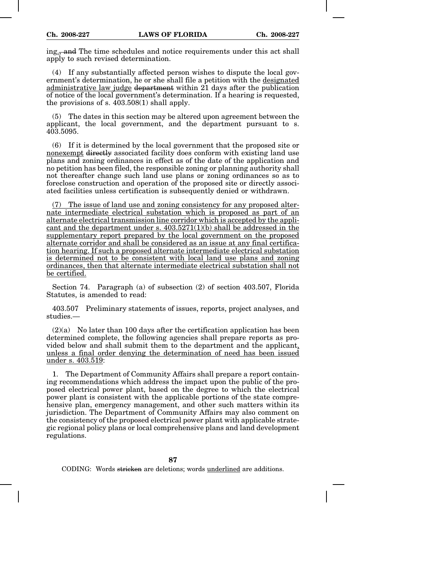ing<sub>:</sub>, and The time schedules and notice requirements under this act shall apply to such revised determination.

(4) If any substantially affected person wishes to dispute the local government's determination, he or she shall file a petition with the designated administrative law judge department within 21 days after the publication of notice of the local government's determination. If a hearing is requested, the provisions of s. 403.508(1) shall apply.

(5) The dates in this section may be altered upon agreement between the applicant, the local government, and the department pursuant to s.  $403.5095$ 

(6) If it is determined by the local government that the proposed site or nonexempt directly associated facility does conform with existing land use plans and zoning ordinances in effect as of the date of the application and no petition has been filed, the responsible zoning or planning authority shall not thereafter change such land use plans or zoning ordinances so as to foreclose construction and operation of the proposed site or directly associated facilities unless certification is subsequently denied or withdrawn.

(7) The issue of land use and zoning consistency for any proposed alternate intermediate electrical substation which is proposed as part of an alternate electrical transmission line corridor which is accepted by the applicant and the department under s.  $403.5271(1)(b)$  shall be addressed in the supplementary report prepared by the local government on the proposed alternate corridor and shall be considered as an issue at any final certification hearing. If such a proposed alternate intermediate electrical substation is determined not to be consistent with local land use plans and zoning ordinances, then that alternate intermediate electrical substation shall not be certified.

Section 74. Paragraph (a) of subsection (2) of section 403.507, Florida Statutes, is amended to read:

403.507 Preliminary statements of issues, reports, project analyses, and studies.—

 $(2)(a)$  No later than 100 days after the certification application has been determined complete, the following agencies shall prepare reports as provided below and shall submit them to the department and the applicant, unless a final order denying the determination of need has been issued under s. 403.519:

1. The Department of Community Affairs shall prepare a report containing recommendations which address the impact upon the public of the proposed electrical power plant, based on the degree to which the electrical power plant is consistent with the applicable portions of the state comprehensive plan, emergency management, and other such matters within its jurisdiction. The Department of Community Affairs may also comment on the consistency of the proposed electrical power plant with applicable strategic regional policy plans or local comprehensive plans and land development regulations.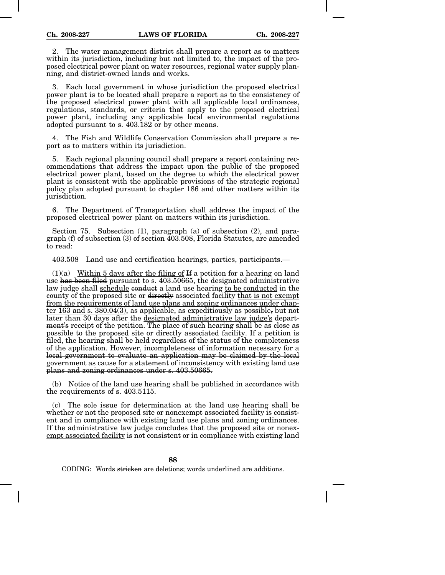2. The water management district shall prepare a report as to matters within its jurisdiction, including but not limited to, the impact of the proposed electrical power plant on water resources, regional water supply planning, and district-owned lands and works.

3. Each local government in whose jurisdiction the proposed electrical power plant is to be located shall prepare a report as to the consistency of the proposed electrical power plant with all applicable local ordinances, regulations, standards, or criteria that apply to the proposed electrical power plant, including any applicable local environmental regulations adopted pursuant to s. 403.182 or by other means.

4. The Fish and Wildlife Conservation Commission shall prepare a report as to matters within its jurisdiction.

5. Each regional planning council shall prepare a report containing recommendations that address the impact upon the public of the proposed electrical power plant, based on the degree to which the electrical power plant is consistent with the applicable provisions of the strategic regional policy plan adopted pursuant to chapter 186 and other matters within its jurisdiction.

6. The Department of Transportation shall address the impact of the proposed electrical power plant on matters within its jurisdiction.

Section 75. Subsection (1), paragraph (a) of subsection (2), and paragraph (f) of subsection (3) of section 403.508, Florida Statutes, are amended to read:

403.508 Land use and certification hearings, parties, participants.—

 $(1)(a)$  Within 5 days after the filing of H a petition for a hearing on land use has been filed pursuant to s. 403.50665, the designated administrative law judge shall schedule conduct a land use hearing to be conducted in the county of the proposed site or directly associated facility that is not exempt from the requirements of land use plans and zoning ordinances under chapter 163 and s. 380.04(3), as applicable, as expeditiously as possible, but not later than 30 days after the designated administrative law judge's department's receipt of the petition. The place of such hearing shall be as close as possible to the proposed site or directly associated facility. If a petition is filed, the hearing shall be held regardless of the status of the completeness of the application. However, incompleteness of information necessary for a local government to evaluate an application may be claimed by the local government as cause for a statement of inconsistency with existing land use plans and zoning ordinances under s. 403.50665.

(b) Notice of the land use hearing shall be published in accordance with the requirements of s. 403.5115.

(c) The sole issue for determination at the land use hearing shall be whether or not the proposed site <u>or nonexempt</u> associated facility is consistent and in compliance with existing land use plans and zoning ordinances. If the administrative law judge concludes that the proposed site or nonexempt associated facility is not consistent or in compliance with existing land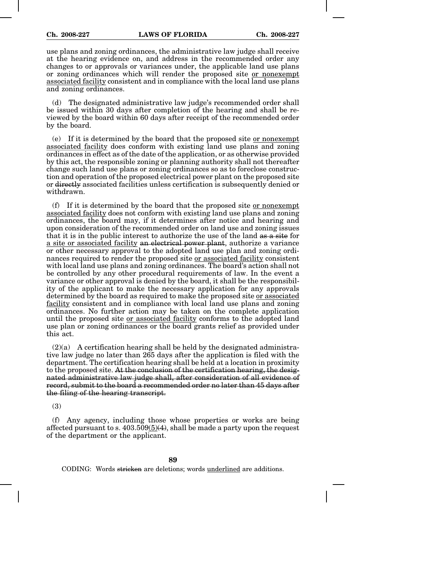use plans and zoning ordinances, the administrative law judge shall receive at the hearing evidence on, and address in the recommended order any changes to or approvals or variances under, the applicable land use plans or zoning ordinances which will render the proposed site or nonexempt associated facility consistent and in compliance with the local land use plans and zoning ordinances.

(d) The designated administrative law judge's recommended order shall be issued within 30 days after completion of the hearing and shall be reviewed by the board within 60 days after receipt of the recommended order by the board.

(e) If it is determined by the board that the proposed site or nonexempt associated facility does conform with existing land use plans and zoning ordinances in effect as of the date of the application, or as otherwise provided by this act, the responsible zoning or planning authority shall not thereafter change such land use plans or zoning ordinances so as to foreclose construction and operation of the proposed electrical power plant on the proposed site or directly associated facilities unless certification is subsequently denied or withdrawn.

(f) If it is determined by the board that the proposed site or nonexempt associated facility does not conform with existing land use plans and zoning ordinances, the board may, if it determines after notice and hearing and upon consideration of the recommended order on land use and zoning issues that it is in the public interest to authorize the use of the land as a site for a site or associated facility an electrical power plant, authorize a variance or other necessary approval to the adopted land use plan and zoning ordinances required to render the proposed site or associated facility consistent with local land use plans and zoning ordinances. The board's action shall not be controlled by any other procedural requirements of law. In the event a variance or other approval is denied by the board, it shall be the responsibility of the applicant to make the necessary application for any approvals determined by the board as required to make the proposed site or associated facility consistent and in compliance with local land use plans and zoning ordinances. No further action may be taken on the complete application until the proposed site or associated facility conforms to the adopted land use plan or zoning ordinances or the board grants relief as provided under this act.

 $(2)(a)$  A certification hearing shall be held by the designated administrative law judge no later than 265 days after the application is filed with the department. The certification hearing shall be held at a location in proximity to the proposed site. At the conclusion of the certification hearing, the designated administrative law judge shall, after consideration of all evidence of record, submit to the board a recommended order no later than 45 days after the filing of the hearing transcript.

(3)

(f) Any agency, including those whose properties or works are being affected pursuant to s.  $403.509(5)(4)$ , shall be made a party upon the request of the department or the applicant.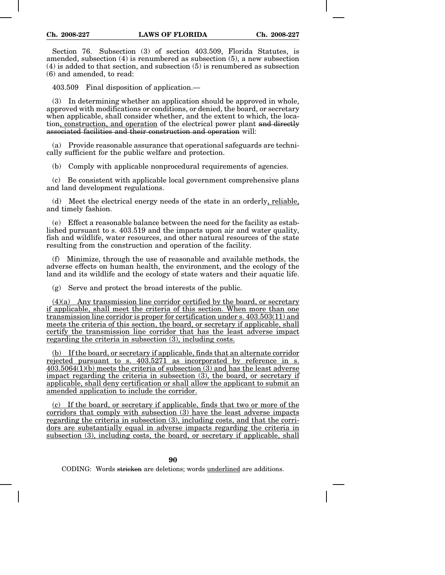Section 76. Subsection (3) of section 403.509, Florida Statutes, is amended, subsection (4) is renumbered as subsection (5), a new subsection (4) is added to that section, and subsection (5) is renumbered as subsection (6) and amended, to read:

403.509 Final disposition of application.—

(3) In determining whether an application should be approved in whole, approved with modifications or conditions, or denied, the board, or secretary when applicable, shall consider whether, and the extent to which, the location, construction, and operation of the electrical power plant and directly associated facilities and their construction and operation will:

(a) Provide reasonable assurance that operational safeguards are technically sufficient for the public welfare and protection.

(b) Comply with applicable nonprocedural requirements of agencies.

(c) Be consistent with applicable local government comprehensive plans and land development regulations.

(d) Meet the electrical energy needs of the state in an orderly, reliable, and timely fashion.

(e) Effect a reasonable balance between the need for the facility as established pursuant to s. 403.519 and the impacts upon air and water quality, fish and wildlife, water resources, and other natural resources of the state resulting from the construction and operation of the facility.

(f) Minimize, through the use of reasonable and available methods, the adverse effects on human health, the environment, and the ecology of the land and its wildlife and the ecology of state waters and their aquatic life.

(g) Serve and protect the broad interests of the public.

(4)(a) Any transmission line corridor certified by the board, or secretary if applicable, shall meet the criteria of this section. When more than one transmission line corridor is proper for certification under s. 403.503(11) and meets the criteria of this section, the board, or secretary if applicable, shall certify the transmission line corridor that has the least adverse impact regarding the criteria in subsection (3), including costs.

(b) If the board, or secretary if applicable, finds that an alternate corridor rejected pursuant to s.  $40\overline{3.5271}$  as incorporated by reference in s. 403.5064(1)(b) meets the criteria of subsection (3) and has the least adverse impact regarding the criteria in subsection (3), the board, or secretary if applicable, shall deny certification or shall allow the applicant to submit an amended application to include the corridor.

(c) If the board, or secretary if applicable, finds that two or more of the corridors that comply with subsection (3) have the least adverse impacts regarding the criteria in subsection (3), including costs, and that the corridors are substantially equal in adverse impacts regarding the criteria in subsection (3), including costs, the board, or secretary if applicable, shall

**90**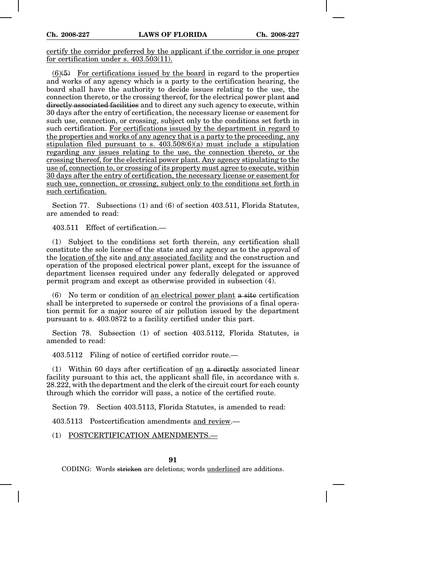certify the corridor preferred by the applicant if the corridor is one proper for certification under s. 403.503(11).

 $(6)(5)$  For certifications issued by the board in regard to the properties and works of any agency which is a party to the certification hearing, the board shall have the authority to decide issues relating to the use, the connection thereto, or the crossing thereof, for the electrical power plant and directly associated facilities and to direct any such agency to execute, within 30 days after the entry of certification, the necessary license or easement for such use, connection, or crossing, subject only to the conditions set forth in such certification. For certifications issued by the department in regard to the properties and works of any agency that is a party to the proceeding, any stipulation filed pursuant to s.  $403.508(6)(a)$  must include a stipulation regarding any issues relating to the use, the connection thereto, or the crossing thereof, for the electrical power plant. Any agency stipulating to the use of, connection to, or crossing of its property must agree to execute, within 30 days after the entry of certification, the necessary license or easement for such use, connection, or crossing, subject only to the conditions set forth in such certification.

Section 77. Subsections (1) and (6) of section 403.511, Florida Statutes, are amended to read:

 $403.511$  Effect of certification  $-$ 

(1) Subject to the conditions set forth therein, any certification shall constitute the sole license of the state and any agency as to the approval of the location of the site and any associated facility and the construction and operation of the proposed electrical power plant, except for the issuance of department licenses required under any federally delegated or approved permit program and except as otherwise provided in subsection (4).

(6) No term or condition of an electrical power plant a site certification shall be interpreted to supersede or control the provisions of a final operation permit for a major source of air pollution issued by the department pursuant to s. 403.0872 to a facility certified under this part.

Section 78. Subsection (1) of section 403.5112, Florida Statutes, is amended to read:

403.5112 Filing of notice of certified corridor route.—

(1) Within 60 days after certification of an a directly associated linear facility pursuant to this act, the applicant shall file, in accordance with s. 28.222, with the department and the clerk of the circuit court for each county through which the corridor will pass, a notice of the certified route.

Section 79. Section 403.5113, Florida Statutes, is amended to read:

403.5113 Postcertification amendments and review.—

(1) POSTCERTIFICATION AMENDMENTS.—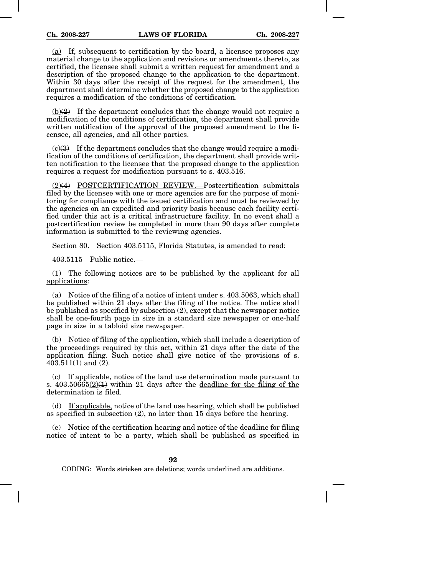(a) If, subsequent to certification by the board, a licensee proposes any material change to the application and revisions or amendments thereto, as certified, the licensee shall submit a written request for amendment and a description of the proposed change to the application to the department. Within 30 days after the receipt of the request for the amendment, the department shall determine whether the proposed change to the application requires a modification of the conditions of certification.

 $(b)(2)$  If the department concludes that the change would not require a modification of the conditions of certification, the department shall provide written notification of the approval of the proposed amendment to the licensee, all agencies, and all other parties.

 $(c)(3)$  If the department concludes that the change would require a modification of the conditions of certification, the department shall provide written notification to the licensee that the proposed change to the application requires a request for modification pursuant to s. 403.516.

(2)(4) POSTCERTIFICATION REVIEW.—Postcertification submittals filed by the licensee with one or more agencies are for the purpose of monitoring for compliance with the issued certification and must be reviewed by the agencies on an expedited and priority basis because each facility certified under this act is a critical infrastructure facility. In no event shall a postcertification review be completed in more than 90 days after complete information is submitted to the reviewing agencies.

Section 80. Section 403.5115, Florida Statutes, is amended to read:

403.5115 Public notice.—

(1) The following notices are to be published by the applicant for all applications:

(a) Notice of the filing of a notice of intent under s. 403.5063, which shall be published within 21 days after the filing of the notice. The notice shall be published as specified by subsection (2), except that the newspaper notice shall be one-fourth page in size in a standard size newspaper or one-half page in size in a tabloid size newspaper.

(b) Notice of filing of the application, which shall include a description of the proceedings required by this act, within 21 days after the date of the application filing. Such notice shall give notice of the provisions of s. 403.511(1) and (2).

(c) If applicable, notice of the land use determination made pursuant to s.  $403.50665(2)(1)$  within 21 days after the deadline for the filing of the determination is filed.

(d) If applicable, notice of the land use hearing, which shall be published as specified in subsection (2), no later than 15 days before the hearing.

(e) Notice of the certification hearing and notice of the deadline for filing notice of intent to be a party, which shall be published as specified in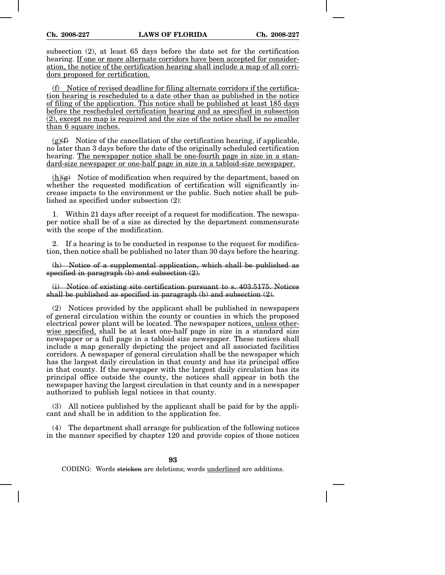subsection (2), at least 65 days before the date set for the certification hearing. If one or more alternate corridors have been accepted for consideration, the notice of the certification hearing shall include a map of all corridors proposed for certification.

(f) Notice of revised deadline for filing alternate corridors if the certification hearing is rescheduled to a date other than as published in the notice of filing of the application. This notice shall be published at least 185 days before the rescheduled certification hearing and as specified in subsection (2), except no map is required and the size of the notice shall be no smaller than 6 square inches.

 $(g)(f)$  Notice of the cancellation of the certification hearing, if applicable, no later than 3 days before the date of the originally scheduled certification hearing. The newspaper notice shall be one-fourth page in size in a standard-size newspaper or one-half page in size in a tabloid-size newspaper.

 $(h)(g)$  Notice of modification when required by the department, based on whether the requested modification of certification will significantly increase impacts to the environment or the public. Such notice shall be published as specified under subsection (2):

1. Within 21 days after receipt of a request for modification. The newspaper notice shall be of a size as directed by the department commensurate with the scope of the modification.

2. If a hearing is to be conducted in response to the request for modification, then notice shall be published no later than 30 days before the hearing.

(h) Notice of a supplemental application, which shall be published as specified in paragraph  $(b)$  and subsection  $(2)$ .

(i) Notice of existing site certification pursuant to s. 403.5175. Notices shall be published as specified in paragraph (b) and subsection (2).

(2) Notices provided by the applicant shall be published in newspapers of general circulation within the county or counties in which the proposed electrical power plant will be located. The newspaper notices, unless otherwise specified, shall be at least one-half page in size in a standard size newspaper or a full page in a tabloid size newspaper. These notices shall include a map generally depicting the project and all associated facilities corridors. A newspaper of general circulation shall be the newspaper which has the largest daily circulation in that county and has its principal office in that county. If the newspaper with the largest daily circulation has its principal office outside the county, the notices shall appear in both the newspaper having the largest circulation in that county and in a newspaper authorized to publish legal notices in that county.

(3) All notices published by the applicant shall be paid for by the applicant and shall be in addition to the application fee.

(4) The department shall arrange for publication of the following notices in the manner specified by chapter 120 and provide copies of those notices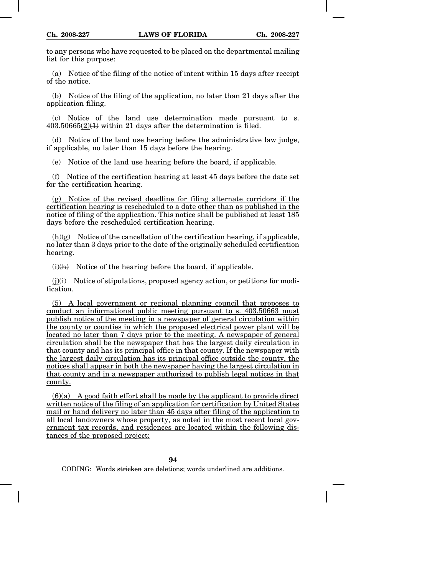to any persons who have requested to be placed on the departmental mailing list for this purpose:

(a) Notice of the filing of the notice of intent within 15 days after receipt of the notice.

(b) Notice of the filing of the application, no later than 21 days after the application filing.

(c) Notice of the land use determination made pursuant to s.  $403.50665(2)$ ( $\downarrow$ ) within 21 days after the determination is filed.

(d) Notice of the land use hearing before the administrative law judge, if applicable, no later than 15 days before the hearing.

(e) Notice of the land use hearing before the board, if applicable.

(f) Notice of the certification hearing at least 45 days before the date set for the certification hearing.

(g) Notice of the revised deadline for filing alternate corridors if the certification hearing is rescheduled to a date other than as published in the notice of filing of the application. This notice shall be published at least 185 days before the rescheduled certification hearing.

 $(h)(g)$  Notice of the cancellation of the certification hearing, if applicable, no later than 3 days prior to the date of the originally scheduled certification hearing.

 $(i)(h)$  Notice of the hearing before the board, if applicable.

 $(i)(i)$  Notice of stipulations, proposed agency action, or petitions for modification.

(5) A local government or regional planning council that proposes to conduct an informational public meeting pursuant to s. 403.50663 must publish notice of the meeting in a newspaper of general circulation within the county or counties in which the proposed electrical power plant will be located no later than 7 days prior to the meeting. A newspaper of general circulation shall be the newspaper that has the largest daily circulation in that county and has its principal office in that county. If the newspaper with the largest daily circulation has its principal office outside the county, the notices shall appear in both the newspaper having the largest circulation in that county and in a newspaper authorized to publish legal notices in that county.

 $(6)(a)$  A good faith effort shall be made by the applicant to provide direct written notice of the filing of an application for certification by United States mail or hand delivery no later than 45 days after filing of the application to all local landowners whose property, as noted in the most recent local government tax records, and residences are located within the following distances of the proposed project: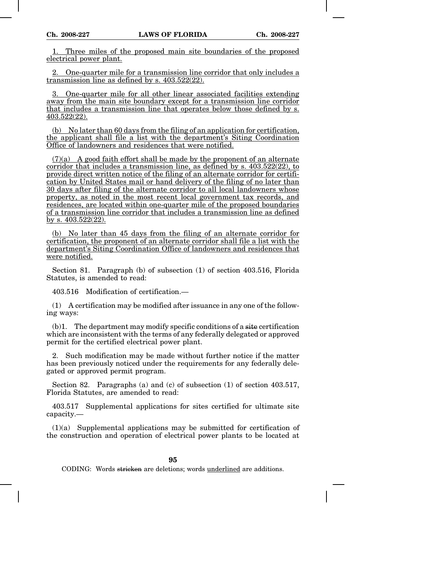1. Three miles of the proposed main site boundaries of the proposed electrical power plant.

2. One-quarter mile for a transmission line corridor that only includes a transmission line as defined by s. 403.522(22).

3. One-quarter mile for all other linear associated facilities extending away from the main site boundary except for a transmission line corridor that includes a transmission line that operates below those defined by s. 403.522(22).

 $(b)$  No later than 60 days from the filing of an application for certification, the applicant shall file a list with the department's Siting Coordination Office of landowners and residences that were notified.

 $(7)(a)$  A good faith effort shall be made by the proponent of an alternate corridor that includes a transmission line, as defined by s. 403.522(22), to provide direct written notice of the filing of an alternate corridor for certification by United States mail or hand delivery of the filing of no later than 30 days after filing of the alternate corridor to all local landowners whose property, as noted in the most recent local government tax records, and residences, are located within one-quarter mile of the proposed boundaries of a transmission line corridor that includes a transmission line as defined by s. 403.522(22).

(b) No later than 45 days from the filing of an alternate corridor for certification, the proponent of an alternate corridor shall file a list with the department's Siting Coordination Office of landowners and residences that were notified.

Section 81. Paragraph (b) of subsection (1) of section 403.516, Florida Statutes, is amended to read:

403.516 Modification of certification.—

(1) A certification may be modified after issuance in any one of the following ways:

(b)1. The department may modify specific conditions of a site certification which are inconsistent with the terms of any federally delegated or approved permit for the certified electrical power plant.

2. Such modification may be made without further notice if the matter has been previously noticed under the requirements for any federally delegated or approved permit program.

Section 82. Paragraphs (a) and (c) of subsection (1) of section 403.517, Florida Statutes, are amended to read:

403.517 Supplemental applications for sites certified for ultimate site capacity.—

(1)(a) Supplemental applications may be submitted for certification of the construction and operation of electrical power plants to be located at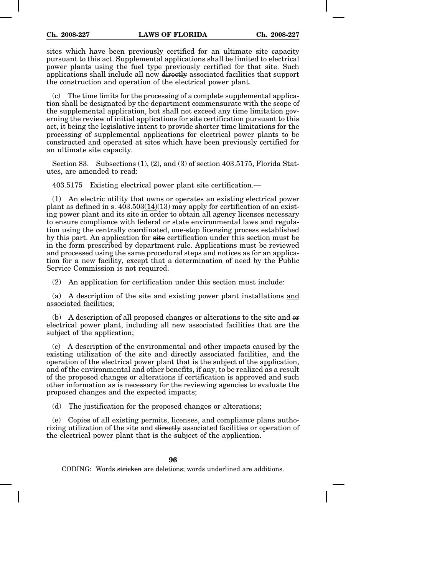sites which have been previously certified for an ultimate site capacity pursuant to this act. Supplemental applications shall be limited to electrical power plants using the fuel type previously certified for that site. Such applications shall include all new directly associated facilities that support the construction and operation of the electrical power plant.

(c) The time limits for the processing of a complete supplemental application shall be designated by the department commensurate with the scope of the supplemental application, but shall not exceed any time limitation governing the review of initial applications for site certification pursuant to this act, it being the legislative intent to provide shorter time limitations for the processing of supplemental applications for electrical power plants to be constructed and operated at sites which have been previously certified for an ultimate site capacity.

Section 83. Subsections (1), (2), and (3) of section 403.5175, Florida Statutes, are amended to read:

403.5175 Existing electrical power plant site certification.—

(1) An electric utility that owns or operates an existing electrical power plant as defined in s.  $403.503(14)(13)$  may apply for certification of an existing power plant and its site in order to obtain all agency licenses necessary to ensure compliance with federal or state environmental laws and regulation using the centrally coordinated, one-stop licensing process established by this part. An application for site certification under this section must be in the form prescribed by department rule. Applications must be reviewed and processed using the same procedural steps and notices as for an application for a new facility, except that a determination of need by the Public Service Commission is not required.

(2) An application for certification under this section must include:

(a) A description of the site and existing power plant installations and associated facilities;

(b) A description of all proposed changes or alterations to the site and  $\theta$ electrical power plant, including all new associated facilities that are the subject of the application;

(c) A description of the environmental and other impacts caused by the existing utilization of the site and directly associated facilities, and the operation of the electrical power plant that is the subject of the application, and of the environmental and other benefits, if any, to be realized as a result of the proposed changes or alterations if certification is approved and such other information as is necessary for the reviewing agencies to evaluate the proposed changes and the expected impacts;

(d) The justification for the proposed changes or alterations;

(e) Copies of all existing permits, licenses, and compliance plans authorizing utilization of the site and directly associated facilities or operation of the electrical power plant that is the subject of the application.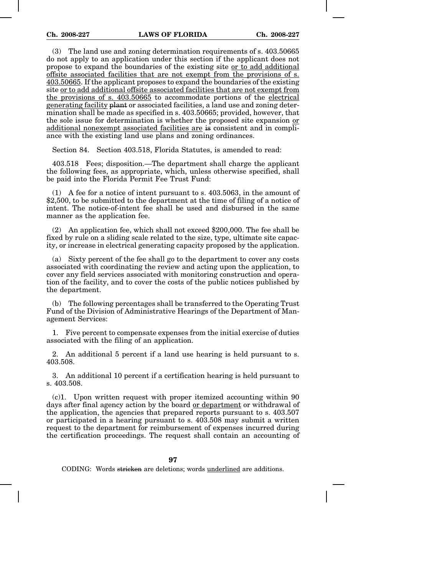(3) The land use and zoning determination requirements of s. 403.50665 do not apply to an application under this section if the applicant does not propose to expand the boundaries of the existing site or to add additional offsite associated facilities that are not exempt from the provisions of s. 403.50665. If the applicant proposes to expand the boundaries of the existing site or to add additional offsite associated facilities that are not exempt from the provisions of s. 403.50665 to accommodate portions of the electrical generating facility plant or associated facilities, a land use and zoning determination shall be made as specified in s. 403.50665; provided, however, that the sole issue for determination is whether the proposed site expansion or additional nonexempt associated facilities are is consistent and in compliance with the existing land use plans and zoning ordinances.

Section 84. Section 403.518, Florida Statutes, is amended to read:

403.518 Fees; disposition.—The department shall charge the applicant the following fees, as appropriate, which, unless otherwise specified, shall be paid into the Florida Permit Fee Trust Fund:

(1) A fee for a notice of intent pursuant to s. 403.5063, in the amount of \$2,500, to be submitted to the department at the time of filing of a notice of intent. The notice-of-intent fee shall be used and disbursed in the same manner as the application fee.

(2) An application fee, which shall not exceed \$200,000. The fee shall be fixed by rule on a sliding scale related to the size, type, ultimate site capacity, or increase in electrical generating capacity proposed by the application.

(a) Sixty percent of the fee shall go to the department to cover any costs associated with coordinating the review and acting upon the application, to cover any field services associated with monitoring construction and operation of the facility, and to cover the costs of the public notices published by the department.

(b) The following percentages shall be transferred to the Operating Trust Fund of the Division of Administrative Hearings of the Department of Management Services:

1. Five percent to compensate expenses from the initial exercise of duties associated with the filing of an application.

2. An additional 5 percent if a land use hearing is held pursuant to s. 403.508.

3. An additional 10 percent if a certification hearing is held pursuant to s. 403.508.

(c)1. Upon written request with proper itemized accounting within 90 days after final agency action by the board or department or withdrawal of the application, the agencies that prepared reports pursuant to s. 403.507 or participated in a hearing pursuant to s. 403.508 may submit a written request to the department for reimbursement of expenses incurred during the certification proceedings. The request shall contain an accounting of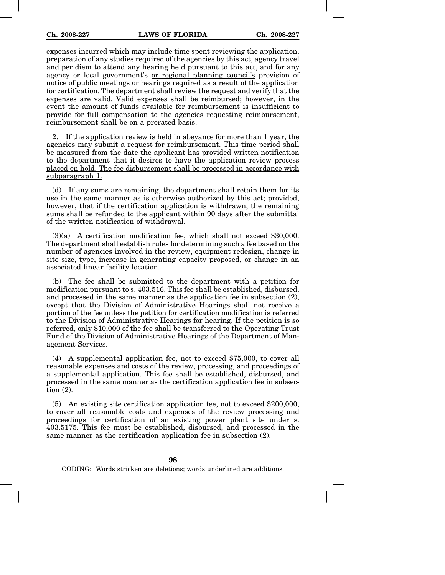expenses incurred which may include time spent reviewing the application, preparation of any studies required of the agencies by this act, agency travel and per diem to attend any hearing held pursuant to this act, and for any agency or local government's or regional planning council's provision of notice of public meetings or hearings required as a result of the application for certification. The department shall review the request and verify that the expenses are valid. Valid expenses shall be reimbursed; however, in the event the amount of funds available for reimbursement is insufficient to provide for full compensation to the agencies requesting reimbursement, reimbursement shall be on a prorated basis.

2. If the application review is held in abeyance for more than 1 year, the agencies may submit a request for reimbursement. This time period shall be measured from the date the applicant has provided written notification to the department that it desires to have the application review process placed on hold. The fee disbursement shall be processed in accordance with subparagraph 1.

(d) If any sums are remaining, the department shall retain them for its use in the same manner as is otherwise authorized by this act; provided, however, that if the certification application is withdrawn, the remaining sums shall be refunded to the applicant within 90 days after the submittal of the written notification of withdrawal.

(3)(a) A certification modification fee, which shall not exceed \$30,000. The department shall establish rules for determining such a fee based on the number of agencies involved in the review, equipment redesign, change in site size, type, increase in generating capacity proposed, or change in an associated linear facility location.

(b) The fee shall be submitted to the department with a petition for modification pursuant to s. 403.516. This fee shall be established, disbursed, and processed in the same manner as the application fee in subsection (2), except that the Division of Administrative Hearings shall not receive a portion of the fee unless the petition for certification modification is referred to the Division of Administrative Hearings for hearing. If the petition is so referred, only \$10,000 of the fee shall be transferred to the Operating Trust Fund of the Division of Administrative Hearings of the Department of Management Services.

(4) A supplemental application fee, not to exceed \$75,000, to cover all reasonable expenses and costs of the review, processing, and proceedings of a supplemental application. This fee shall be established, disbursed, and processed in the same manner as the certification application fee in subsection (2).

(5) An existing site certification application fee, not to exceed \$200,000, to cover all reasonable costs and expenses of the review processing and proceedings for certification of an existing power plant site under s. 403.5175. This fee must be established, disbursed, and processed in the same manner as the certification application fee in subsection (2).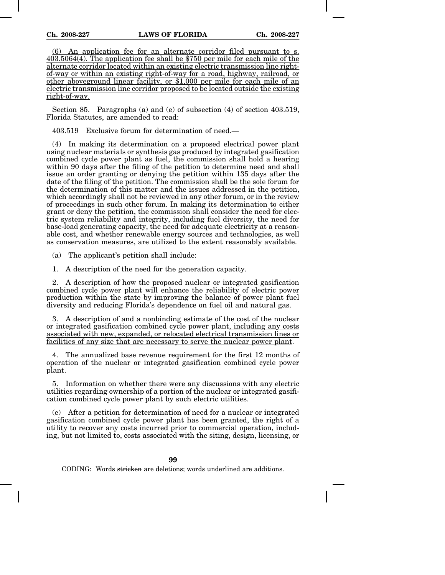(6) An application fee for an alternate corridor filed pursuant to s. 403.5064(4). The application fee shall be \$750 per mile for each mile of the alternate corridor located within an existing electric transmission line rightof-way or within an existing right-of-way for a road, highway, railroad, or other aboveground linear facility, or \$1,000 per mile for each mile of an electric transmission line corridor proposed to be located outside the existing right-of-way.

Section 85. Paragraphs (a) and (e) of subsection (4) of section 403.519, Florida Statutes, are amended to read:

403.519 Exclusive forum for determination of need.—

(4) In making its determination on a proposed electrical power plant using nuclear materials or synthesis gas produced by integrated gasification combined cycle power plant as fuel, the commission shall hold a hearing within 90 days after the filing of the petition to determine need and shall issue an order granting or denying the petition within 135 days after the date of the filing of the petition. The commission shall be the sole forum for the determination of this matter and the issues addressed in the petition, which accordingly shall not be reviewed in any other forum, or in the review of proceedings in such other forum. In making its determination to either grant or deny the petition, the commission shall consider the need for electric system reliability and integrity, including fuel diversity, the need for base-load generating capacity, the need for adequate electricity at a reasonable cost, and whether renewable energy sources and technologies, as well as conservation measures, are utilized to the extent reasonably available.

(a) The applicant's petition shall include:

1. A description of the need for the generation capacity.

2. A description of how the proposed nuclear or integrated gasification combined cycle power plant will enhance the reliability of electric power production within the state by improving the balance of power plant fuel diversity and reducing Florida's dependence on fuel oil and natural gas.

3. A description of and a nonbinding estimate of the cost of the nuclear or integrated gasification combined cycle power plant, including any costs associated with new, expanded, or relocated electrical transmission lines or facilities of any size that are necessary to serve the nuclear power plant.

4. The annualized base revenue requirement for the first 12 months of operation of the nuclear or integrated gasification combined cycle power plant.

5. Information on whether there were any discussions with any electric utilities regarding ownership of a portion of the nuclear or integrated gasification combined cycle power plant by such electric utilities.

(e) After a petition for determination of need for a nuclear or integrated gasification combined cycle power plant has been granted, the right of a utility to recover any costs incurred prior to commercial operation, including, but not limited to, costs associated with the siting, design, licensing, or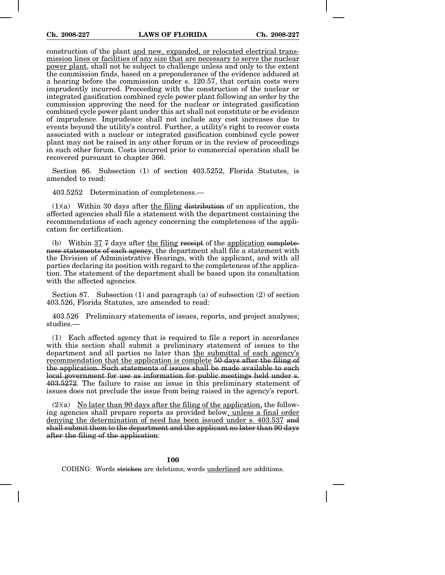construction of the plant and new, expanded, or relocated electrical transmission lines or facilities of any size that are necessary to serve the nuclear power plant, shall not be subject to challenge unless and only to the extent the commission finds, based on a preponderance of the evidence adduced at a hearing before the commission under s. 120.57, that certain costs were imprudently incurred. Proceeding with the construction of the nuclear or integrated gasification combined cycle power plant following an order by the commission approving the need for the nuclear or integrated gasification combined cycle power plant under this act shall not constitute or be evidence of imprudence. Imprudence shall not include any cost increases due to events beyond the utility's control. Further, a utility's right to recover costs associated with a nuclear or integrated gasification combined cycle power plant may not be raised in any other forum or in the review of proceedings in such other forum. Costs incurred prior to commercial operation shall be recovered pursuant to chapter 366.

Section 86. Subsection (1) of section 403.5252, Florida Statutes, is amended to read:

403.5252 Determination of completeness.—

 $(1)(a)$  Within 30 days after the filing distribution of an application, the affected agencies shall file a statement with the department containing the recommendations of each agency concerning the completeness of the application for certification.

(b) Within  $37.7$  days after the filing receipt of the application completeness statements of each agency, the department shall file a statement with the Division of Administrative Hearings, with the applicant, and with all parties declaring its position with regard to the completeness of the application. The statement of the department shall be based upon its consultation with the affected agencies.

Section 87. Subsection (1) and paragraph (a) of subsection (2) of section 403.526, Florida Statutes, are amended to read:

403.526 Preliminary statements of issues, reports, and project analyses; studies.—

(1) Each affected agency that is required to file a report in accordance with this section shall submit a preliminary statement of issues to the department and all parties no later than the submittal of each agency's recommendation that the application is complete 50 days after the filing of the application. Such statements of issues shall be made available to each local government for use as information for public meetings held under s. 403.5272. The failure to raise an issue in this preliminary statement of issues does not preclude the issue from being raised in the agency's report.

 $(2)(a)$  No later than 90 days after the filing of the application, the following agencies shall prepare reports as provided below, unless a final order denying the determination of need has been issued under s. 403.537 and shall submit them to the department and the applicant no later than 90 days after the filing of the application:

## **100**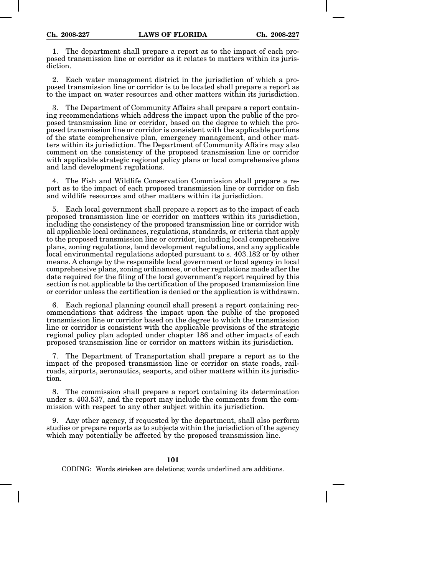1. The department shall prepare a report as to the impact of each proposed transmission line or corridor as it relates to matters within its jurisdiction.

2. Each water management district in the jurisdiction of which a proposed transmission line or corridor is to be located shall prepare a report as to the impact on water resources and other matters within its jurisdiction.

3. The Department of Community Affairs shall prepare a report containing recommendations which address the impact upon the public of the proposed transmission line or corridor, based on the degree to which the proposed transmission line or corridor is consistent with the applicable portions of the state comprehensive plan, emergency management, and other matters within its jurisdiction. The Department of Community Affairs may also comment on the consistency of the proposed transmission line or corridor with applicable strategic regional policy plans or local comprehensive plans and land development regulations.

4. The Fish and Wildlife Conservation Commission shall prepare a report as to the impact of each proposed transmission line or corridor on fish and wildlife resources and other matters within its jurisdiction.

5. Each local government shall prepare a report as to the impact of each proposed transmission line or corridor on matters within its jurisdiction, including the consistency of the proposed transmission line or corridor with all applicable local ordinances, regulations, standards, or criteria that apply to the proposed transmission line or corridor, including local comprehensive plans, zoning regulations, land development regulations, and any applicable local environmental regulations adopted pursuant to s. 403.182 or by other means. A change by the responsible local government or local agency in local comprehensive plans, zoning ordinances, or other regulations made after the date required for the filing of the local government's report required by this section is not applicable to the certification of the proposed transmission line or corridor unless the certification is denied or the application is withdrawn.

6. Each regional planning council shall present a report containing recommendations that address the impact upon the public of the proposed transmission line or corridor based on the degree to which the transmission line or corridor is consistent with the applicable provisions of the strategic regional policy plan adopted under chapter 186 and other impacts of each proposed transmission line or corridor on matters within its jurisdiction.

7. The Department of Transportation shall prepare a report as to the impact of the proposed transmission line or corridor on state roads, railroads, airports, aeronautics, seaports, and other matters within its jurisdiction.

8. The commission shall prepare a report containing its determination under s. 403.537, and the report may include the comments from the commission with respect to any other subject within its jurisdiction.

9. Any other agency, if requested by the department, shall also perform studies or prepare reports as to subjects within the jurisdiction of the agency which may potentially be affected by the proposed transmission line.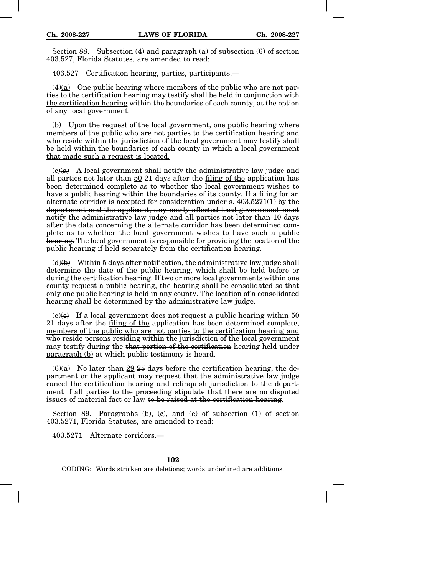Section 88. Subsection (4) and paragraph (a) of subsection (6) of section 403.527, Florida Statutes, are amended to read:

403.527 Certification hearing, parties, participants.—

 $(4)(a)$  One public hearing where members of the public who are not parties to the certification hearing may testify shall be held in conjunction with the certification hearing within the boundaries of each county, at the option of any local government.

(b) Upon the request of the local government, one public hearing where members of the public who are not parties to the certification hearing and who reside within the jurisdiction of the local government may testify shall be held within the boundaries of each county in which a local government that made such a request is located.

 $(c)(a)$  A local government shall notify the administrative law judge and all parties not later than 50 21 days after the filing of the application has been determined complete as to whether the local government wishes to have a public hearing within the boundaries of its county. If a filing for an alternate corridor is accepted for consideration under s. 403.5271(1) by the department and the applicant, any newly affected local government must notify the administrative law judge and all parties not later than 10 days after the data concerning the alternate corridor has been determined complete as to whether the local government wishes to have such a public hearing. The local government is responsible for providing the location of the public hearing if held separately from the certification hearing.

 $(d)$ (b) Within 5 days after notification, the administrative law judge shall determine the date of the public hearing, which shall be held before or during the certification hearing. If two or more local governments within one county request a public hearing, the hearing shall be consolidated so that only one public hearing is held in any county. The location of a consolidated hearing shall be determined by the administrative law judge.

 $(e)(e)$  If a local government does not request a public hearing within 50 21 days after the filing of the application has been determined complete, members of the public who are not parties to the certification hearing and who reside persons residing within the jurisdiction of the local government may testify during the that portion of the certification hearing held under paragraph (b) at which public testimony is heard.

 $(6)(a)$  No later than 29 25 days before the certification hearing, the department or the applicant may request that the administrative law judge cancel the certification hearing and relinquish jurisdiction to the department if all parties to the proceeding stipulate that there are no disputed issues of material fact or law to be raised at the certification hearing.

Section 89. Paragraphs (b), (c), and (e) of subsection (1) of section 403.5271, Florida Statutes, are amended to read:

403.5271 Alternate corridors.—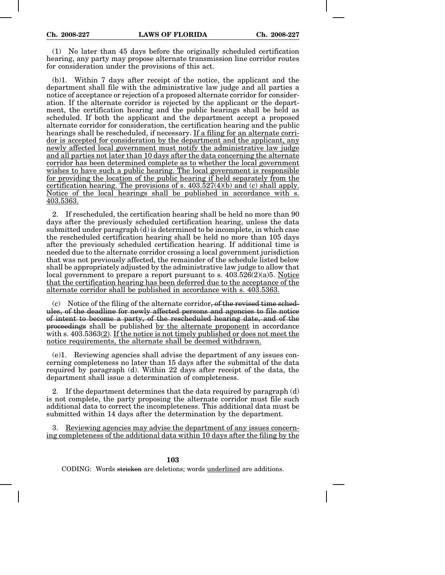(1) No later than 45 days before the originally scheduled certification hearing, any party may propose alternate transmission line corridor routes for consideration under the provisions of this act.

(b)1. Within 7 days after receipt of the notice, the applicant and the department shall file with the administrative law judge and all parties a notice of acceptance or rejection of a proposed alternate corridor for consideration. If the alternate corridor is rejected by the applicant or the department, the certification hearing and the public hearings shall be held as scheduled. If both the applicant and the department accept a proposed alternate corridor for consideration, the certification hearing and the public hearings shall be rescheduled, if necessary. If a filing for an alternate corridor is accepted for consideration by the department and the applicant, any newly affected local government must notify the administrative law judge and all parties not later than 10 days after the data concerning the alternate corridor has been determined complete as to whether the local government wishes to have such a public hearing. The local government is responsible for providing the location of the public hearing if held separately from the certification hearing. The provisions of s. 403.527(4)(b) and (c) shall apply. Notice of the local hearings shall be published in accordance with s. 403.5363.

2. If rescheduled, the certification hearing shall be held no more than 90 days after the previously scheduled certification hearing, unless the data submitted under paragraph (d) is determined to be incomplete, in which case the rescheduled certification hearing shall be held no more than 105 days after the previously scheduled certification hearing. If additional time is needed due to the alternate corridor crossing a local government jurisdiction that was not previously affected, the remainder of the schedule listed below shall be appropriately adjusted by the administrative law judge to allow that local government to prepare a report pursuant to s.  $403.526(2)(a)5$ . Notice that the certification hearing has been deferred due to the acceptance of the alternate corridor shall be published in accordance with s. 403.5363.

 $(c)$  Notice of the filing of the alternate corridor, of the revised time schedules, of the deadline for newly affected persons and agencies to file notice of intent to become a party, of the rescheduled hearing date, and of the proceedings shall be published by the alternate proponent in accordance with s. 403.5363(2). If the notice is not timely published or does not meet the notice requirements, the alternate shall be deemed withdrawn.

(e)1. Reviewing agencies shall advise the department of any issues concerning completeness no later than 15 days after the submittal of the data required by paragraph (d). Within 22 days after receipt of the data, the department shall issue a determination of completeness.

2. If the department determines that the data required by paragraph (d) is not complete, the party proposing the alternate corridor must file such additional data to correct the incompleteness. This additional data must be submitted within 14 days after the determination by the department.

Reviewing agencies may advise the department of any issues concerning completeness of the additional data within 10 days after the filing by the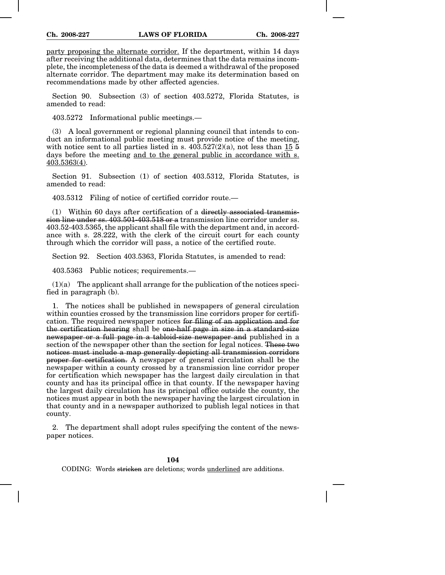party proposing the alternate corridor. If the department, within 14 days after receiving the additional data, determines that the data remains incomplete, the incompleteness of the data is deemed a withdrawal of the proposed alternate corridor. The department may make its determination based on recommendations made by other affected agencies.

Section 90. Subsection (3) of section 403.5272, Florida Statutes, is amended to read:

403.5272 Informational public meetings.—

(3) A local government or regional planning council that intends to conduct an informational public meeting must provide notice of the meeting, with notice sent to all parties listed in s.  $403.527(2)(a)$ , not less than  $15\overline{5}$ days before the meeting and to the general public in accordance with s. 403.5363(4).

Section 91. Subsection (1) of section 403.5312, Florida Statutes, is amended to read:

403.5312 Filing of notice of certified corridor route.—

(1) Within 60 days after certification of a directly associated transmission line under ss. 403.501-403.518 or a transmission line corridor under ss. 403.52-403.5365, the applicant shall file with the department and, in accordance with s. 28.222, with the clerk of the circuit court for each county through which the corridor will pass, a notice of the certified route.

Section 92. Section 403.5363, Florida Statutes, is amended to read:

403.5363 Public notices; requirements.—

 $(1)(a)$  The applicant shall arrange for the publication of the notices specified in paragraph (b).

1. The notices shall be published in newspapers of general circulation within counties crossed by the transmission line corridors proper for certification. The required newspaper notices for filing of an application and for the certification hearing shall be one-half page in size in a standard-size newspaper or a full page in a tabloid-size newspaper and published in a section of the newspaper other than the section for legal notices. These two notices must include a map generally depicting all transmission corridors proper for certification. A newspaper of general circulation shall be the newspaper within a county crossed by a transmission line corridor proper for certification which newspaper has the largest daily circulation in that county and has its principal office in that county. If the newspaper having the largest daily circulation has its principal office outside the county, the notices must appear in both the newspaper having the largest circulation in that county and in a newspaper authorized to publish legal notices in that county.

2. The department shall adopt rules specifying the content of the newspaper notices.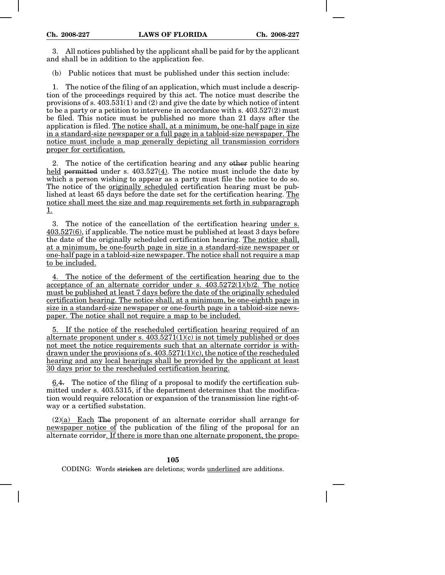3. All notices published by the applicant shall be paid for by the applicant and shall be in addition to the application fee.

(b) Public notices that must be published under this section include:

1. The notice of the filing of an application, which must include a description of the proceedings required by this act. The notice must describe the provisions of s.  $403.531(1)$  and (2) and give the date by which notice of intent to be a party or a petition to intervene in accordance with s. 403.527(2) must be filed. This notice must be published no more than 21 days after the application is filed. The notice shall, at a minimum, be one-half page in size in a standard-size newspaper or a full page in a tabloid-size newspaper. The notice must include a map generally depicting all transmission corridors proper for certification.

2. The notice of the certification hearing and any other public hearing held permitted under s. 403.527(4). The notice must include the date by which a person wishing to appear as a party must file the notice to do so. The notice of the originally scheduled certification hearing must be published at least 65 days before the date set for the certification hearing. The notice shall meet the size and map requirements set forth in subparagraph 1.

3. The notice of the cancellation of the certification hearing under s. 403.527(6), if applicable. The notice must be published at least 3 days before the date of the originally scheduled certification hearing. The notice shall, at a minimum, be one-fourth page in size in a standard-size newspaper or one-half page in a tabloid-size newspaper. The notice shall not require a map to be included.

4. The notice of the deferment of the certification hearing due to the acceptance of an alternate corridor under s. 403.5272(1)(b)2. The notice must be published at least 7 days before the date of the originally scheduled certification hearing. The notice shall, at a minimum, be one-eighth page in size in a standard-size newspaper or one-fourth page in a tabloid-size newspaper. The notice shall not require a map to be included.

5. If the notice of the rescheduled certification hearing required of an alternate proponent under s.  $403.5271(1)(c)$  is not timely published or does not meet the notice requirements such that an alternate corridor is withdrawn under the provisions of s.  $403.5271(1)(c)$ , the notice of the rescheduled hearing and any local hearings shall be provided by the applicant at least 30 days prior to the rescheduled certification hearing.

6.4. The notice of the filing of a proposal to modify the certification submitted under s. 403.5315, if the department determines that the modification would require relocation or expansion of the transmission line right-ofway or a certified substation.

 $(2)(a)$  Each The proponent of an alternate corridor shall arrange for newspaper notice of the publication of the filing of the proposal for an alternate corridor. If there is more than one alternate proponent, the propo-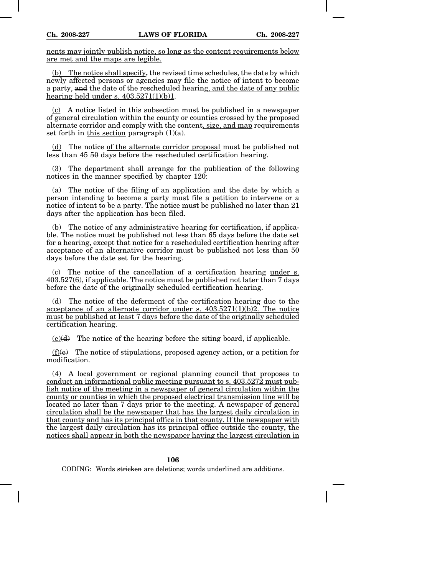nents may jointly publish notice, so long as the content requirements below are met and the maps are legible.

(b) The notice shall specify, the revised time schedules, the date by which newly affected persons or agencies may file the notice of intent to become a party, and the date of the rescheduled hearing, and the date of any public hearing held under s.  $403.5271(1)(b)1$ .

(c) A notice listed in this subsection must be published in a newspaper of general circulation within the county or counties crossed by the proposed alternate corridor and comply with the content, size, and map requirements set forth in this section paragraph  $(1)(a)$ .

(d) The notice of the alternate corridor proposal must be published not less than 45 50 days before the rescheduled certification hearing.

(3) The department shall arrange for the publication of the following notices in the manner specified by chapter 120:

(a) The notice of the filing of an application and the date by which a person intending to become a party must file a petition to intervene or a notice of intent to be a party. The notice must be published no later than 21 days after the application has been filed.

(b) The notice of any administrative hearing for certification, if applicable. The notice must be published not less than 65 days before the date set for a hearing, except that notice for a rescheduled certification hearing after acceptance of an alternative corridor must be published not less than 50 days before the date set for the hearing.

(c) The notice of the cancellation of a certification hearing under s.  $403.527(6)$ , if applicable. The notice must be published not later than 7 days before the date of the originally scheduled certification hearing.

(d) The notice of the deferment of the certification hearing due to the acceptance of an alternate corridor under s.  $403.5271(1)(b)2$ . The notice must be published at least 7 days before the date of the originally scheduled certification hearing.

 $(e)(d)$  The notice of the hearing before the siting board, if applicable.

 $(f)(e)$  The notice of stipulations, proposed agency action, or a petition for modification.

(4) A local government or regional planning council that proposes to conduct an informational public meeting pursuant to s. 403.5272 must publish notice of the meeting in a newspaper of general circulation within the county or counties in which the proposed electrical transmission line will be located no later than 7 days prior to the meeting. A newspaper of general circulation shall be the newspaper that has the largest daily circulation in that county and has its principal office in that county. If the newspaper with the largest daily circulation has its principal office outside the county, the notices shall appear in both the newspaper having the largest circulation in

## **106**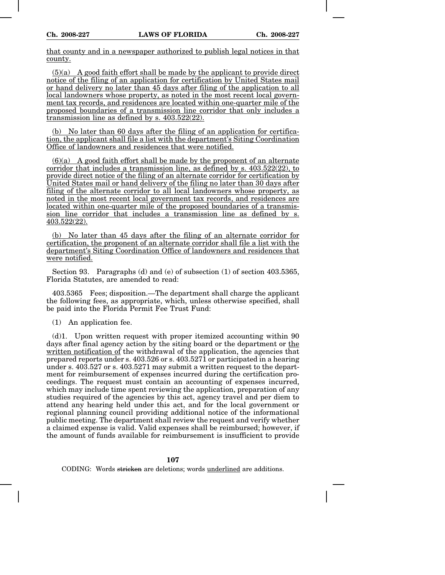that county and in a newspaper authorized to publish legal notices in that county.

 $(5)(a)$  A good faith effort shall be made by the applicant to provide direct notice of the filing of an application for certification by United States mail or hand delivery no later than 45 days after filing of the application to all local landowners whose property, as noted in the most recent local government tax records, and residences are located within one-quarter mile of the proposed boundaries of a transmission line corridor that only includes a transmission line as defined by s. 403.522(22).

(b) No later than 60 days after the filing of an application for certification, the applicant shall file a list with the department's Siting Coordination Office of landowners and residences that were notified.

 $(6)(a)$  A good faith effort shall be made by the proponent of an alternate corridor that includes a transmission line, as defined by s. 403.522(22), to provide direct notice of the filing of an alternate corridor for certification by United States mail or hand delivery of the filing no later than 30 days after filing of the alternate corridor to all local landowners whose property, as noted in the most recent local government tax records, and residences are located within one-quarter mile of the proposed boundaries of a transmission line corridor that includes a transmission line as defined by s. 403.522(22).

(b) No later than 45 days after the filing of an alternate corridor for certification, the proponent of an alternate corridor shall file a list with the department's Siting Coordination Office of landowners and residences that were notified.

Section 93. Paragraphs (d) and (e) of subsection (1) of section 403.5365, Florida Statutes, are amended to read:

403.5365 Fees; disposition.—The department shall charge the applicant the following fees, as appropriate, which, unless otherwise specified, shall be paid into the Florida Permit Fee Trust Fund:

(1) An application fee.

(d)1. Upon written request with proper itemized accounting within 90 days after final agency action by the siting board or the department or the written notification of the withdrawal of the application, the agencies that prepared reports under s. 403.526 or s. 403.5271 or participated in a hearing under s. 403.527 or s. 403.5271 may submit a written request to the department for reimbursement of expenses incurred during the certification proceedings. The request must contain an accounting of expenses incurred, which may include time spent reviewing the application, preparation of any studies required of the agencies by this act, agency travel and per diem to attend any hearing held under this act, and for the local government or regional planning council providing additional notice of the informational public meeting. The department shall review the request and verify whether a claimed expense is valid. Valid expenses shall be reimbursed; however, if the amount of funds available for reimbursement is insufficient to provide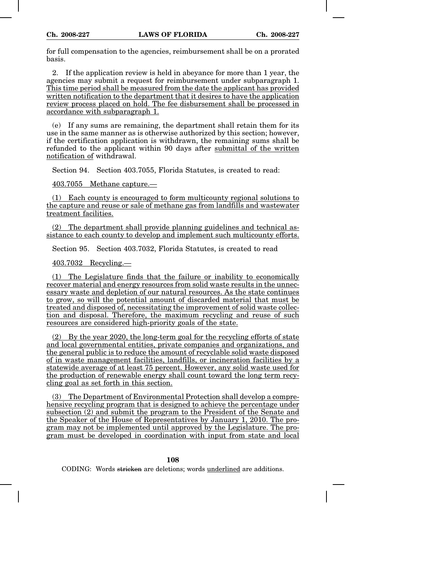for full compensation to the agencies, reimbursement shall be on a prorated basis.

2. If the application review is held in abeyance for more than 1 year, the agencies may submit a request for reimbursement under subparagraph 1. This time period shall be measured from the date the applicant has provided written notification to the department that it desires to have the application review process placed on hold. The fee disbursement shall be processed in accordance with subparagraph 1.

(e) If any sums are remaining, the department shall retain them for its use in the same manner as is otherwise authorized by this section; however, if the certification application is withdrawn, the remaining sums shall be refunded to the applicant within 90 days after submittal of the written notification of withdrawal.

Section 94. Section 403.7055, Florida Statutes, is created to read:

403.7055 Methane capture.—

(1) Each county is encouraged to form multicounty regional solutions to the capture and reuse or sale of methane gas from landfills and wastewater treatment facilities.

(2) The department shall provide planning guidelines and technical assistance to each county to develop and implement such multicounty efforts.

Section 95. Section 403.7032, Florida Statutes, is created to read

403.7032 Recycling.—

(1) The Legislature finds that the failure or inability to economically recover material and energy resources from solid waste results in the unnecessary waste and depletion of our natural resources. As the state continues to grow, so will the potential amount of discarded material that must be treated and disposed of, necessitating the improvement of solid waste collection and disposal. Therefore, the maximum recycling and reuse of such resources are considered high-priority goals of the state.

(2) By the year 2020, the long-term goal for the recycling efforts of state and local governmental entities, private companies and organizations, and the general public is to reduce the amount of recyclable solid waste disposed of in waste management facilities, landfills, or incineration facilities by a statewide average of at least 75 percent. However, any solid waste used for the production of renewable energy shall count toward the long term recycling goal as set forth in this section.

(3) The Department of Environmental Protection shall develop a comprehensive recycling program that is designed to achieve the percentage under subsection (2) and submit the program to the President of the Senate and the Speaker of the House of Representatives by January 1, 2010. The program may not be implemented until approved by the Legislature. The program must be developed in coordination with input from state and local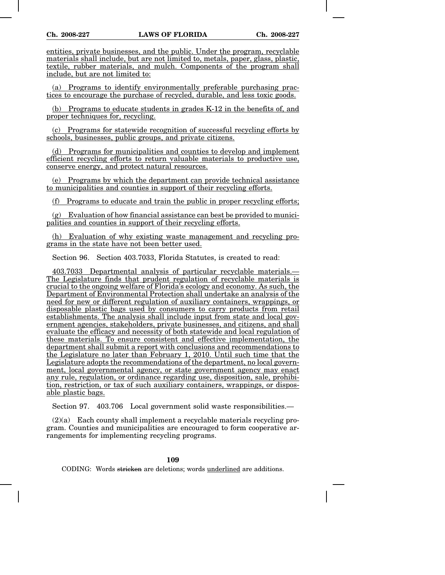entities, private businesses, and the public. Under the program, recyclable materials shall include, but are not limited to, metals, paper, glass, plastic, textile, rubber materials, and mulch. Components of the program shall include, but are not limited to:

(a) Programs to identify environmentally preferable purchasing practices to encourage the purchase of recycled, durable, and less toxic goods.

(b) Programs to educate students in grades K-12 in the benefits of, and proper techniques for, recycling.

(c) Programs for statewide recognition of successful recycling efforts by schools, businesses, public groups, and private citizens.

(d) Programs for municipalities and counties to develop and implement efficient recycling efforts to return valuable materials to productive use, conserve energy, and protect natural resources.

(e) Programs by which the department can provide technical assistance to municipalities and counties in support of their recycling efforts.

(f) Programs to educate and train the public in proper recycling efforts;

 $(g)$  Evaluation of how financial assistance can best be provided to municipalities and counties in support of their recycling efforts.

(h) Evaluation of why existing waste management and recycling programs in the state have not been better used.

Section 96. Section 403.7033, Florida Statutes, is created to read:

403.7033 Departmental analysis of particular recyclable materials.— The Legislature finds that prudent regulation of recyclable materials is crucial to the ongoing welfare of Florida's ecology and economy. As such, the Department of Environmental Protection shall undertake an analysis of the need for new or different regulation of auxiliary containers, wrappings, or disposable plastic bags used by consumers to carry products from retail establishments. The analysis shall include input from state and local government agencies, stakeholders, private businesses, and citizens, and shall evaluate the efficacy and necessity of both statewide and local regulation of these materials. To ensure consistent and effective implementation, the department shall submit a report with conclusions and recommendations to the Legislature no later than February 1, 2010. Until such time that the Legislature adopts the recommendations of the department, no local government, local governmental agency, or state government agency may enact any rule, regulation, or ordinance regarding use, disposition, sale, prohibition, restriction, or tax of such auxiliary containers, wrappings, or disposable plastic bags.

Section 97. 403.706 Local government solid waste responsibilities.—

(2)(a) Each county shall implement a recyclable materials recycling program. Counties and municipalities are encouraged to form cooperative arrangements for implementing recycling programs.

# **109**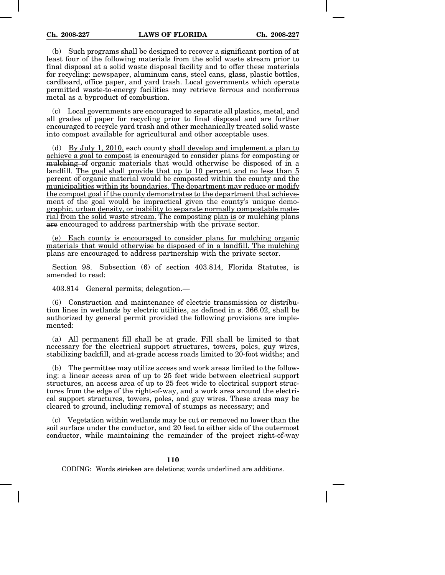(b) Such programs shall be designed to recover a significant portion of at least four of the following materials from the solid waste stream prior to final disposal at a solid waste disposal facility and to offer these materials for recycling: newspaper, aluminum cans, steel cans, glass, plastic bottles, cardboard, office paper, and yard trash. Local governments which operate permitted waste-to-energy facilities may retrieve ferrous and nonferrous metal as a byproduct of combustion.

(c) Local governments are encouraged to separate all plastics, metal, and all grades of paper for recycling prior to final disposal and are further encouraged to recycle yard trash and other mechanically treated solid waste into compost available for agricultural and other acceptable uses.

(d) By July 1, 2010, each county shall develop and implement a plan to achieve a goal to compost is encouraged to consider plans for composting or mulching of organic materials that would otherwise be disposed of in a landfill. The goal shall provide that up to 10 percent and no less than 5 percent of organic material would be composted within the county and the municipalities within its boundaries. The department may reduce or modify the compost goal if the county demonstrates to the department that achievement of the goal would be impractical given the county's unique demographic, urban density, or inability to separate normally compostable material from the solid waste stream. The composting plan is or mulching plans are encouraged to address partnership with the private sector.

(e) Each county is encouraged to consider plans for mulching organic materials that would otherwise be disposed of in a landfill. The mulching plans are encouraged to address partnership with the private sector.

Section 98. Subsection (6) of section 403.814, Florida Statutes, is amended to read:

403.814 General permits; delegation.—

(6) Construction and maintenance of electric transmission or distribution lines in wetlands by electric utilities, as defined in s. 366.02, shall be authorized by general permit provided the following provisions are implemented:

(a) All permanent fill shall be at grade. Fill shall be limited to that necessary for the electrical support structures, towers, poles, guy wires, stabilizing backfill, and at-grade access roads limited to 20-foot widths; and

(b) The permittee may utilize access and work areas limited to the following: a linear access area of up to 25 feet wide between electrical support structures, an access area of up to 25 feet wide to electrical support structures from the edge of the right-of-way, and a work area around the electrical support structures, towers, poles, and guy wires. These areas may be cleared to ground, including removal of stumps as necessary; and

(c) Vegetation within wetlands may be cut or removed no lower than the soil surface under the conductor, and 20 feet to either side of the outermost conductor, while maintaining the remainder of the project right-of-way

## **110**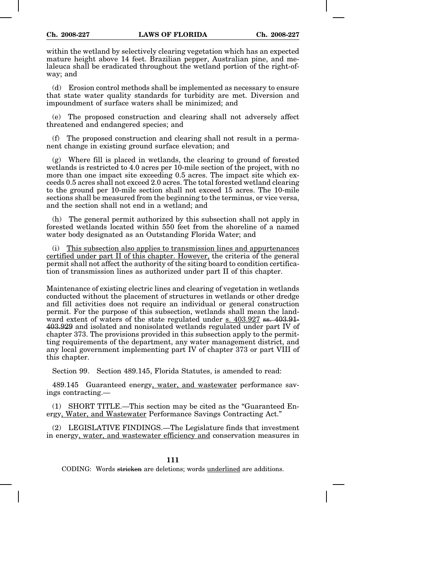within the wetland by selectively clearing vegetation which has an expected mature height above 14 feet. Brazilian pepper, Australian pine, and melaleuca shall be eradicated throughout the wetland portion of the right-ofway; and

(d) Erosion control methods shall be implemented as necessary to ensure that state water quality standards for turbidity are met. Diversion and impoundment of surface waters shall be minimized; and

(e) The proposed construction and clearing shall not adversely affect threatened and endangered species; and

(f) The proposed construction and clearing shall not result in a permanent change in existing ground surface elevation; and

(g) Where fill is placed in wetlands, the clearing to ground of forested wetlands is restricted to 4.0 acres per 10-mile section of the project, with no more than one impact site exceeding 0.5 acres. The impact site which exceeds 0.5 acres shall not exceed 2.0 acres. The total forested wetland clearing to the ground per 10-mile section shall not exceed 15 acres. The 10-mile sections shall be measured from the beginning to the terminus, or vice versa, and the section shall not end in a wetland; and

(h) The general permit authorized by this subsection shall not apply in forested wetlands located within 550 feet from the shoreline of a named water body designated as an Outstanding Florida Water; and

(i) This subsection also applies to transmission lines and appurtenances certified under part II of this chapter. However, the criteria of the general permit shall not affect the authority of the siting board to condition certification of transmission lines as authorized under part II of this chapter.

Maintenance of existing electric lines and clearing of vegetation in wetlands conducted without the placement of structures in wetlands or other dredge and fill activities does not require an individual or general construction permit. For the purpose of this subsection, wetlands shall mean the landward extent of waters of the state regulated under s.  $403.927$  ss.  $403.91$ 403.929 and isolated and nonisolated wetlands regulated under part IV of chapter 373. The provisions provided in this subsection apply to the permitting requirements of the department, any water management district, and any local government implementing part IV of chapter 373 or part VIII of this chapter.

Section 99. Section 489.145, Florida Statutes, is amended to read:

489.145 Guaranteed energy, water, and wastewater performance savings contracting.—

(1) SHORT TITLE.—This section may be cited as the "Guaranteed Energy, Water, and Wastewater Performance Savings Contracting Act."

(2) LEGISLATIVE FINDINGS.—The Legislature finds that investment in energy, water, and wastewater efficiency and conservation measures in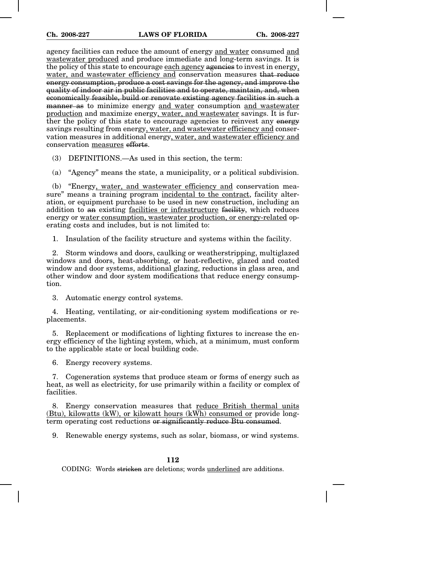agency facilities can reduce the amount of energy and water consumed and wastewater produced and produce immediate and long-term savings. It is the policy of this state to encourage each agency agencies to invest in energy, water, and wastewater efficiency and conservation measures that reduce energy consumption, produce a cost savings for the agency, and improve the quality of indoor air in public facilities and to operate, maintain, and, when economically feasible, build or renovate existing agency facilities in such a manner as to minimize energy and water consumption and wastewater production and maximize energy, water, and wastewater savings. It is further the policy of this state to encourage agencies to reinvest any energy savings resulting from energy, water, and wastewater efficiency and conservation measures in additional energy, water, and wastewater efficiency and conservation measures efforts.

(3) DEFINITIONS.—As used in this section, the term:

(a) "Agency" means the state, a municipality, or a political subdivision.

(b) "Energy, water, and wastewater efficiency and conservation measure" means a training program incidental to the contract, facility alteration, or equipment purchase to be used in new construction, including an addition to an existing facilities or infrastructure facility, which reduces energy or water consumption, wastewater production, or energy-related operating costs and includes, but is not limited to:

1. Insulation of the facility structure and systems within the facility.

2. Storm windows and doors, caulking or weatherstripping, multiglazed windows and doors, heat-absorbing, or heat-reflective, glazed and coated window and door systems, additional glazing, reductions in glass area, and other window and door system modifications that reduce energy consumption.

3. Automatic energy control systems.

4. Heating, ventilating, or air-conditioning system modifications or replacements.

5. Replacement or modifications of lighting fixtures to increase the energy efficiency of the lighting system, which, at a minimum, must conform to the applicable state or local building code.

6. Energy recovery systems.

7. Cogeneration systems that produce steam or forms of energy such as heat, as well as electricity, for use primarily within a facility or complex of facilities.

8. Energy conservation measures that reduce British thermal units (Btu), kilowatts (kW), or kilowatt hours (kWh) consumed or provide longterm operating cost reductions or significantly reduce Btu consumed.

9. Renewable energy systems, such as solar, biomass, or wind systems.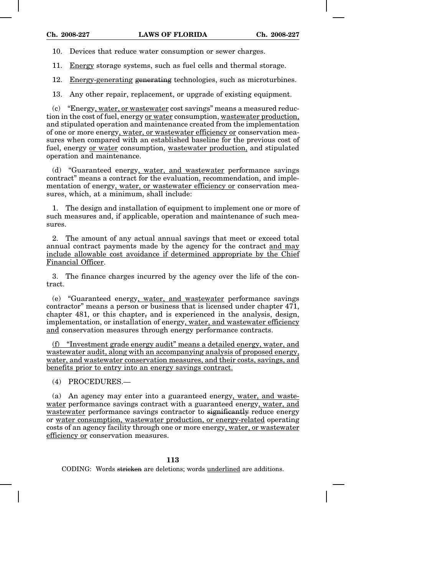10. Devices that reduce water consumption or sewer charges.

11. Energy storage systems, such as fuel cells and thermal storage.

12. Energy-generating generating technologies, such as microturbines.

13. Any other repair, replacement, or upgrade of existing equipment.

(c) "Energy, water, or wastewater cost savings" means a measured reduction in the cost of fuel, energy or water consumption, wastewater production, and stipulated operation and maintenance created from the implementation of one or more energy, water, or wastewater efficiency or conservation measures when compared with an established baseline for the previous cost of fuel, energy or water consumption, wastewater production, and stipulated operation and maintenance.

(d) "Guaranteed energy, water, and wastewater performance savings contract" means a contract for the evaluation, recommendation, and implementation of energy, water, or wastewater efficiency or conservation measures, which, at a minimum, shall include:

1. The design and installation of equipment to implement one or more of such measures and, if applicable, operation and maintenance of such measures.

2. The amount of any actual annual savings that meet or exceed total annual contract payments made by the agency for the contract and may include allowable cost avoidance if determined appropriate by the Chief Financial Officer.

3. The finance charges incurred by the agency over the life of the contract.

(e) "Guaranteed energy, water, and wastewater performance savings contractor" means a person or business that is licensed under chapter 471, chapter 481, or this chapter, and is experienced in the analysis, design, implementation, or installation of energy, water, and wastewater efficiency and conservation measures through energy performance contracts.

(f) "Investment grade energy audit" means a detailed energy, water, and wastewater audit, along with an accompanying analysis of proposed energy, water, and wastewater conservation measures, and their costs, savings, and benefits prior to entry into an energy savings contract.

(4) PROCEDURES.—

(a) An agency may enter into a guaranteed energy, water, and wastewater performance savings contract with a guaranteed energy, water, and wastewater performance savings contractor to significantly reduce energy or water consumption, wastewater production, or energy-related operating costs of an agency facility through one or more energy, water, or wastewater efficiency or conservation measures.

## **113**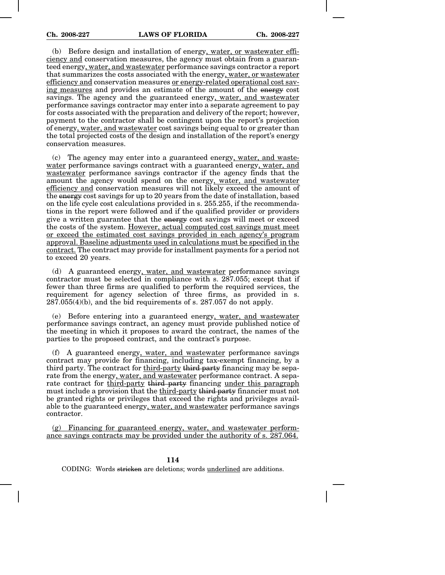(b) Before design and installation of energy, water, or wastewater efficiency and conservation measures, the agency must obtain from a guaranteed energy, water, and wastewater performance savings contractor a report that summarizes the costs associated with the energy, water, or wastewater efficiency and conservation measures or energy-related operational cost saving measures and provides an estimate of the amount of the energy cost savings. The agency and the guaranteed energy, water, and wastewater performance savings contractor may enter into a separate agreement to pay for costs associated with the preparation and delivery of the report; however, payment to the contractor shall be contingent upon the report's projection of energy, water, and wastewater cost savings being equal to or greater than the total projected costs of the design and installation of the report's energy conservation measures.

(c) The agency may enter into a guaranteed energy, water, and wastewater performance savings contract with a guaranteed energy, water, and wastewater performance savings contractor if the agency finds that the amount the agency would spend on the energy, water, and wastewater efficiency and conservation measures will not likely exceed the amount of the energy cost savings for up to 20 years from the date of installation, based on the life cycle cost calculations provided in s. 255.255, if the recommendations in the report were followed and if the qualified provider or providers give a written guarantee that the energy cost savings will meet or exceed the costs of the system. However, actual computed cost savings must meet or exceed the estimated cost savings provided in each agency's program approval. Baseline adjustments used in calculations must be specified in the contract. The contract may provide for installment payments for a period not to exceed 20 years.

(d) A guaranteed energy, water, and wastewater performance savings contractor must be selected in compliance with s. 287.055; except that if fewer than three firms are qualified to perform the required services, the requirement for agency selection of three firms, as provided in s.  $287.055(4)(b)$ , and the bid requirements of s.  $287.057$  do not apply.

(e) Before entering into a guaranteed energy, water, and wastewater performance savings contract, an agency must provide published notice of the meeting in which it proposes to award the contract, the names of the parties to the proposed contract, and the contract's purpose.

(f) A guaranteed energy, water, and wastewater performance savings contract may provide for financing, including tax-exempt financing, by a third party. The contract for third-party third party financing may be separate from the energy, water, and wastewater performance contract. A separate contract for third-party third party financing under this paragraph must include a provision that the third-party third party financier must not be granted rights or privileges that exceed the rights and privileges available to the guaranteed energy, water, and wastewater performance savings contractor.

(g) Financing for guaranteed energy, water, and wastewater performance savings contracts may be provided under the authority of s. 287.064.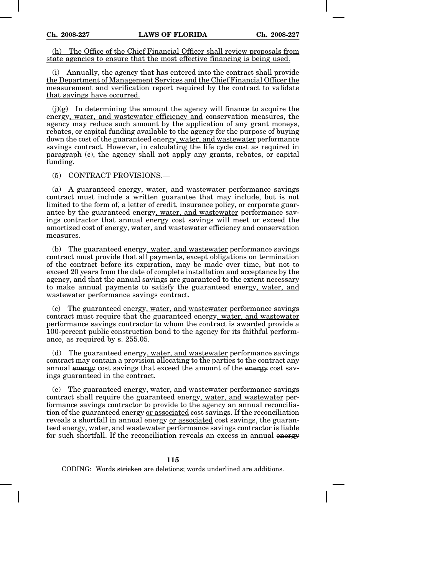(h) The Office of the Chief Financial Officer shall review proposals from state agencies to ensure that the most effective financing is being used.

(i) Annually, the agency that has entered into the contract shall provide the Department of Management Services and the Chief Financial Officer the measurement and verification report required by the contract to validate that savings have occurred.

 $(i)(g)$  In determining the amount the agency will finance to acquire the energy, water, and wastewater efficiency and conservation measures, the agency may reduce such amount by the application of any grant moneys, rebates, or capital funding available to the agency for the purpose of buying down the cost of the guaranteed energy, water, and wastewater performance savings contract. However, in calculating the life cycle cost as required in paragraph (c), the agency shall not apply any grants, rebates, or capital funding.

(5) CONTRACT PROVISIONS.—

(a) A guaranteed energy, water, and wastewater performance savings contract must include a written guarantee that may include, but is not limited to the form of, a letter of credit, insurance policy, or corporate guarantee by the guaranteed energy, water, and wastewater performance savings contractor that annual energy cost savings will meet or exceed the amortized cost of energy, water, and wastewater efficiency and conservation measures.

(b) The guaranteed energy, water, and wastewater performance savings contract must provide that all payments, except obligations on termination of the contract before its expiration, may be made over time, but not to exceed 20 years from the date of complete installation and acceptance by the agency, and that the annual savings are guaranteed to the extent necessary to make annual payments to satisfy the guaranteed energy, water, and wastewater performance savings contract.

(c) The guaranteed energy, water, and wastewater performance savings contract must require that the guaranteed energy, water, and wastewater performance savings contractor to whom the contract is awarded provide a 100-percent public construction bond to the agency for its faithful performance, as required by s. 255.05.

(d) The guaranteed energy, water, and wastewater performance savings contract may contain a provision allocating to the parties to the contract any annual energy cost savings that exceed the amount of the energy cost savings guaranteed in the contract.

(e) The guaranteed energy, water, and wastewater performance savings contract shall require the guaranteed energy, water, and wastewater performance savings contractor to provide to the agency an annual reconciliation of the guaranteed energy or associated cost savings. If the reconciliation reveals a shortfall in annual energy or associated cost savings, the guaranteed energy, water, and wastewater performance savings contractor is liable for such shortfall. If the reconciliation reveals an excess in annual energy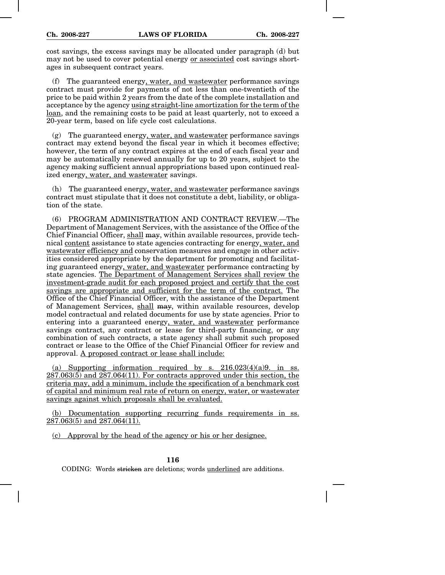cost savings, the excess savings may be allocated under paragraph (d) but may not be used to cover potential energy or associated cost savings shortages in subsequent contract years.

(f) The guaranteed energy, water, and wastewater performance savings contract must provide for payments of not less than one-twentieth of the price to be paid within 2 years from the date of the complete installation and acceptance by the agency using straight-line amortization for the term of the loan, and the remaining costs to be paid at least quarterly, not to exceed a 20-year term, based on life cycle cost calculations.

(g) The guaranteed energy, water, and wastewater performance savings contract may extend beyond the fiscal year in which it becomes effective; however, the term of any contract expires at the end of each fiscal year and may be automatically renewed annually for up to 20 years, subject to the agency making sufficient annual appropriations based upon continued realized energy, water, and wastewater savings.

(h) The guaranteed energy, water, and wastewater performance savings contract must stipulate that it does not constitute a debt, liability, or obligation of the state.

(6) PROGRAM ADMINISTRATION AND CONTRACT REVIEW.—The Department of Management Services, with the assistance of the Office of the Chief Financial Officer, shall may, within available resources, provide technical content assistance to state agencies contracting for energy, water, and wastewater efficiency and conservation measures and engage in other activities considered appropriate by the department for promoting and facilitating guaranteed energy, water, and wastewater performance contracting by state agencies. The Department of Management Services shall review the investment-grade audit for each proposed project and certify that the cost savings are appropriate and sufficient for the term of the contract. The Office of the Chief Financial Officer, with the assistance of the Department of Management Services, shall may, within available resources, develop model contractual and related documents for use by state agencies. Prior to entering into a guaranteed energy, water, and wastewater performance savings contract, any contract or lease for third-party financing, or any combination of such contracts, a state agency shall submit such proposed contract or lease to the Office of the Chief Financial Officer for review and approval. A proposed contract or lease shall include:

(a) Supporting information required by s.  $216.023(4)(a)9$ . in ss.  $287.063(5)$  and  $287.064(11)$ . For contracts approved under this section, the criteria may, add a minimum, include the specification of a benchmark cost of capital and minimum real rate of return on energy, water, or wastewater savings against which proposals shall be evaluated.

(b) Documentation supporting recurring funds requirements in ss. 287.063(5) and 287.064(11).

(c) Approval by the head of the agency or his or her designee.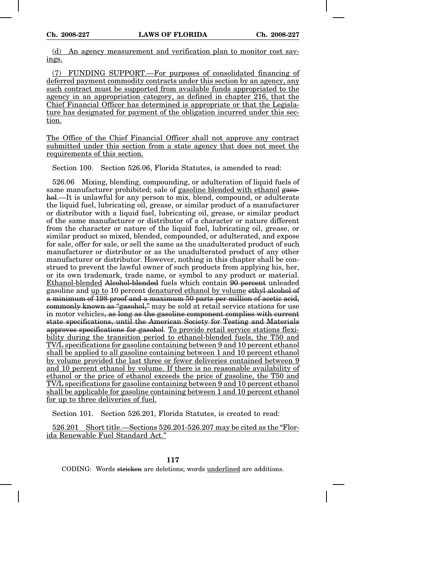(d) An agency measurement and verification plan to monitor cost savings.

(7) FUNDING SUPPORT.—For purposes of consolidated financing of deferred payment commodity contracts under this section by an agency, any such contract must be supported from available funds appropriated to the agency in an appropriation category, as defined in chapter 216, that the Chief Financial Officer has determined is appropriate or that the Legislature has designated for payment of the obligation incurred under this section.

The Office of the Chief Financial Officer shall not approve any contract submitted under this section from a state agency that does not meet the requirements of this section.

Section 100. Section 526.06, Florida Statutes, is amended to read:

526.06 Mixing, blending, compounding, or adulteration of liquid fuels of same manufacturer prohibited; sale of gasoline blended with ethanol gasohol.—It is unlawful for any person to mix, blend, compound, or adulterate the liquid fuel, lubricating oil, grease, or similar product of a manufacturer or distributor with a liquid fuel, lubricating oil, grease, or similar product of the same manufacturer or distributor of a character or nature different from the character or nature of the liquid fuel, lubricating oil, grease, or similar product so mixed, blended, compounded, or adulterated, and expose for sale, offer for sale, or sell the same as the unadulterated product of such manufacturer or distributor or as the unadulterated product of any other manufacturer or distributor. However, nothing in this chapter shall be construed to prevent the lawful owner of such products from applying his, her, or its own trademark, trade name, or symbol to any product or material. Ethanol-blended Alcohol-blended fuels which contain 90 percent unleaded gasoline and up to 10 percent denatured ethanol by volume ethyl alcohol of a minimum of 198 proof and a maximum 50 parts per million of acetic acid, commonly known as "gasohol," may be sold at retail service stations for use in motor vehicles, as long as the gasoline component complies with current state specifications, until the American Society for Testing and Materials approves specifications for gasohol. To provide retail service stations flexibility during the transition period to ethanol-blended fuels, the T50 and TV/L specifications for gasoline containing between 9 and 10 percent ethanol shall be applied to all gasoline containing between 1 and 10 percent ethanol by volume provided the last three or fewer deliveries contained between 9 and 10 percent ethanol by volume. If there is no reasonable availability of ethanol or the price of ethanol exceeds the price of gasoline, the T50 and TV/L specifications for gasoline containing between 9 and 10 percent ethanol shall be applicable for gasoline containing between 1 and 10 percent ethanol for up to three deliveries of fuel.

Section 101. Section 526.201, Florida Statutes, is created to read:

526.201 Short title.—Sections 526.201-526.207 may be cited as the "Florida Renewable Fuel Standard Act."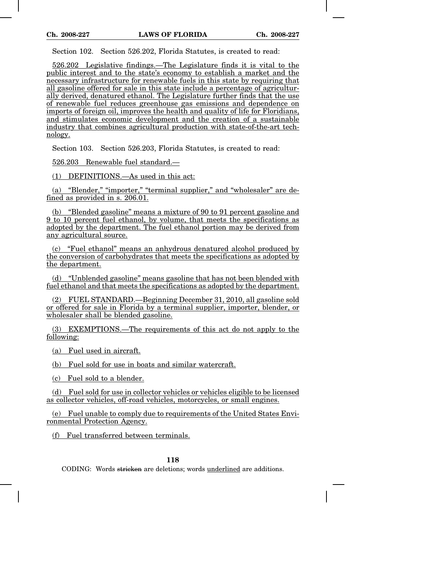Section 102. Section 526.202, Florida Statutes, is created to read:

526.202 Legislative findings.—The Legislature finds it is vital to the public interest and to the state's economy to establish a market and the necessary infrastructure for renewable fuels in this state by requiring that all gasoline offered for sale in this state include a percentage of agriculturally derived, denatured ethanol. The Legislature further finds that the use of renewable fuel reduces greenhouse gas emissions and dependence on imports of foreign oil, improves the health and quality of life for Floridians, and stimulates economic development and the creation of a sustainable industry that combines agricultural production with state-of-the-art technology.

Section 103. Section 526.203, Florida Statutes, is created to read:

526.203 Renewable fuel standard.—

(1) DEFINITIONS.—As used in this act:

(a) "Blender," "importer," "terminal supplier," and "wholesaler" are defined as provided in s. 206.01.

(b) "Blended gasoline" means a mixture of 90 to 91 percent gasoline and 9 to 10 percent fuel ethanol, by volume, that meets the specifications as adopted by the department. The fuel ethanol portion may be derived from any agricultural source.

(c) "Fuel ethanol" means an anhydrous denatured alcohol produced by the conversion of carbohydrates that meets the specifications as adopted by the department.

(d) "Unblended gasoline" means gasoline that has not been blended with fuel ethanol and that meets the specifications as adopted by the department.

(2) FUEL STANDARD.—Beginning December 31, 2010, all gasoline sold or offered for sale in Florida by a terminal supplier, importer, blender, or wholesaler shall be blended gasoline.

(3) EXEMPTIONS.—The requirements of this act do not apply to the following:

(a) Fuel used in aircraft.

(b) Fuel sold for use in boats and similar watercraft.

(c) Fuel sold to a blender.

(d) Fuel sold for use in collector vehicles or vehicles eligible to be licensed as collector vehicles, off-road vehicles, motorcycles, or small engines.

(e) Fuel unable to comply due to requirements of the United States Environmental Protection Agency.

(f) Fuel transferred between terminals.

## **118**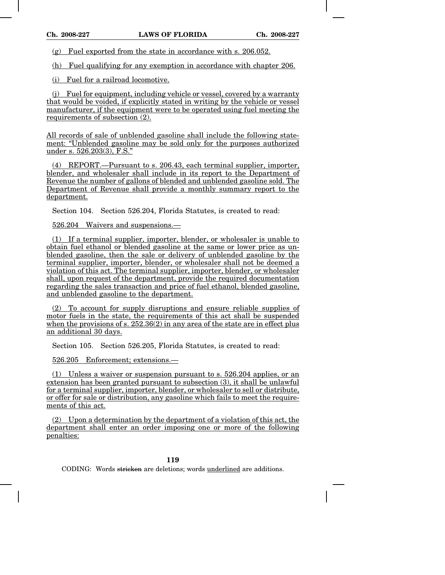(g) Fuel exported from the state in accordance with s. 206.052.

(h) Fuel qualifying for any exemption in accordance with chapter 206.

(i) Fuel for a railroad locomotive.

(j) Fuel for equipment, including vehicle or vessel, covered by a warranty that would be voided, if explicitly stated in writing by the vehicle or vessel manufacturer, if the equipment were to be operated using fuel meeting the requirements of subsection (2).

All records of sale of unblended gasoline shall include the following statement: "Unblended gasoline may be sold only for the purposes authorized under s. 526.203(3), F.S."

(4) REPORT.—Pursuant to s. 206.43, each terminal supplier, importer, blender, and wholesaler shall include in its report to the Department of Revenue the number of gallons of blended and unblended gasoline sold. The Department of Revenue shall provide a monthly summary report to the department.

Section 104. Section 526.204, Florida Statutes, is created to read:

526.204 Waivers and suspensions.—

(1) If a terminal supplier, importer, blender, or wholesaler is unable to obtain fuel ethanol or blended gasoline at the same or lower price as unblended gasoline, then the sale or delivery of unblended gasoline by the terminal supplier, importer, blender, or wholesaler shall not be deemed a violation of this act. The terminal supplier, importer, blender, or wholesaler shall, upon request of the department, provide the required documentation regarding the sales transaction and price of fuel ethanol, blended gasoline, and unblended gasoline to the department.

(2) To account for supply disruptions and ensure reliable supplies of motor fuels in the state, the requirements of this act shall be suspended when the provisions of s.  $252.36(2)$  in any area of the state are in effect plus an additional 30 days.

Section 105. Section 526.205, Florida Statutes, is created to read:

526.205 Enforcement; extensions.—

(1) Unless a waiver or suspension pursuant to s. 526.204 applies, or an extension has been granted pursuant to subsection (3), it shall be unlawful for a terminal supplier, importer, blender, or wholesaler to sell or distribute, or offer for sale or distribution, any gasoline which fails to meet the requirements of this act.

(2) Upon a determination by the department of a violation of this act, the department shall enter an order imposing one or more of the following penalties: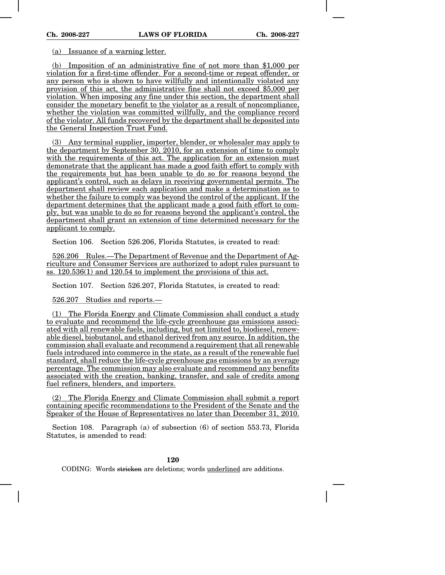(a) Issuance of a warning letter.

(b) Imposition of an administrative fine of not more than \$1,000 per violation for a first-time offender. For a second-time or repeat offender, or any person who is shown to have willfully and intentionally violated any provision of this act, the administrative fine shall not exceed \$5,000 per violation. When imposing any fine under this section, the department shall consider the monetary benefit to the violator as a result of noncompliance, whether the violation was committed willfully, and the compliance record of the violator. All funds recovered by the department shall be deposited into the General Inspection Trust Fund.

(3) Any terminal supplier, importer, blender, or wholesaler may apply to the department by September 30, 2010, for an extension of time to comply with the requirements of this act. The application for an extension must demonstrate that the applicant has made a good faith effort to comply with the requirements but has been unable to do so for reasons beyond the applicant's control, such as delays in receiving governmental permits. The department shall review each application and make a determination as to whether the failure to comply was beyond the control of the applicant. If the department determines that the applicant made a good faith effort to comply, but was unable to do so for reasons beyond the applicant's control, the department shall grant an extension of time determined necessary for the applicant to comply.

Section 106. Section 526.206, Florida Statutes, is created to read:

526.206 Rules.—The Department of Revenue and the Department of Agriculture and Consumer Services are authorized to adopt rules pursuant to ss. 120.536(1) and 120.54 to implement the provisions of this act.

Section 107. Section 526.207, Florida Statutes, is created to read:

526.207 Studies and reports.—

(1) The Florida Energy and Climate Commission shall conduct a study to evaluate and recommend the life-cycle greenhouse gas emissions associated with all renewable fuels, including, but not limited to, biodiesel, renewable diesel, biobutanol, and ethanol derived from any source. In addition, the commission shall evaluate and recommend a requirement that all renewable fuels introduced into commerce in the state, as a result of the renewable fuel standard, shall reduce the life-cycle greenhouse gas emissions by an average percentage. The commission may also evaluate and recommend any benefits associated with the creation, banking, transfer, and sale of credits among fuel refiners, blenders, and importers.

(2) The Florida Energy and Climate Commission shall submit a report containing specific recommendations to the President of the Senate and the Speaker of the House of Representatives no later than December 31, 2010.

Section 108. Paragraph (a) of subsection (6) of section 553.73, Florida Statutes, is amended to read:

# **120**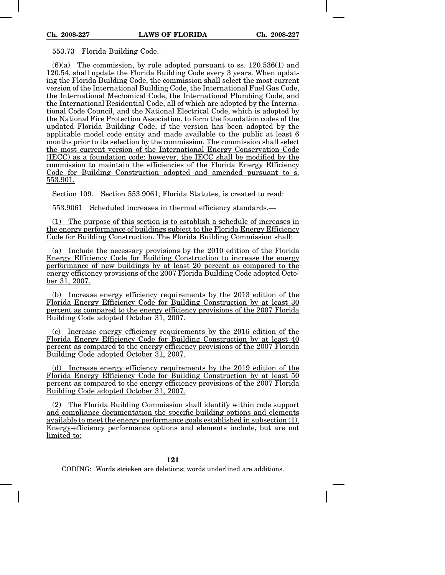553.73 Florida Building Code.—

 $(6)(a)$  The commission, by rule adopted pursuant to ss. 120.536(1) and 120.54, shall update the Florida Building Code every 3 years. When updating the Florida Building Code, the commission shall select the most current version of the International Building Code, the International Fuel Gas Code, the International Mechanical Code, the International Plumbing Code, and the International Residential Code, all of which are adopted by the International Code Council, and the National Electrical Code, which is adopted by the National Fire Protection Association, to form the foundation codes of the updated Florida Building Code, if the version has been adopted by the applicable model code entity and made available to the public at least 6 months prior to its selection by the commission. The commission shall select the most current version of the International Energy Conservation Code (IECC) as a foundation code; however, the IECC shall be modified by the commission to maintain the efficiencies of the Florida Energy Efficiency Code for Building Construction adopted and amended pursuant to s. 553.901.

Section 109. Section 553.9061, Florida Statutes, is created to read:

553.9061 Scheduled increases in thermal efficiency standards.—

(1) The purpose of this section is to establish a schedule of increases in the energy performance of buildings subject to the Florida Energy Efficiency Code for Building Construction. The Florida Building Commission shall:

(a) Include the necessary provisions by the 2010 edition of the Florida Energy Efficiency Code for Building Construction to increase the energy performance of new buildings by at least 20 percent as compared to the energy efficiency provisions of the 2007 Florida Building Code adopted October 31, 2007.

(b) Increase energy efficiency requirements by the 2013 edition of the Florida Energy Efficiency Code for Building Construction by at least 30 percent as compared to the energy efficiency provisions of the 2007 Florida Building Code adopted October 31, 2007.

(c) Increase energy efficiency requirements by the 2016 edition of the Florida Energy Efficiency Code for Building Construction by at least 40 percent as compared to the energy efficiency provisions of the 2007 Florida Building Code adopted October 31, 2007.

(d) Increase energy efficiency requirements by the 2019 edition of the Florida Energy Efficiency Code for Building Construction by at least 50 percent as compared to the energy efficiency provisions of the 2007 Florida Building Code adopted October 31, 2007.

(2) The Florida Building Commission shall identify within code support and compliance documentation the specific building options and elements available to meet the energy performance goals established in subsection (1). Energy-efficiency performance options and elements include, but are not limited to: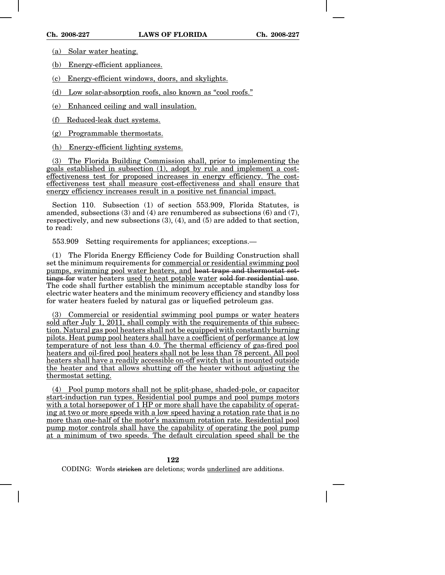(a) Solar water heating.

(b) Energy-efficient appliances.

(c) Energy-efficient windows, doors, and skylights.

(d) Low solar-absorption roofs, also known as "cool roofs."

(e) Enhanced ceiling and wall insulation.

(f) Reduced-leak duct systems.

(g) Programmable thermostats.

(h) Energy-efficient lighting systems.

(3) The Florida Building Commission shall, prior to implementing the goals established in subsection (1), adopt by rule and implement a costeffectiveness test for proposed increases in energy efficiency. The costeffectiveness test shall measure cost-effectiveness and shall ensure that energy efficiency increases result in a positive net financial impact.

Section 110. Subsection (1) of section 553.909, Florida Statutes, is amended, subsections (3) and (4) are renumbered as subsections (6) and (7), respectively, and new subsections (3), (4), and (5) are added to that section, to read:

553.909 Setting requirements for appliances; exceptions.—

(1) The Florida Energy Efficiency Code for Building Construction shall set the minimum requirements for commercial or residential swimming pool pumps, swimming pool water heaters, and heat traps and thermostat settings for water heaters used to heat potable water sold for residential use. The code shall further establish the minimum acceptable standby loss for electric water heaters and the minimum recovery efficiency and standby loss for water heaters fueled by natural gas or liquefied petroleum gas.

(3) Commercial or residential swimming pool pumps or water heaters sold after July 1, 2011, shall comply with the requirements of this subsection. Natural gas pool heaters shall not be equipped with constantly burning pilots. Heat pump pool heaters shall have a coefficient of performance at low temperature of not less than 4.0. The thermal efficiency of gas-fired pool heaters and oil-fired pool heaters shall not be less than 78 percent. All pool heaters shall have a readily accessible on-off switch that is mounted outside the heater and that allows shutting off the heater without adjusting the thermostat setting.

(4) Pool pump motors shall not be split-phase, shaded-pole, or capacitor start-induction run types. Residential pool pumps and pool pumps motors with a total horsepower of 1 HP or more shall have the capability of operating at two or more speeds with a low speed having a rotation rate that is no more than one-half of the motor's maximum rotation rate. Residential pool pump motor controls shall have the capability of operating the pool pump at a minimum of two speeds. The default circulation speed shall be the

**122**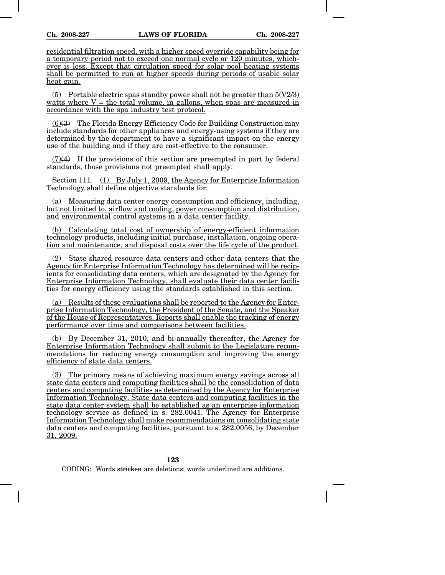residential filtration speed, with a higher speed override capability being for a temporary period not to exceed one normal cycle or 120 minutes, whichever is less. Except that circulation speed for solar pool heating systems shall be permitted to run at higher speeds during periods of usable solar heat gain.

(5) Portable electric spas standby power shall not be greater than  $5(V2/3)$ watts where  $V =$  the total volume, in gallons, when spas are measured in accordance with the spa industry test protocol.

(6)(3) The Florida Energy Efficiency Code for Building Construction may include standards for other appliances and energy-using systems if they are determined by the department to have a significant impact on the energy use of the building and if they are cost-effective to the consumer.

(7)(4) If the provisions of this section are preempted in part by federal standards, those provisions not preempted shall apply.

Section 111. (1) By July 1, 2009, the Agency for Enterprise Information Technology shall define objective standards for:

(a) Measuring data center energy consumption and efficiency, including, but not limited to, airflow and cooling, power consumption and distribution, and environmental control systems in a data center facility.

(b) Calculating total cost of ownership of energy-efficient information technology products, including initial purchase, installation, ongoing operation and maintenance, and disposal costs over the life cycle of the product.

(2) State shared resource data centers and other data centers that the Agency for Enterprise Information Technology has determined will be recipients for consolidating data centers, which are designated by the Agency for Enterprise Information Technology, shall evaluate their data center facilities for energy efficiency using the standards established in this section.

(a) Results of these evaluations shall be reported to the Agency for Enterprise Information Technology, the President of the Senate, and the Speaker of the House of Representatives. Reports shall enable the tracking of energy performance over time and comparisons between facilities.

(b) By December 31, 2010, and bi-annually thereafter, the Agency for Enterprise Information Technology shall submit to the Legislature recommendations for reducing energy consumption and improving the energy efficiency of state data centers.

(3) The primary means of achieving maximum energy savings across all state data centers and computing facilities shall be the consolidation of data centers and computing facilities as determined by the Agency for Enterprise Information Technology. State data centers and computing facilities in the state data center system shall be established as an enterprise information technology service as defined in s. 282.0041. The Agency for Enterprise Information Technology shall make recommendations on consolidating state data centers and computing facilities, pursuant to s. 282.0056, by December 31, 2009.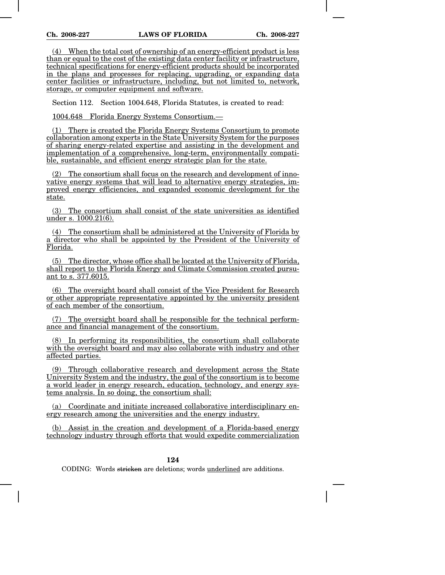(4) When the total cost of ownership of an energy-efficient product is less than or equal to the cost of the existing data center facility or infrastructure, technical specifications for energy-efficient products should be incorporated in the plans and processes for replacing, upgrading, or expanding data center facilities or infrastructure, including, but not limited to, network, storage, or computer equipment and software.

Section 112. Section 1004.648, Florida Statutes, is created to read:

1004.648 Florida Energy Systems Consortium.—

(1) There is created the Florida Energy Systems Consortium to promote collaboration among experts in the State University System for the purposes of sharing energy-related expertise and assisting in the development and implementation of a comprehensive, long-term, environmentally compatible, sustainable, and efficient energy strategic plan for the state.

(2) The consortium shall focus on the research and development of innovative energy systems that will lead to alternative energy strategies, improved energy efficiencies, and expanded economic development for the state.

(3) The consortium shall consist of the state universities as identified under s. 1000.21(6).

(4) The consortium shall be administered at the University of Florida by a director who shall be appointed by the President of the University of Florida.

(5) The director, whose office shall be located at the University of Florida, shall report to the Florida Energy and Climate Commission created pursuant to s. 377.6015.

(6) The oversight board shall consist of the Vice President for Research or other appropriate representative appointed by the university president of each member of the consortium.

(7) The oversight board shall be responsible for the technical performance and financial management of the consortium.

(8) In performing its responsibilities, the consortium shall collaborate with the oversight board and may also collaborate with industry and other affected parties.

(9) Through collaborative research and development across the State University System and the industry, the goal of the consortium is to become a world leader in energy research, education, technology, and energy systems analysis. In so doing, the consortium shall:

(a) Coordinate and initiate increased collaborative interdisciplinary energy research among the universities and the energy industry.

(b) Assist in the creation and development of a Florida-based energy technology industry through efforts that would expedite commercialization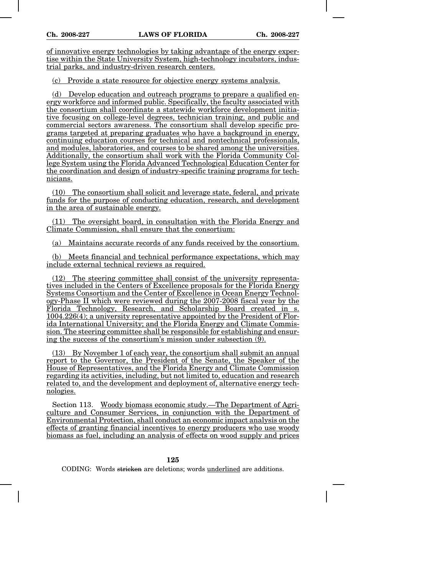of innovative energy technologies by taking advantage of the energy expertise within the State University System, high-technology incubators, industrial parks, and industry-driven research centers.

(c) Provide a state resource for objective energy systems analysis.

(d) Develop education and outreach programs to prepare a qualified energy workforce and informed public. Specifically, the faculty associated with the consortium shall coordinate a statewide workforce development initiative focusing on college-level degrees, technician training, and public and commercial sectors awareness. The consortium shall develop specific programs targeted at preparing graduates who have a background in energy, continuing education courses for technical and nontechnical professionals, and modules, laboratories, and courses to be shared among the universities. Additionally, the consortium shall work with the Florida Community College System using the Florida Advanced Technological Education Center for the coordination and design of industry-specific training programs for technicians.

(10) The consortium shall solicit and leverage state, federal, and private funds for the purpose of conducting education, research, and development in the area of sustainable energy.

(11) The oversight board, in consultation with the Florida Energy and Climate Commission, shall ensure that the consortium:

(a) Maintains accurate records of any funds received by the consortium.

(b) Meets financial and technical performance expectations, which may include external technical reviews as required.

(12) The steering committee shall consist of the university representatives included in the Centers of Excellence proposals for the Florida Energy Systems Consortium and the Center of Excellence in Ocean Energy Technology-Phase II which were reviewed during the 2007-2008 fiscal year by the Florida Technology, Research, and Scholarship Board created in s. 1004.226(4); a university representative appointed by the President of Florida International University; and the Florida Energy and Climate Commission. The steering committee shall be responsible for establishing and ensuring the success of the consortium's mission under subsection (9).

(13) By November 1 of each year, the consortium shall submit an annual report to the Governor, the President of the Senate, the Speaker of the House of Representatives, and the Florida Energy and Climate Commission regarding its activities, including, but not limited to, education and research related to, and the development and deployment of, alternative energy technologies.

Section 113. Woody biomass economic study.—The Department of Agriculture and Consumer Services, in conjunction with the Department of Environmental Protection, shall conduct an economic impact analysis on the effects of granting financial incentives to energy producers who use woody biomass as fuel, including an analysis of effects on wood supply and prices